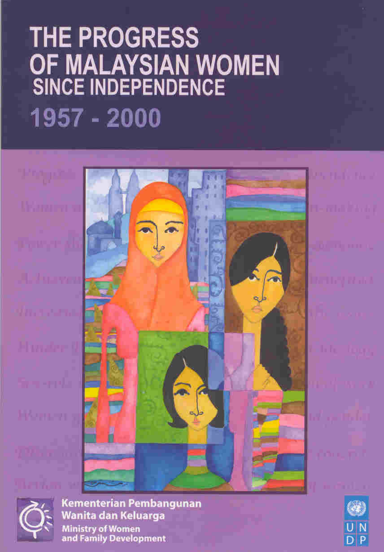# THE PROGRESS OF MALAYSIAN WOMEN<br>SINCE INDEPENDENCE 1957 - 2000



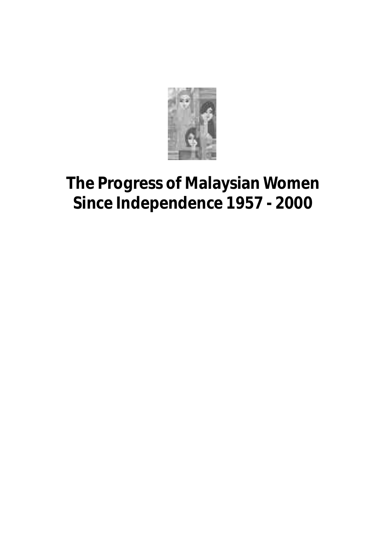

### **The Progress of Malaysian Women Since Independence 1957 - 2000**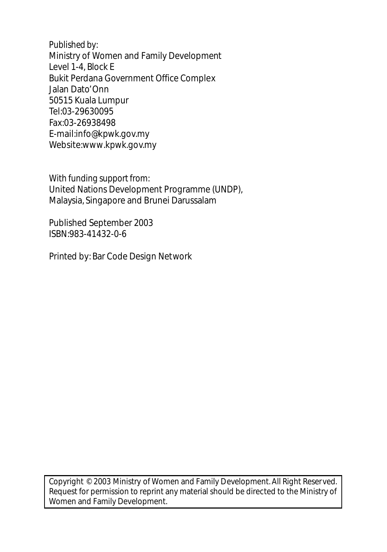*Published by:* Ministry of Women and Family Development Level 1-4, Block E Bukit Perdana Government Office Complex Jalan Dato'Onn 50515 Kuala Lumpur Tel:03-29630095 Fax:03-26938498 E-mail:info@kpwk.gov.my Website:www.kpwk.gov.my

*With funding support from:* United Nations Development Programme (UNDP), Malaysia, Singapore and Brunei Darussalam

Published September 2003 ISBN:983-41432-0-6

Printed by: Bar Code Design Network

Copyright © 2003 Ministry of Women and Family Development. All Right Reserved. Request for permission to reprint any material should be directed to the Ministry of Women and Family Development.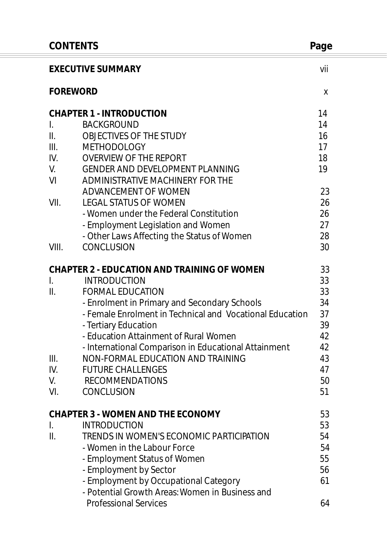| <b>CONTENTS</b> |                                                                                          | Page |
|-----------------|------------------------------------------------------------------------------------------|------|
|                 | <b>EXECUTIVE SUMMARY</b>                                                                 | vii  |
| <b>FOREWORD</b> |                                                                                          | X    |
|                 | <b>CHAPTER 1 - INTRODUCTION</b>                                                          | 14   |
| L.              | <b>BACKGROUND</b>                                                                        | 14   |
| II.             | OBJECTIVES OF THE STUDY                                                                  | 16   |
| III.            | <b>METHODOLOGY</b>                                                                       | 17   |
| IV.             | <b>OVERVIEW OF THE REPORT</b>                                                            | 18   |
| V.              | GENDER AND DEVELOPMENT PLANNING                                                          | 19   |
| VI              | ADMINISTRATIVE MACHINERY FOR THE                                                         |      |
|                 | ADVANCEMENT OF WOMEN                                                                     | 23   |
| VII.            | <b>LEGAL STATUS OF WOMEN</b>                                                             | 26   |
|                 | - Women under the Federal Constitution                                                   | 26   |
|                 | - Employment Legislation and Women                                                       | 27   |
|                 | - Other Laws Affecting the Status of Women                                               | 28   |
| VIII.           | <b>CONCLUSION</b>                                                                        | 30   |
|                 | <b>CHAPTER 2 - EDUCATION AND TRAINING OF WOMEN</b>                                       | 33   |
| $\mathbf{L}$    | <b>INTRODUCTION</b>                                                                      | 33   |
| II.             | <b>FORMAL EDUCATION</b>                                                                  | 33   |
|                 | - Enrolment in Primary and Secondary Schools                                             | 34   |
|                 | - Female Enrolment in Technical and Vocational Education                                 | 37   |
|                 | - Tertiary Education                                                                     | 39   |
|                 | - Education Attainment of Rural Women                                                    | 42   |
|                 | - International Comparison in Educational Attainment                                     | 42   |
| III.            | NON-FORMAL EDUCATION AND TRAINING                                                        | 43   |
| IV.             | <b>FUTURE CHALLENGES</b>                                                                 | 47   |
| V.              | <b>RECOMMENDATIONS</b>                                                                   | 50   |
| VI.             | CONCLUSION                                                                               | 51   |
|                 | <b>CHAPTER 3 - WOMEN AND THE ECONOMY</b>                                                 | 53   |
| I.              | <b>INTRODUCTION</b>                                                                      | 53   |
| II.             | TRENDS IN WOMEN'S ECONOMIC PARTICIPATION                                                 | 54   |
|                 | - Women in the Labour Force                                                              | 54   |
|                 | - Employment Status of Women                                                             | 55   |
|                 | - Employment by Sector                                                                   | 56   |
|                 | - Employment by Occupational Category<br>- Potential Growth Areas: Women in Business and | 61   |
|                 | <b>Professional Services</b>                                                             | 64   |
|                 |                                                                                          |      |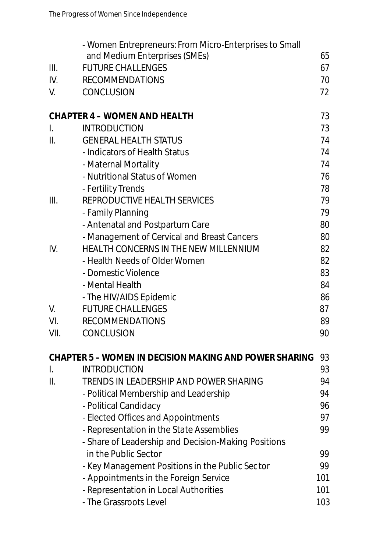|      | - Women Entrepreneurs: From Micro-Enterprises to Small<br>and Medium Enterprises (SMEs) | 65  |
|------|-----------------------------------------------------------------------------------------|-----|
| III. | <b>FUTURE CHALLENGES</b>                                                                | 67  |
| IV.  | <b>RECOMMENDATIONS</b>                                                                  | 70  |
| V.   | CONCLUSION                                                                              | 72  |
|      |                                                                                         |     |
|      | <b>CHAPTER 4 - WOMEN AND HEALTH</b>                                                     | 73  |
| I.   | <b>INTRODUCTION</b>                                                                     | 73  |
| II.  | <b>GENERAL HEALTH STATUS</b>                                                            | 74  |
|      | - Indicators of Health Status                                                           | 74  |
|      | - Maternal Mortality                                                                    | 74  |
|      | - Nutritional Status of Women                                                           | 76  |
|      | - Fertility Trends                                                                      | 78  |
| III. | REPRODUCTIVE HEALTH SERVICES                                                            | 79  |
|      | - Family Planning                                                                       | 79  |
|      | - Antenatal and Postpartum Care                                                         | 80  |
|      | - Management of Cervical and Breast Cancers                                             | 80  |
| IV.  | HEALTH CONCERNS IN THE NEW MILLENNIUM                                                   | 82  |
|      | - Health Needs of Older Women                                                           | 82  |
|      | - Domestic Violence                                                                     | 83  |
|      | - Mental Health                                                                         | 84  |
|      | - The HIV/AIDS Epidemic                                                                 | 86  |
| V.   | <b>FUTURE CHALLENGES</b>                                                                | 87  |
| VI.  | <b>RECOMMENDATIONS</b>                                                                  | 89  |
| VII. | CONCLUSION                                                                              | 90  |
|      | <b>CHAPTER 5 - WOMEN IN DECISION MAKING AND POWER SHARING</b>                           | 93  |
| I.   | <b>INTRODUCTION</b>                                                                     | 93  |
| II.  | TRENDS IN LEADERSHIP AND POWER SHARING                                                  | 94  |
|      | - Political Membership and Leadership                                                   | 94  |
|      | - Political Candidacy                                                                   | 96  |
|      | - Elected Offices and Appointments                                                      | 97  |
|      | - Representation in the State Assemblies                                                | 99  |
|      | - Share of Leadership and Decision-Making Positions                                     |     |
|      | in the Public Sector                                                                    | 99  |
|      | - Key Management Positions in the Public Sector                                         | 99  |
|      | - Appointments in the Foreign Service                                                   | 101 |
|      | - Representation in Local Authorities                                                   | 101 |
|      | - The Grassroots Level                                                                  | 103 |
|      |                                                                                         |     |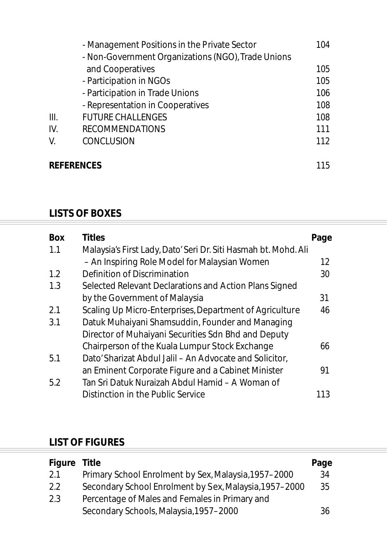|                   | - Management Positions in the Private Sector                           | 104 |
|-------------------|------------------------------------------------------------------------|-----|
|                   | - Non-Government Organizations (NGO), Trade Unions<br>and Cooperatives | 105 |
|                   | - Participation in NGOs                                                | 105 |
|                   | - Participation in Trade Unions                                        | 106 |
|                   | - Representation in Cooperatives                                       | 108 |
| III.              | <b>FUTURE CHALLENGES</b>                                               | 108 |
| IV.               | <b>RECOMMENDATIONS</b>                                                 | 111 |
| V.                | <b>CONCLUSION</b>                                                      | 112 |
| <b>REFERENCES</b> |                                                                        | 115 |

#### **LISTS OF BOXES**

| <b>Box</b> | <b>Titles</b>                                                   | Page |  |  |
|------------|-----------------------------------------------------------------|------|--|--|
| 1.1        | Malaysia's First Lady, Dato' Seri Dr. Siti Hasmah bt. Mohd. Ali |      |  |  |
|            | - An Inspiring Role Model for Malaysian Women                   | 12   |  |  |
| 1.2        | Definition of Discrimination                                    | 30   |  |  |
| 1.3        | Selected Relevant Declarations and Action Plans Signed          |      |  |  |
|            | by the Government of Malaysia                                   | 31   |  |  |
| 2.1        | Scaling Up Micro-Enterprises, Department of Agriculture         | 46   |  |  |
| 3.1        | Datuk Muhaiyani Shamsuddin, Founder and Managing                |      |  |  |
|            | Director of Muhaiyani Securities Sdn Bhd and Deputy             |      |  |  |
|            | Chairperson of the Kuala Lumpur Stock Exchange                  | 66   |  |  |
| 5.1        | Dato' Sharizat Abdul Jalil - An Advocate and Solicitor,         |      |  |  |
|            | an Eminent Corporate Figure and a Cabinet Minister              | 91   |  |  |
| 5.2        | Tan Sri Datuk Nuraizah Abdul Hamid – A Woman of                 |      |  |  |
|            | Distinction in the Public Service                               | 113  |  |  |

#### **LIST OF FIGURES**

| Primary School Enrolment by Sex, Malaysia, 1957-2000<br>2.1<br>34<br>Secondary School Enrolment by Sex, Malaysia, 1957–2000<br>2.2<br>35 |
|------------------------------------------------------------------------------------------------------------------------------------------|
|                                                                                                                                          |
|                                                                                                                                          |
| Percentage of Males and Females in Primary and<br>2.3                                                                                    |
| Secondary Schools, Malaysia, 1957-2000<br>36                                                                                             |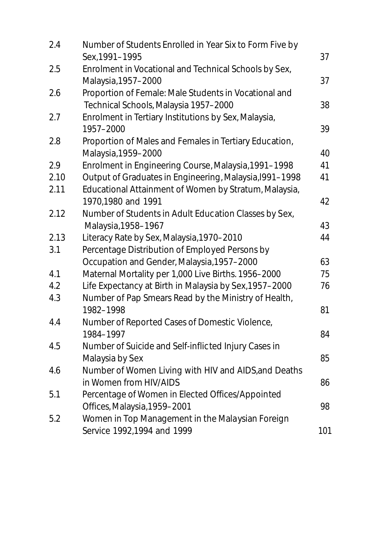| 2.4  | Number of Students Enrolled in Year Six to Form Five by<br>Sex, 1991-1995                      | 37  |
|------|------------------------------------------------------------------------------------------------|-----|
| 2.5  | Enrolment in Vocational and Technical Schools by Sex,<br>Malaysia, 1957-2000                   | 37  |
| 2.6  | Proportion of Female: Male Students in Vocational and<br>Technical Schools, Malaysia 1957-2000 | 38  |
| 2.7  | Enrolment in Tertiary Institutions by Sex, Malaysia,<br>1957-2000                              | 39  |
| 2.8  | Proportion of Males and Females in Tertiary Education,<br>Malaysia, 1959-2000                  | 40  |
| 2.9  | Enrolment in Engineering Course, Malaysia, 1991-1998                                           | 41  |
| 2.10 | Output of Graduates in Engineering, Malaysia, 1991-1998                                        | 41  |
| 2.11 | Educational Attainment of Women by Stratum, Malaysia,<br>1970,1980 and 1991                    | 42  |
| 2.12 | Number of Students in Adult Education Classes by Sex,                                          |     |
|      | Malaysia, 1958-1967                                                                            | 43  |
| 2.13 | Literacy Rate by Sex, Malaysia, 1970-2010                                                      | 44  |
| 3.1  | Percentage Distribution of Employed Persons by                                                 |     |
|      | Occupation and Gender, Malaysia, 1957-2000                                                     | 63  |
| 4.1  |                                                                                                | 75  |
|      | Maternal Mortality per 1,000 Live Births. 1956-2000                                            |     |
| 4.2  | Life Expectancy at Birth in Malaysia by Sex, 1957-2000                                         | 76  |
| 4.3  | Number of Pap Smears Read by the Ministry of Health,<br>1982-1998                              | 81  |
| 4.4  | Number of Reported Cases of Domestic Violence,                                                 |     |
|      | 1984-1997                                                                                      | 84  |
| 4.5  | Number of Suicide and Self-inflicted Injury Cases in                                           |     |
|      | Malaysia by Sex                                                                                | 85  |
| 4.6  | Number of Women Living with HIV and AIDS, and Deaths<br>in Women from HIV/AIDS                 | 86  |
| 5.1  | Percentage of Women in Elected Offices/Appointed                                               |     |
|      | Offices, Malaysia, 1959-2001                                                                   | 98  |
| 5.2  | Women in Top Management in the Malaysian Foreign                                               |     |
|      | Service 1992,1994 and 1999                                                                     | 101 |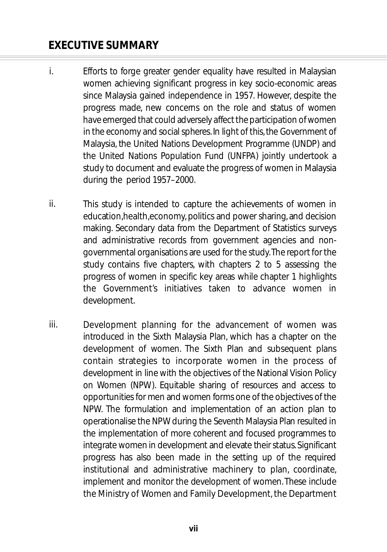- Efforts to forge greater gender equality have resulted in Malaysian women achieving significant progress in key socio-economic areas since Malaysia gained independence in 1957. However, despite the progress made, new concerns on the role and status of women have emerged that could adversely affect the participation of women in the economy and social spheres. In light of this, the Government of Malaysia, the United Nations Development Programme (UNDP) and the United Nations Population Fund (UNFPA) jointly undertook a study to document and evaluate the progress of women in Malaysia during the period 1957–2000. i.
- This study is intended to capture the achievements of women in ed u cation health economy, politics and power sharing, and decision making. Secondary data from the Department of Statistics surveys and administrative records from government agencies and nongovernmental organisations are used for the study. The report for the study contains five chapters, with chapters 2 to 5 assessing the progress of women in specific key areas while chapter 1 highlights the Government's initiatives taken to advance women in development. ii.
- Development planning for the advancement of women was introduced in the Sixth Malaysia Plan, which has a chapter on the development of women. The Sixth Plan and subsequent plans contain strategies to incorporate women in the process of development in line with the objectives of the National Vision Policy on Women (NPW). Equitable sharing of resources and access to opportunities for men and women forms one of the objectives of the NPW. The formulation and implementation of an action plan to operationalise the NPW during the Seventh Malaysia Plan resulted in the implementation of more coherent and focused programmes to integrate women in development and elevate their status. Significant progress has also been made in the setting up of the required institutional and administrative machinery to plan, coordinate, implement and monitor the development of women. These include the Ministry of Women and Family Development, the Department iii.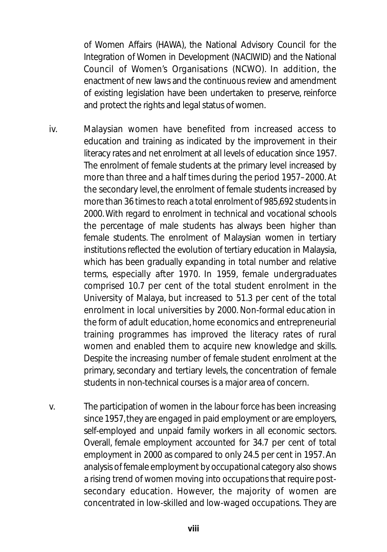of Women Affairs (HAWA), the National Advisory Council for the Integration of Women in Development (NACIWID) and the National Council of Women's Organisations (NCWO). In addition, the en actment of new laws and the continuous review and amendment of existing legislation have been undertaken to preserve, reinforce and protect the rights and legal status of women.

- Malaysian women have benefited from increased access to education and training as indicated by the improvement in their literacy rates and net enrolment at all levels of education since 1957. The enrolment of female students at the primary level increased by more than three and a half times during the period 1957–2000. At the secondary level, the enrolment of female students increased by more than 36 times to reach a total enrolment of 985,692 students in 2000. With regard to enrolment in technical and vocational schools the percentage of male students has always been higher than female students. The enrolment of Malaysian women in tertiary institutions reflected the evolution of tertiary education in Malaysia, which has been gradually expanding in total number and relative terms, especially after 1970. In 1959, female undergraduates comprised 10.7 per cent of the total student enrolment in the University of Malaya, but increased to 51.3 per cent of the total enrolment in local universities by 2000. Non-formal education in the form of adult education, home economics and entrepreneurial training programmes has improved the literacy rates of rural women and enabled them to acquire new knowledge and skills. Despite the increasing number of female student enrolment at the primary, secondary and tertiary levels, the concentration of female students in non-technical courses is a major area of concern. iv.
- The participation of women in the labour force has been increasing since 1957, they are engaged in paid employment or are employers, self-employed and unpaid family workers in all economic sectors. Overall, female employment accounted for 34.7 per cent of total employment in 2000 as compared to only 24.5 per cent in 1957. An an al ysis of female employment by occupational category also shows a rising trend of women moving into occupations that require postsecondary education. However, the majority of women are concentrated in low-skilled and low-waged occupations. They are v.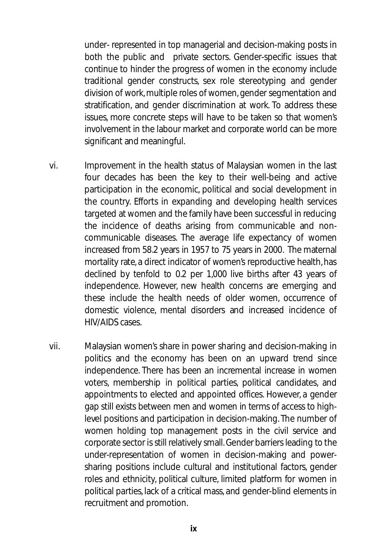under- represented in top managerial and decision-making posts in both the public and private sectors. Gender-specific issues that continue to hinder the progress of women in the economy include traditional gender constructs, sex role stereotyping and gender division of work, multiple roles of women, gender segmentation and stratification, and gender discrimination at work. To address these issues, more concrete steps will have to be taken so that women's involvement in the labour market and corporate world can be more significant and meaningful.

- Improvement in the health status of Malaysian women in the last four decades has been the key to their well-being and active participation in the economic, political and social development in the country. Efforts in expanding and developing health services targeted at women and the family have been successful in reducing the incidence of deaths arising from communicable and noncommunicable diseases. The average life expectancy of women increased from 58.2 years in 1957 to 75 years in 2000. The maternal mortality rate, a direct indicator of women's reproductive health, has declined by tenfold to 0.2 per 1,000 live births after 43 years of independence. However, new health concerns are emerging and these include the health needs of older women, occurrence of domestic violence, mental disorders and increased incidence of HIV/AIDS cases vi.
- Malaysian women's share in power sharing and decision-making in politics and the economy has been on an upward trend since independence. There has been an incremental increase in women voters, membership in political parties, political candidates, and appointments to elected and appointed offices. However, a gender gap still exists between men and women in terms of access to highlevel positions and participation in decision-making. The number of women holding top management posts in the civil service and corporate sector is still relatively small. Gender barriers leading to the under-representation of women in decision-making and powersharing positions include cultural and institutional factors, gender roles and ethnicity, political culture, limited platform for women in political parties, lack of a critical mass, and gender-blind elements in recruitment and promotion. vii.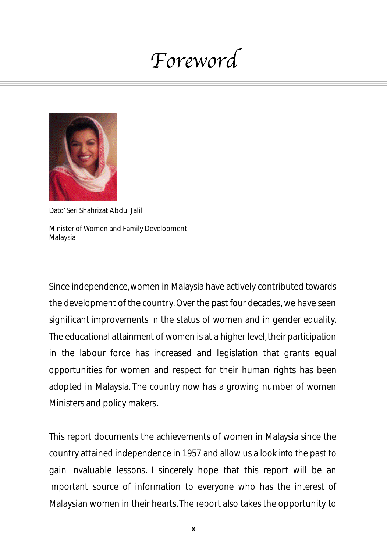## Foreword



Dato' Seri Shahrizat Abdul Jalil Minister of Women and Family Development Malaysia

Since independence,women in Malaysia have actively contributed towards the development of the country. Over the past four decades, we have seen significant improvements in the status of women and in gender equality. The educational attainment of women is at a higher level, their participation in the labour force has increased and legislation that grants equal opportunities for women and respect for their human rights has been adopted in Malaysia. The country now has a growing number of women Ministers and policy makers.

This report documents the achievements of women in Malaysia since the country attained independence in 1957 and allow us a look into the past to gain invaluable lessons. I sincerely hope that this report will be an important source of information to everyone who has the interest of Malaysian women in their hearts. The report also takes the opportunity to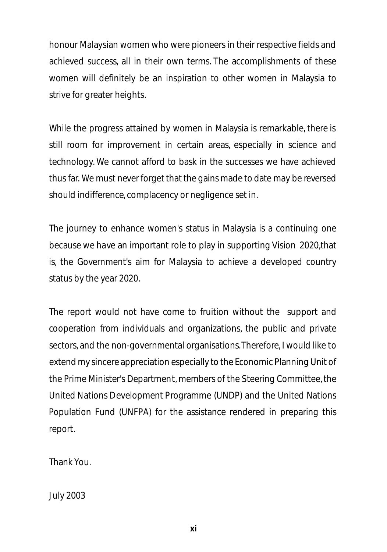honour Malaysian women who were pioneers in their respective fields and achieved success, all in their own terms. The accomplishments of these women will definitely be an inspiration to other women in Malaysia to strive for greater heights.

While the progress attained by women in Malaysia is remarkable, there is still room for improvement in certain areas, especially in science and technology. We cannot afford to bask in the successes we have achieved thus far. We must never forget that the gains made to date may be reversed should indifference, complacency or negligence set in.

The journey to enhance women's status in Malaysia is a continuing one because we have an important role to play in supporting Vision 2020,that is, the Government's aim for Malaysia to achieve a developed country status by the year 2020.

The report would not have come to fruition without the support and cooperation from individuals and organizations, the public and private sectors, and the non-governmental organisations.Therefore, I would like to extend my sincere appreciation especially to the Economic Planning Unit of the Prime Minister's Department, members of the Steering Committee, the United Nations Development Programme (UNDP) and the United Nations Population Fund (UNFPA) for the assistance rendered in preparing this report.

Thank You.

July 2003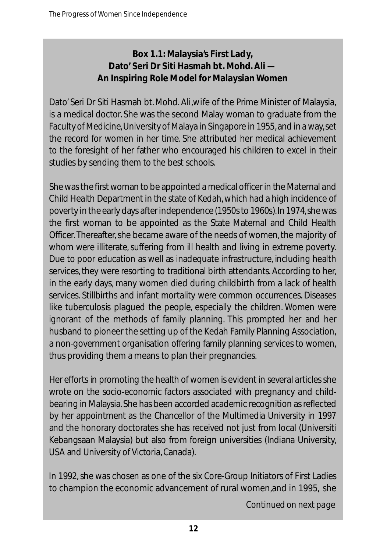#### **Box 1.1: Malaysia's First Lady, Dato' Seri Dr Siti Hasmah bt. Mohd. Ali — An Inspiring Role Model for Malaysian Women**

Dato' Seri Dr Siti Hasmah bt. Mohd. Ali, wife of the Prime Minister of Malaysia, is a medical doctor. She was the second Malay woman to graduate from the Faculty of Medicine, University of Malaya in Singapore in 1955, and in a way, set the record for women in her time. She attributed her medical achievement to the fore sight of her father who encouraged his children to excel in their studies by sending them to the best schools.

She was the first woman to be appointed a medical officer in the Maternal and Child Health Department in the state of Kedah, which had a high incidence of poverty in the early days after independence (1950s to 1960s). In 1974, she was the first woman to be appointed as the State Maternal and Child Health Officer. Thereafter, she became aware of the needs of women, the majority of whom were illiterate, suffering from ill health and living in extreme poverty. Due to poor education as well as inadequate infrastructure, including health services, they were resorting to traditional birth attendants. According to her, in the early days, many women died during childbirth from a lack of health services. Still births and infant mortality were common occurrences. Diseases like tuberculosis plagued the people, especially the children. Women were ignorant of the methods of family planning. This prompted her and her husband to pioneer the setting up of the Kedah Family Planning Association, a non-government organisation offering family planning services to women, thus providing them a means to plan their pregnancies.

Her efforts in promoting the health of women is evident in several articles she wrote on the socio-economic factors associated with pregnancy and childbearing in Malaysia. She has been accorded academic recognition as reflected by her appointment as the Chancellor of the Multimedia University in 1997 and the honorary doctorates she has received not just from local (Universiti Kebangsaan Malaysia) but also from foreign universities (Indiana University, USA and University of Victoria, Canada).

In 1992, she was chosen as one of the six Core-Group Initiators of First Ladies to champion the economic advancement of rural women,and in 1995, she

*Continued on next page*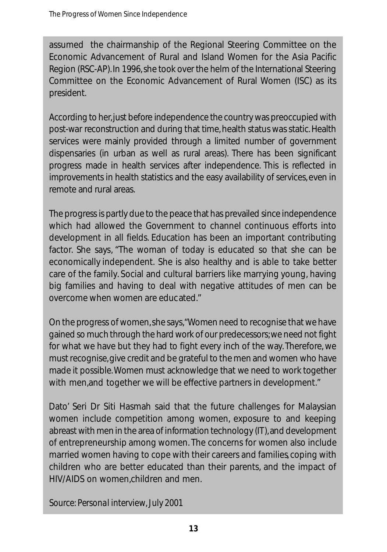assumed the chairmanship of the Regional Steering Committee on the Economic Advancement of Rural and Island Women for the Asia Pacific Region (RSC-AP). In 1996, she took over the helm of the International Steering Committee on the Economic Advancement of Rural Women (ISC) as its president.

According to her, just before independence the country was preoccupied with post-war reconstruction and during that time, health status was static. Health services were mainly provided through a limited number of government dispensaries (in urban as well as rural areas). There has been significant progress made in health services after independence. This is reflected in im provements in health statistics and the easy availability of services, even in remote and rural areas.

The progress is partly due to the peace that has prevailed since independence which had allowed the Government to channel continuous efforts into development in all fields. Education has been an important contributing factor. She says, "The woman of today is educated so that she can be economically independent. She is also healthy and is able to take better care of the family. Social and cultural barriers like marrying young, having big families and having to deal with negative attitudes of men can be overcome when women are educated."

On the progress of women, she says, "Women need to recognise that we have gained so much through the hard work of our predecessors; we need not fight for what we have but they had to fight every inch of the way. Therefore, we must recognise, give credit and be grateful to the men and women who have made it possible. Women must acknowledge that we need to work together with men, and together we will be effective partners in development."

Dato' Seri Dr Siti Hasmah said that the future challenges for Malaysian women include competition among women, exposure to and keeping abreast with men in the area of information technology (IT), and development of entrepreneurship among women. The concerns for women also include married women having to cope with their careers and families, coping with children who are better educated than their parents, and the impact of HIV/AIDS on women,children and men.

*Source: Personal interview, July 2001*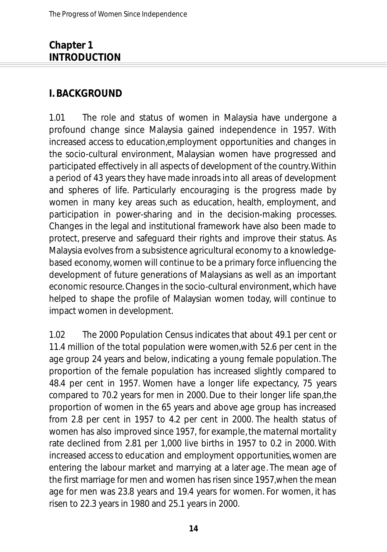#### **Chapter 1 INTRODUCTION**

#### **I. BACKGROUND**

1.01 The role and status of women in Malaysia have undergone a profound change since Malaysia gained independence in 1957. With increased access to education,employment opportunities and changes in the socio-cultural environment, Malaysian women have progressed and participated effectively in all aspects of development of the country.Within a period of 43 years they have made inroads into all areas of development and spheres of life. Particularly encouraging is the progress made by women in many key areas such as education, health, employment, and participation in power-sharing and in the decision-making processes. Changes in the legal and institutional framework have also been made to protect, preserve and safeguard their rights and improve their status. As Malaysia evolves from a subsistence agricultural economy to a knowledgebased economy, women will continue to be a primary force influencing the development of future generations of Malaysians as well as an important economic resource. Changes in the socio-cultural environment, which have helped to shape the profile of Malaysian women today, will continue to impact women in development.

1.02 The 2000 Population Census indicates that about 49.1 per cent or 11.4 million of the total population were women,with 52.6 per cent in the age group 24 years and below, indicating a young female population. The proportion of the female population has increased slightly compared to 48.4 per cent in 1957. Women have a longer life expectancy, 75 years compared to 70.2 years for men in 2000. Due to their longer life span,the proportion of women in the 65 years and above age group has increased from 2.8 per cent in 1957 to 4.2 per cent in 2000. The health status of women has also improved since 1957, for example, the maternal mortality rate declined from 2.81 per 1,000 live births in 1957 to 0.2 in 2000. With increased access to education and employment opportunities, women are entering the labour market and marrying at a later age. The mean age of the first marriage for men and women has risen since 1957,when the mean age for men was 23.8 years and 19.4 years for women. For women, it has risen to 22.3 years in 1980 and 25.1 years in 2000.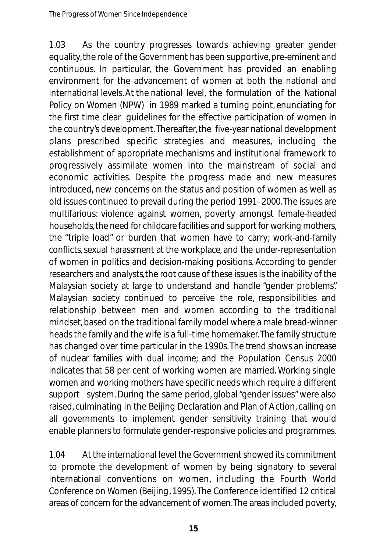1.03 As the country progresses towards achieving greater gender equality, the role of the Government has been supportive, pre-eminent and continuous. In particular, the Government has provided an enabling environment for the advancement of women at both the national and international levels. At the national level, the formulation of the National Policy on Women (NPW) in 1989 marked a turning point, enunciating for the first time clear guidelines for the effective participation of women in the country's development. Thereafter, the five-year national development plans prescribed specific strategies and measures, including the establishment of appropriate mechanisms and institutional framework to progressively assimilate women into the mainstream of social and economic activities. Despite the progress made and new measures introduced, new concerns on the status and position of women as well as old issues continued to prevail during the period 1991–2000.The issues are multifarious: violence against women, poverty amongst female-headed households, the need for childcare facilities and support for working mothers, the "triple load" or burden that women have to carry; work-and-family conflicts, sexual haras sment at the workplace, and the under-representation of women in politics and decision-making positions. According to gender researchers and analysts, the root cause of these issues is the inability of the Malaysian society at large to understand and handle "gender problems". Malaysian society continued to perceive the role, responsibilities and relationship between men and women according to the traditional mindset, based on the traditional family model where a male bread-winner heads the family and the wife is a full-time homemaker.The family structure has changed over time particular in the 1990s. The trend shows an increase of nuclear families with dual income; and the Population Census 2000 indicates that 58 per cent of working women are married. Working single women and working mothers have specific needs which require a different support system. During the same period, global "gender issues" were also raised, culminating in the Beijing Declaration and Plan of Action, calling on all governments to implement gender sensitivity training that would enable planners to formulate gender-responsive policies and programmes.

1.04 At the international level the Government showed its commitment to promote the development of women by being signatory to several international conventions on women, including the Fourth World Conference on Women (Beijing, 1995).The Conference identified 12 critical areas of concern for the advancement of women. The areas included poverty,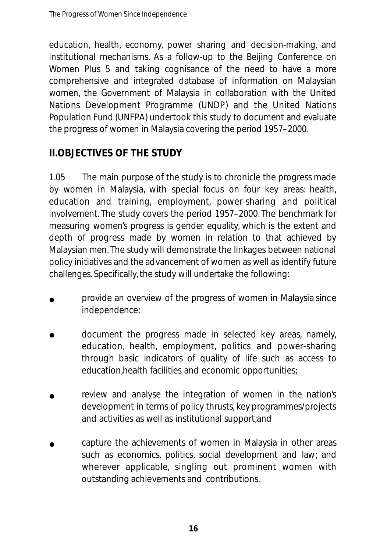education, health, economy, power sharing and decision-making, and institutional mechanisms. As a follow-up to the Beijing Conference on Women Plus 5 and taking cognisance of the need to have a more comprehensive and integrated database of information on Malaysian women, the Government of Malaysia in collaboration with the United Nations Development Programme (UNDP) and the United Nations Population Fund (UNFPA) undertook this study to document and evaluate the progress of women in Malaysia covering the period 1957–2000.

#### **II.OBJECTIVES OF THE STUDY**

1.05 The main purpose of the study is to chronicle the progress made by women in Malaysia, with special focus on four key areas: health, education and training, employment, power-sharing and political involvement. The study covers the period 1957–2000. The benchmark for measuring women's progress is gender equality, which is the extent and depth of progress made by women in relation to that achieved by Malaysian men. The study will demonstrate the linkages between national policy initiatives and the advancement of women as well as identify future challenges. Specifically, the study will undertake the following:

- provide an overview of the progress of women in Malaysia since independence; •
- document the progress made in selected key areas, namely, education, health, employment, politics and power-sharing through basic indicators of quality of life such as access to education,health facilities and economic opportunities; •
- review and analyse the integration of women in the nation's development in terms of policy thrusts, key programmes/projects and activities as well as institutional support;and •
- capture the achievements of women in Malaysia in other areas such as economics, politics, social development and law; and wherever applicable, singling out prominent women with outstanding achievements and contributions. •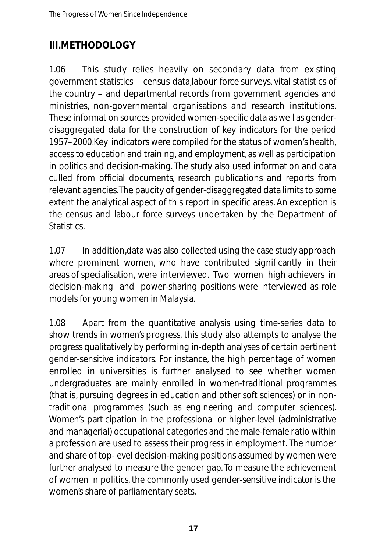#### **III.METHODOLOGY**

1.06 This study relies heavily on secondary data from existing government statistics – census data,labour force surveys, vital statistics of the country – and departmental records from government agencies and ministries, non-governmental organisations and research institutions. These information sources provided women-specific data as well as genderdisaggregated data for the construction of key indicators for the period 1957–2000.Key indicators were compiled for the status of women's health, access to education and training, and employment, as well as participation in politics and decision-making. The study also used information and data culled from official documents, research publications and reports from relevant agencies.The paucity of gender-disaggregated data limits to some extent the analytical aspect of this report in specific areas. An exception is the census and labour force surveys undertaken by the Department of **Statistics** 

1.07 In addition,data was also collected using the case study approach where prominent women, who have contributed significantly in their areas of specialisation, were interviewed. Two women high achievers in decision-making and power-sharing positions were interviewed as role models for young women in Malaysia.

1.08 Apart from the quantitative analysis using time-series data to show trends in women's progress, this study also attempts to analyse the progress qualitatively by performing in-depth analyses of certain pertinent gender-sensitive indicators. For instance, the high percentage of women enrolled in universities is further analysed to see whether women undergraduates are mainly enrolled in women-traditional programmes (that is, pursuing degrees in education and other soft sciences) or in nontraditional programmes (such as engineering and computer sciences). Women's participation in the professional or higher-level (administrative and managerial) occupational categories and the male-female ratio within a profession are used to assess their progress in employment. The number and share of top-level decision-making positions assumed by women were further analysed to measure the gender gap. To measure the achievement of women in politics, the commonly used gender-sensitive indicator is the women's share of parliamentary seats.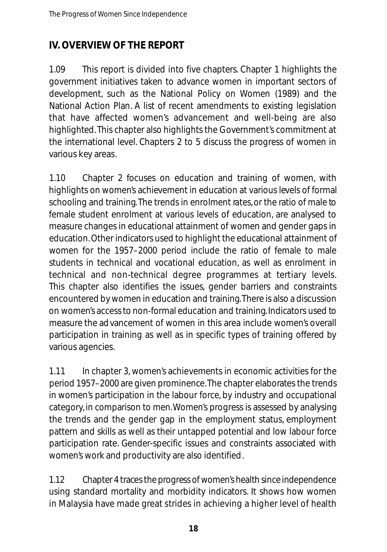#### **IV. OVERVIEW OF THE REPORT**

1.09 This report is divided into five chapters. Chapter 1 highlights the government initiatives taken to advance women in important sectors of development, such as the National Policy on Women (1989) and the National Action Plan. A list of recent amendments to existing legislation that have affected women's advancement and well-being are also highlighted. This chapter also highlights the Government's commitment at the international level. Chapters 2 to 5 discuss the progress of women in various key areas.

1.10 Chapter 2 focuses on education and training of women, with highlights on women's achievement in education at various levels of formal schooling and training. The trends in enrolment rates, or the ratio of male to female student enrolment at various levels of education, are analysed to measure changes in educational attainment of women and gender gaps in education.Other indicators used to highlight the educational attainment of women for the 1957–2000 period include the ratio of female to male students in technical and vocational education, as well as enrolment in te chnical and non-te chnical degree programmes at tertiary levels. This chapter also identifies the issues, gender barriers and constraints encountered by women in education and training.There is also a discussion on women's access to non-formal education and training. Indicators used to measure the advancement of women in this area include women's overall participation in training as well as in specific types of training offered by various agencies.

1.11 In chapter 3, women's achievements in economic activities for the period 1957–2000 are given prominence.The chapter elaborates the trends in women's participation in the labour force, by industry and occupational category, in comparison to men.Women's progress is assessed by analysing the trends and the gender gap in the employment status, employment pattern and skills as well as their untapped potential and low labour force participation rate. Gender-specific issues and constraints associated with women's work and productivity are also identified.

1.12 Chapter 4 traces the progress of women's health since independence using standard mortality and morbidity indicators. It shows how women in Malaysia have made great strides in achieving a higher level of health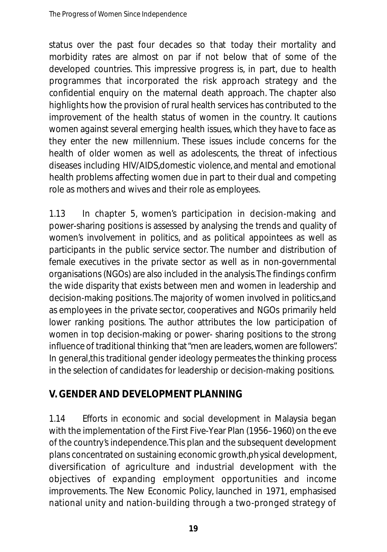status over the past four decades so that today their mortality and morbidity rates are almost on par if not below that of some of the developed countries. This impressive progress is, in part, due to health programmes that incorporated the risk approach strategy and the confidential enquiry on the maternal death approach. The chapter also highlights how the provision of rural health services has contributed to the improvement of the health status of women in the country. It cautions women against several emerging health issues, which they have to face as they enter the new millennium. These issues include concerns for the health of older women as well as adolescents, the threat of infectious diseases including HIV/AIDS,domestic violence, and mental and emotional health problems affecting women due in part to their dual and competing role as mothers and wives and their role as employees.

1.13 In chapter 5, women's participation in decision-making and power-sharing positions is assessed by analysing the trends and quality of women's involvement in politics, and as political appointees as well as participants in the public service sector. The number and distribution of female executives in the private sector as well as in non-governmental organisations (NGOs) are also included in the analysis.The findings confirm the wide disparity that exists between men and women in leadership and decision-making positions. The majority of women involved in politics,and as employees in the private sector, cooperatives and NGOs primarily held lower ranking positions. The author attributes the low participation of women in top decision-making or power- sharing positions to the strong influence of traditional thinking that "men are leaders, women are followers". In general,this traditional gender ideology permeates the thinking process in the selection of candidates for leadership or decision-making positions.

#### **V.GENDER AND DEVELOPMENT PLANNING**

1.14 Efforts in economic and social development in Malaysia began with the implementation of the First Five-Year Plan (1956–1960) on the eve of the country's independence.This plan and the subsequent development plans concentrated on sustaining economic growth,physical development, diversification of agriculture and industrial development with the objectives of expanding employment opportunities and income improvements. The New Economic Policy, launched in 1971, emphasised national unity and nation-building through a two-pronged strategy of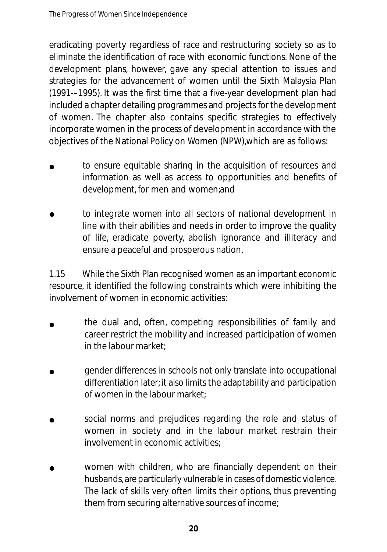eradicating poverty regardless of race and restructuring society so as to eliminate the identification of race with economic functions. None of the development plans, however, gave any special attention to issues and strategies for the advancement of women until the Sixth Malaysia Plan (1991-–1995). It was the first time that a five-year development plan had included a chapter detailing programmes and projects for the development of women. The chapter also contains specific strategies to effectively incorporate women in the process of development in accordance with the objectives of the National Policy on Women (NPW),which are as follows:

- to ensure equitable sharing in the acquisition of resources and information as well as access to opportunities and benefits of development, for men and women;and •
- to integrate women into all sectors of national development in line with their abilities and needs in order to improve the quality of life, eradicate poverty, abolish ignorance and illiteracy and ensure a peaceful and prosperous nation. •

1.15 While the Sixth Plan recognised women as an important economic resource, it identified the following constraints which were inhibiting the involvement of women in economic activities:

- the dual and, often, competing responsibilities of family and career restrict the mobility and increased participation of women in the labour market; •
- gender differences in schools not only translate into occupational differentiation later; it also limits the adaptability and participation of women in the labour market •
- social norms and prejudices regarding the role and status of women in society and in the labour market restrain their involvement in economic activities; •
- women with children, who are financially dependent on their husbands, are particularly vulnerable in cases of domestic violence. The lack of skills very often limits their options, thus preventing them from securing alternative sources of income; •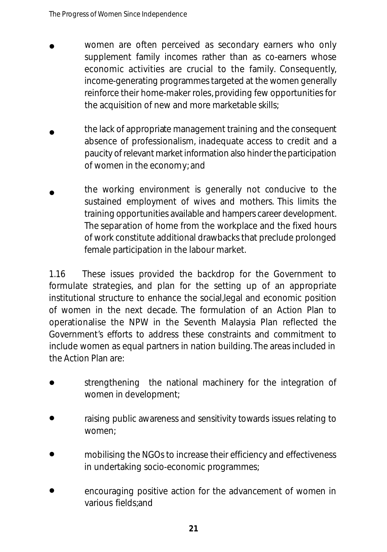- women are often perceived as secondary earners who only supplement family incomes rather than as co-earners whose economic activities are crucial to the family. Consequently, in come-generating programmes targeted at the women generally reinforce their home-maker roles, providing few opportunities for the acquisition of new and more marketable skills; •
- the lack of appropriate management training and the consequent absence of professionalism, inadequate access to credit and a p au city of relevant market information also hinder the participation of women in the economy; and •
- the working environment is generally not conducive to the sustained employment of wives and mothers. This limits the training opportunities available and hampers career development. The separation of home from the workplace and the fixed hours of work constitute additional drawbacks that preclude prolonged female participation in the labour market. •

1.16 These issues provided the backdrop for the Government to formulate strategies, and plan for the setting up of an appropriate institutional structure to enhance the social,legal and economic position of women in the next decade. The formulation of an Action Plan to operationalise the NPW in the Seventh Malaysia Plan reflected the Government's efforts to address these constraints and commitment to include women as equal partners in nation building. The areas included in the Action Plan are:

- strengthening the national machinery for the integration of women in development; •
- raising public awareness and sensitivity towards issues relating to women<sup>.</sup> •
- mobilising the NGOs to increase their efficiency and effectiveness in undertaking socio-economic programmes; •
- encouraging positive action for the advancement of women in various fields;and •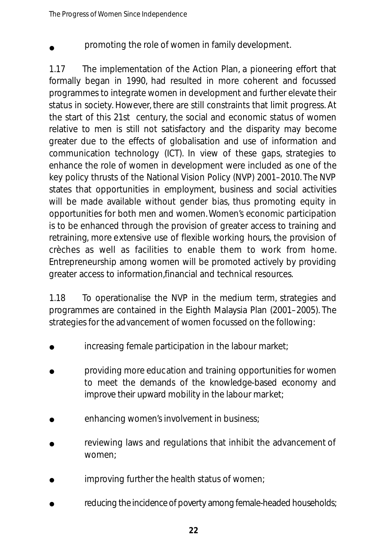promoting the role of women in family development. •

1.17 The implementation of the Action Plan, a pioneering effort that formally began in 1990, had resulted in more coherent and focussed programmes to integrate women in development and further elevate their status in society. However, there are still constraints that limit progress. At the start of this 21st century, the social and economic status of women relative to men is still not satisfactory and the disparity may become greater due to the effects of globalisation and use of information and communication technology (ICT). In view of these gaps, strategies to enhance the role of women in development were included as one of the key policy thrusts of the National Vision Policy (NVP) 2001–2010. The NVP states that opportunities in employment, business and social activities will be made available without gender bias, thus promoting equity in opportunities for both men and women.Women's economic participation is to be enhanced through the provision of greater access to training and retraining, more extensive use of flexible working hours, the provision of crèches as well as facilities to enable them to work from home. Entrepreneurship among women will be promoted actively by providing greater access to information,financial and technical resources.

1.18 To operationalise the NVP in the medium term, strategies and programmes are contained in the Eighth Malaysia Plan (2001–2005). The strategies for the advancement of women focussed on the following:

- increasing female participation in the labour market; •
- providing more education and training opportunities for women to meet the demands of the knowledge-based economy and improve their upward mobility in the labour market; •
- enhancing women's involvement in business; •
- reviewing laws and regulations that inhibit the advancement of women; •
- improving further the health status of women; •
- reducing the incidence of poverty among female-headed households; •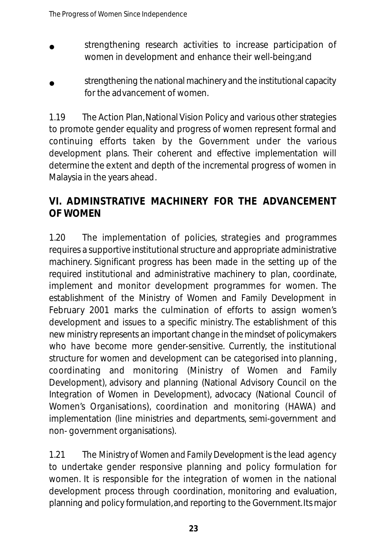- strengthening research activities to increase participation of women in development and enhance their well-being;and •
- strengthening the national machinery and the institutional capacity for the advancement of women. •

1.19 The Action Plan,National Vision Policy and various other strategies to promote gender equality and progress of women represent formal and continuing efforts taken by the Government under the various development plans. Their coherent and effective implementation will determine the extent and depth of the incremental progress of women in Malaysia in the years ahead.

#### **VI. ADMINSTRATIVE MACHINERY FOR THE ADVANCEMENT OF WOMEN**

1.20 The implementation of policies, strategies and programmes requires a supportive institutional structure and appropriate administrative machinery. Significant progress has been made in the setting up of the required institutional and administrative machinery to plan, coordinate, implement and monitor development programmes for women. The establishment of the Ministry of Women and Family Development in February 2001 marks the culmination of efforts to assign women's development and issues to a specific ministry. The establishment of this new ministry represents an important change in the mindset of policymakers who have become more gender-sensitive. Currently, the institutional structure for women and development can be categorised into planning, coordinating and monitoring (Ministry of Women and Family Development), advisory and planning (National Advisory Council on the Integration of Women in Development), advocacy (National Council of Women's Organisations), coordination and monitoring (HAWA) and implementation (line ministries and departments, semi-government and non- government organisations).

1.21 The *Ministry of Women and Family Development* is the lead agency to undertake gender responsive planning and policy formulation for women. It is responsible for the integration of women in the national development process through coordination, monitoring and evaluation, planning and policy formulation, and reporting to the Government. Its major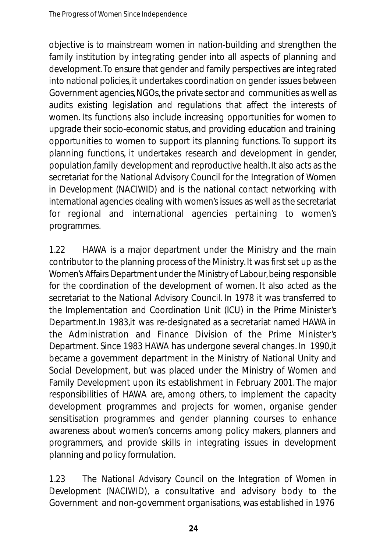objective is to mainstream women in nation-building and strengthen the family institution by integrating gender into all aspects of planning and development. To ensure that gender and family perspectives are integrated into national policies, it undertakes coordination on gender issues between Government agencies,NGOs,the private sector and communities as well as audits existing legislation and regulations that affect the interests of women. Its functions also include increasing opportunities for women to upgrade their socio-economic status, and providing education and training opportunities to women to support its planning functions. To support its planning functions, it undertakes research and development in gender, population,family development and reproductive health. It also acts as the secretariat for the National Advisory Council for the Integration of Women in Development (NACIWID) and is the national contact networking with international agencies dealing with women's issues as well as the secretariat for regional and international agencies pertaining to women's programmes.

1.22 HAWA is a major department under the Ministry and the main contributor to the planning process of the Ministry. It was first set up as the Women's Affairs Department under the Ministry of Labour, being responsible for the coordination of the development of women. It also acted as the secretariat to the National Advisory Council. In 1978 it was transferred to the Implementation and Coordination Unit (ICU) in the Prime Minister's Department.In 1983,it was re-designated as a secretariat named HAWA in the Administration and Finance Division of the Prime Minister's Department. Since 1983 HAWA has undergone several changes. In 1990,it became a government department in the Ministry of National Unity and Social Development, but was placed under the Ministry of Women and Family Development upon its establishment in February 2001. The major responsibilities of HAWA are, among others, to implement the capacity development programmes and projects for women, organise gender sensitisation programmes and gender planning courses to enhance awareness about women's concerns among policy makers, planners and programmers, and provide skills in integrating issues in development planning and policy formulation.

1.23 The *National Advisory Council on the Integration of Women in Development (NACIWID)*, a consultative and advisory body to the Government and non-government organisations, was established in 1976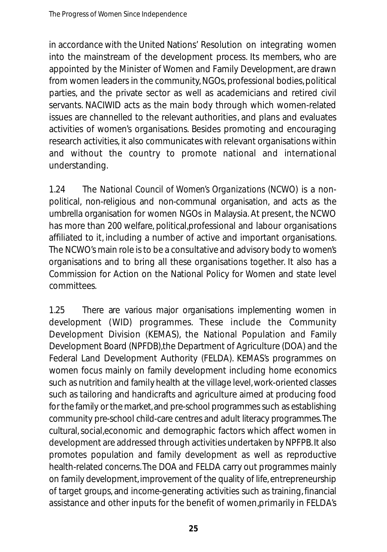in accordance with the United Nations' Resolution on integrating women into the mainstream of the development process. Its members, who are appointed by the Minister of Women and Family Development, are drawn from women leaders in the community,NGOs, professional bodies, political parties, and the private sector as well as academicians and retired civil servants. NACIWID acts as the main body through which women-related issues are channelled to the relevant authorities, and plans and evaluates activities of women's organisations. Besides promoting and encouraging research activities, it also communicates with relevant organisations within and without the country to promote national and international understanding.

1.24 The *National Council of Women's Organizations (NCWO)* is a nonpolitical, non-religious and non-communal organisation, and acts as the umbrella organisation for women NGOs in Malaysia. At present, the NCWO has more than 200 welfare, political,professional and labour organisations affiliated to it, including a number of active and important organisations. The NCWO's main role is to be a consultative and advisory body to women's organisations and to bring all these organisations together. It also has a Commission for Action on the National Policy for Women and state level committees.

1.25 There are various major organisations implementing women in development (WID) programmes. These include the Community Development Division (KEMAS), the National Population and Family Development Board (NPFDB),the Department of Agriculture (DOA) and the Federal Land Development Authority (FELDA). KEMAS's programmes on women focus mainly on family development including home economics such as nutrition and family health at the village level, work-oriented classes such as tailoring and handicrafts and agriculture aimed at producing food for the family or the market, and pre-school programmes such as establishing community pre-school child-care centres and adult literacy programmes. The cultural, social, economic and demographic factors which affect women in development are addressed through activities undertaken by NPFPB. It also promotes population and family development as well as reproductive health-related concerns. The DOA and FELDA carry out programmes mainly on family development, improvement of the quality of life, entrepreneurship of target groups, and income-generating activities such as training, financial assistance and other inputs for the benefit of women, primarily in FELDA's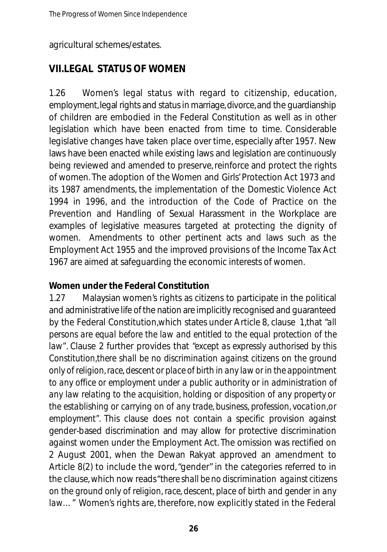agricultural schemes/estates.

#### **VII.LEGAL STATUS OF WOMEN**

1.26 Women's legal status with regard to citizenship, education, employment, legal rights and status in marriage, divorce, and the guardianship of children are embodied in the Federal Constitution as well as in other legislation which have been enacted from time to time. Considerable legislative changes have taken place over time, especially after 1957. New laws have been enacted while existing laws and legislation are continuously being reviewed and amended to preserve, reinforce and protect the rights of women. The adoption of the Women and Girls' Protection Act 1973 and its 1987 amendments, the implementation of the Domestic Violence Act 1994 in 1996, and the introduction of the Code of Practice on the Prevention and Handling of Sexual Harassment in the Workplace are examples of legislative measures targeted at protecting the dignity of women. Amendments to other pertinent acts and laws such as the Employment Act 1955 and the improved provisions of the Income Tax Act 1967 are aimed at safeguarding the economic interests of women.

#### **Women under the Federal Constitution**

1.27 Malaysian women's rights as citizens to participate in the political and administrative life of the nation are implicitly recognised and guaranteed by the Federal Constitution,which states under Article 8, clause 1,that *"all persons are equal before the law and entitled to the equal protection of the law"*. Clause 2 further provides that *"except as expressly authorised by this Constitution,there shall be no discrimination against citizens on the ground only of religion,race, descent or place of birth in any law or in the appointment to any office or employment under a public authority or in administration of any law relating to the acquisition, holding or disposition of any property or the establishing or carrying on of any trade, business, profession, vocation, or employment"*. This clause does not contain a specific provision against gender-based discrimination and may allow for protective discrimination against women under the Employment Act. The omission was rectified on 2 August 2001, when the Dewan Rakyat approved an amendment to Article 8(2) to include the word, "gender" in the categories referred to in the clause, which now reads*"there shall be no discrimination against citizens on the ground only of religion, race, descent, place of birth and gender in any law...*" Women's rights are, therefore, now explicitly stated in the Federal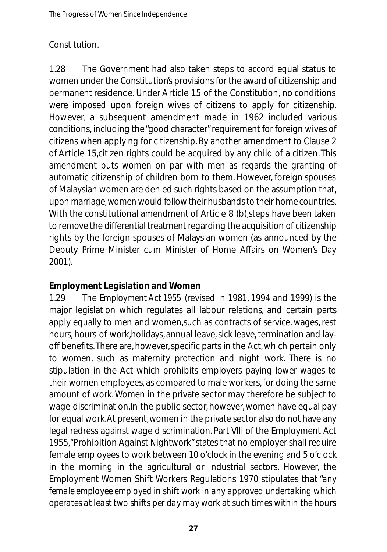#### Constitution.

1.28 The Government had also taken steps to accord equal status to women under the Constitution's provisions for the award of citizenship and permanent residence. Under Article 15 of the Constitution, no conditions were imposed upon foreign wives of citizens to apply for citizenship. However, a subsequent amendment made in 1962 included various conditions, including the "good character" requirement for foreign wives of citizens when applying for citizenship. By another amendment to Clause 2 of Article 15,citizen rights could be acquired by any child of a citizen.This amendment puts women on par with men as regards the granting of automatic citizenship of children born to them. However, foreign spouses of Malaysian women are denied such rights based on the assumption that, upon marriage, women would follow their husbands to their home countries. With the constitutional amendment of Article 8 (b),steps have been taken to remove the differential treatment regarding the acquisition of citizenship rights by the foreign spouses of Malaysian women (as announced by the Deputy Prime Minister cum Minister of Home Affairs on Women's Day 2001).

#### **Employment Legislation and Women**

1.29 The *Employment Act 1955* (revised in 1981, 1994 and 1999) is the major legislation which regulates all labour relations, and certain parts apply equally to men and women,such as contracts of service, wages, rest hours, hours of work, holidays, annual leave, sick leave, termination and layoff benefits.There are, however,specific parts in the Act, which pertain only to women, such as maternity protection and night work. There is no stipulation in the Act which prohibits employers paying lower wages to their women employees, as compared to male workers, for doing the same amount of work. Women in the private sector may therefore be subject to wage discrimination.In the public sector, however, women have equal pay for equal work.At present,women in the private sector also do not have any legal redress against wage discrimination. Part VIII of the Employment Act 1955,"Prohibition Against Nightwork"states that no employer shall require female employees to work between 10 o'clock in the evening and 5 o'clock in the morning in the agricultural or industrial sectors. However, the Employment Women Shift Workers Regulations 1970 stipulates that *"any female employee employed in shift work in any approved undertaking which o pe ra tes at least two shifts per day may work at such times within the hours*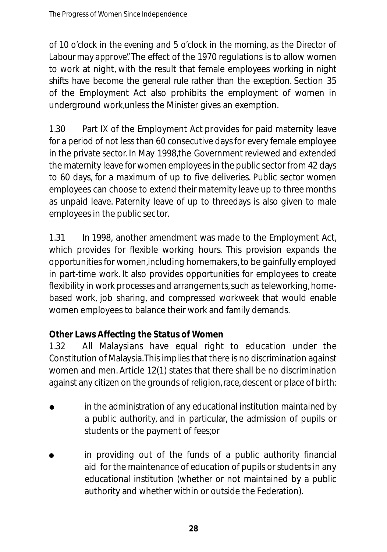*of 10 o'clock in the evening and 5 o'clock in the morning, as the Director of Labour may approve".* The effect of the 1970 regulations is to allow women to work at night, with the result that female employees working in night shifts have become the general rule rather than the exception. Section 35 of the Employment Act also prohibits the employment of women in underground work,unless the Minister gives an exemption.

1.30 Part IX of the Employment Act provides for paid maternity leave for a period of not less than 60 consecutive days for every female employee in the private sector. In May 1998,the Government reviewed and extended the maternity leave for women employees in the public sector from 42 days to 60 days, for a maximum of up to five deliveries. Public sector women employees can choose to extend their maternity leave up to three months as unpaid leave. Paternity leave of up to threedays is also given to male employees in the public sector.

1.31 In 1998, another amendment was made to the Employment Act, which provides for flexible working hours. This provision expands the opportunities for women,including homemakers, to be gainfully employed in part-time work. It also provides opportunities for employees to create flexibility in work processes and arrangements,such as teleworking, homebased work, job sharing, and compressed workweek that would enable women employees to balance their work and family demands.

#### **Other Laws Affecting the Status of Women**

1.32 All Malaysians have equal right to education under the Constitution of Malaysia.This implies that there is no discrimination against women and men. Article 12(1) states that there shall be no discrimination against any citizen on the grounds of religion, race, descent or place of birth:

- in the administration of any educational institution maintained by a public authority, and in particular, the admission of pupils or students or the payment of fees;or •
- in providing out of the funds of a public authority financial aid for the maintenance of education of pupils or students in any educational institution (whether or not maintained by a public authority and whether within or outside the Federation). •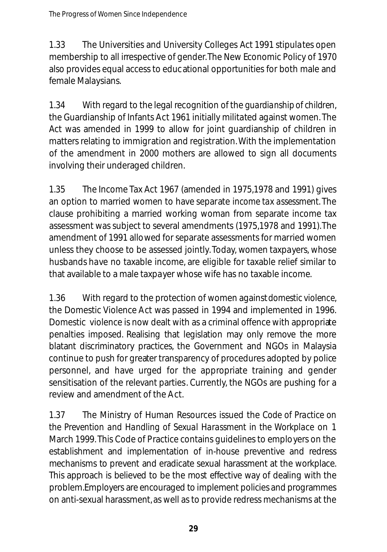1.33 The Universities and University Colleges Act 1991 stipulates open membership to all irrespective of gender.The New Economic Policy of 1970 also provides equal access to educational opportunities for both male and female Malaysians.

1.34 With regard to the legal recognition of the *guardianship of children*, the Guardianship of Infants Act 1961 initially militated against women. The Act was amended in 1999 to allow for joint guardianship of children in matters relating to immigration and registration.With the implementation of the amendment in 2000 mothers are allowed to sign all documents involving their underaged children.

1.35 The Income Tax Act 1967 (amended in 1975,1978 and 1991) gives an option to married women to have separate *income tax assessment*. The clause prohibiting a married working woman from separate income tax assessment was subject to several amendments (1975,1978 and 1991).The amendment of 1991 allowed for separate assessments for married women unless they choose to be assessed jointly. Today, women taxpayers, whose husbands have no taxable income, are eligible for taxable relief similar to that available to a male taxpayer whose wife has no taxable income.

1.36 With regard to the protection of women against *domestic violence*, the Domestic Violence Act was passed in 1994 and implemented in 1996. Domestic violence is now dealt with as a criminal offence with appropriate penalties imposed. Realising that legislation may only remove the more blatant discriminatory practices, the Government and NGOs in Malaysia continue to push for greater transparency of procedures adopted by police personnel, and have urged for the appropriate training and gender sensitisation of the relevant parties. Currently, the NGOs are pushing for a review and amendment of the Act.

1.37 The Ministry of Human Resources issued the *Code of Practice on the Prevention and Handling of Sexual Harassment in the Workplace* on 1 March 1999. This Code of Practice contains guidelines to employers on the establishment and implementation of in-house preventive and redress mechanisms to prevent and eradicate sexual harassment at the workplace. This approach is believed to be the most effective way of dealing with the problem. Employers are encouraged to implement policies and programmes on anti-sexual harassment, as well as to provide redress mechanisms at the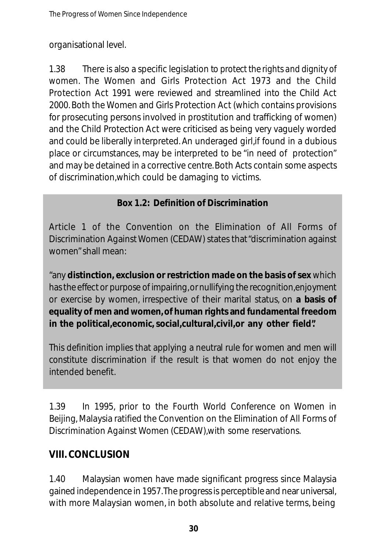organisational level.

1.38 There is also a specific legislation to *protect the rights and dignity of women*. The Women and Girls Protection Act 1973 and the Child Protection Act 1991 were reviewed and streamlined into the Child Act 2000. Both the Women and Girls Protection Act (which contains provisions for prosecuting persons involved in prostitution and trafficking of women) and the Child Protection Act were criticised as being very vaguely worded and could be liberally interpreted. An underaged girl,if found in a dubious place or circumstances, may be interpreted to be "in need of protection" and may be detained in a corrective centre.Both Acts contain some aspects of discrimination,which could be damaging to victims.

#### **Box 1.2: Definition of Discrimination**

Article 1 of the Convention on the Elimination of All Forms of Discrimination Against Women (CEDAW) states that"discrimination against women"shall mean:

"any **distinction, exclusion or restriction made on the basis of sex** which has the effect or purpose of impairing, or nullifying the recognition, enjoyment or exercise by women, irrespective of their marital status, on **a basis of equality of men and women, of human rights and fundamental freedom in the political,economic, social,cultural,civil,or any other field".**

This definition implies that applying a neutral rule for women and men will constitute discrimination if the result is that women do not enjoy the intended benefit.

1.39 In 1995, prior to the Fourth World Conference on Women in Beijing, Malaysia ratified the Convention on the Elimination of All Forms of Discrimination Against Women (CEDAW),with some reservations.

#### **VIII. CONCLUSION**

1.40 Malaysian women have made significant progress since Malaysia gained independence in 1957. The progress is perceptible and near universal, with more Malaysian women, in both absolute and relative terms, being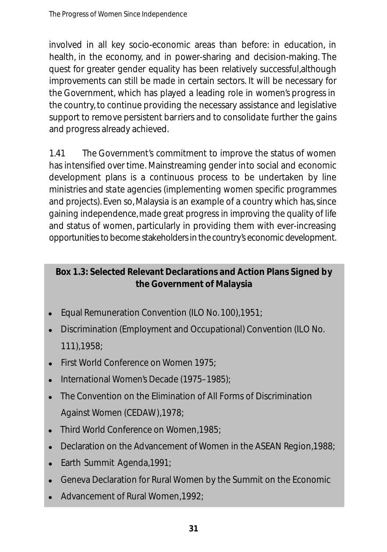involved in all key socio-economic areas than before: in education, in health, in the economy, and in power-sharing and decision-making. The quest for greater gender equality has been relatively successful,although improvements can still be made in certain sectors. It will be necessary for the Government, which has played a leading role in women's progress in the country, to continue providing the necessary assistance and legislative support to remove persistent barriers and to consolidate further the gains and progress already achieved.

1.41 The Government's commitment to improve the status of women has intensified over time. Mainstreaming gender into social and economic development plans is a continuous process to be undertaken by line ministries and state agencies (implementing women specific programmes and projects). Even so, Malaysia is an example of a country which has, since gaining independence, made great progress in improving the quality of life and status of women, particularly in providing them with ever-increasing opportunities to become stakeholders in the country's economic development.

#### **Box 1.3: Selected Relevant Declarations and Action Plans Signed by the Government of Malaysia**

- Equal Remuneration Convention (ILO No. 100),1951; •
- Discrimination (Employment and Occupational) Convention (ILO No. 111),1958; •
- First World Conference on Women 1975; •
- International Women's Decade (1975–1985); •
- The Convention on the Elimination of All Forms of Discrimination Against Women (CEDAW),1978; •
- Third World Conference on Women,1985; •
- Declaration on the Advancement of Women in the ASEAN Region, 1988; •
- Earth Summit Agenda,1991; •
- Geneva Declaration for Rural Women by the Summit on the Economic •
- Advancement of Rural Women,1992; •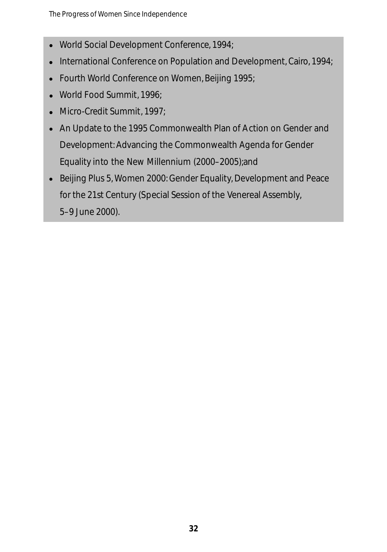- World Social Development Conference, 1994; •
- International Conference on Population and Development, Cairo, 1994;
- Fourth World Conference on Women, Beijing 1995; •
- World Food Summit, 1996; •
- Micro-Credit Summit, 1997; •
- An Update to the 1995 Commonwealth Plan of Action on Gender and Development: Advancing the Commonwealth Agenda for Gender Equality into the New Millennium (2000–2005);and
- Beijing Plus 5, Women 2000: Gender Equality, Development and Peace •for the 21st Century (Special Session of the Venereal Assembly, 5–9 June 2000).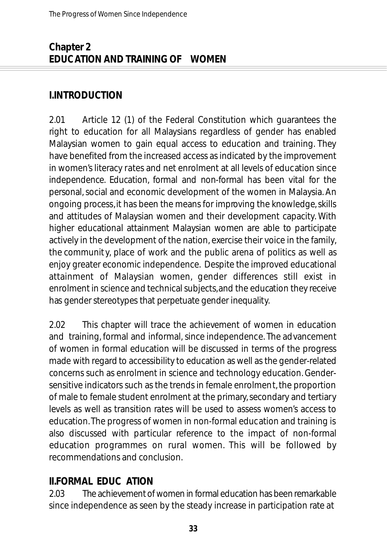#### **Chapter 2 EDUCATION AND TRAINING OF WOMEN**

#### **I.INTRODUCTION**

2.01 Article 12 (1) of the Federal Constitution which guarantees the right to education for all Malaysians regardless of gender has enabled Malaysian women to gain equal access to education and training. They have benefited from the increased access as indicated by the improvement in women's literacy rates and net enrolment at all levels of education since independence. Education, formal and non-formal has been vital for the personal, social and economic development of the women in Malaysia. An ongoing process,it has been the means for improving the knowledge,skills and attitudes of Malaysian women and their development capacity. With higher educational attainment Malaysian women are able to participate actively in the development of the nation, exercise their voice in the family, the communit y, place of work and the public arena of politics as well as enjoy greater economic independence. Despite the improved educational attainment of Malaysian women, gender differences still exist in enrolment in science and technical subjects, and the education they receive has gender stereotypes that perpetuate gender inequality.

2.02 This chapter will trace the achievement of women in education and training, formal and informal, since independence. The advancement of women in formal education will be discussed in terms of the progress made with regard to accessibility to education as well as the gender-related concerns such as enrolment in science and technology education. Gendersensitive indicators such as the trends in female enrolment, the proportion of male to female student enrolment at the primary, secondary and tertiary levels as well as transition rates will be used to assess women's access to education.The progress of women in non-formal education and training is also discussed with particular reference to the impact of non-formal education programmes on rural women. This will be followed by recommendations and conclusion.

#### **II.FORMAL EDUC ATION**

2.03 The achievement of women in formal education has been remarkable since independence as seen by the steady increase in participation rate at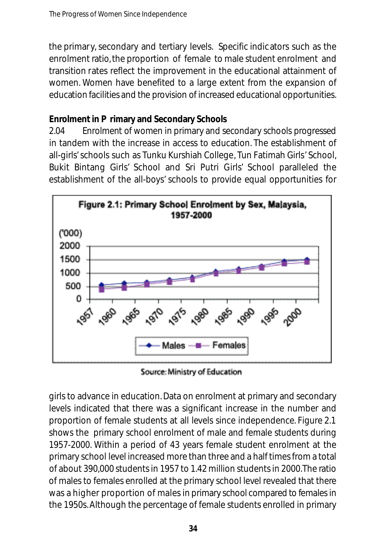the primary, secondary and tertiary levels. Specific indicators such as the enrolment ratio, the proportion of female to male student enrolment and transition rates reflect the improvement in the educational attainment of women. Women have benefited to a large extent from the expansion of education facilities and the provision of increased educational opportunities.

#### **Enrolment in P rimary and Secondary Schools**

2.04 Enrolment of women in primary and secondary schools progressed in tandem with the increase in access to education. The establishment of all-girls'schools such as Tunku Kurshiah College, Tun Fatimah Girls' School, Bukit Bintang Girls' School and Sri Putri Girls' School paralleled the establishment of the all-boys' schools to provide equal opportunities for



Source: Ministry of Education

girls to advance in education.Data on enrolment at primary and secondary levels indicated that there was a significant increase in the number and proportion of female students at all levels since independence. Figure 2.1 shows the primary school enrolment of male and female students during 1957-2000. Within a period of 43 years female student enrolment at the primary school level increased more than three and a half times from a total of about 390,000 students in 1957 to 1.42 million students in 2000.The ratio of males to females enrolled at the primary school level revealed that there was a higher proportion of males in primary school compared to females in the 1950s. Although the percentage of female students enrolled in primary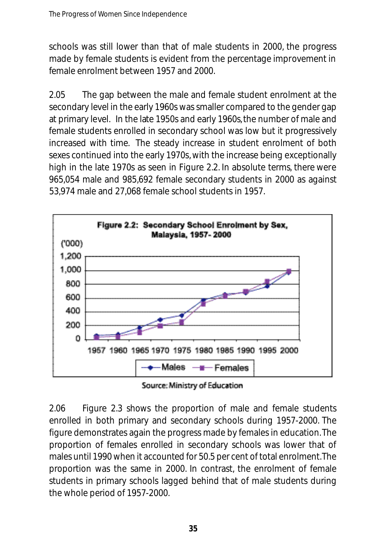schools was still lower than that of male students in 2000, the progress made by female students is evident from the percentage improvement in female enrolment between 1957 and 2000.

2.05 The gap between the male and female student enrolment at the secondary level in the early 1960s was smaller compared to the gender gap at primary level. In the late 1950s and early 1960s, the number of male and female students enrolled in secondary school was low but it progressively increased with time. The steady increase in student enrolment of both sexes continued into the early 1970s, with the increase being exceptionally high in the late 1970s as seen in Figure 2.2. In absolute terms, there were 965,054 male and 985,692 female secondary students in 2000 as against 53,974 male and 27,068 female school students in 1957.



Source: Ministry of Education

2.06 Figure 2.3 shows the proportion of male and female students enrolled in both primary and secondary schools during 1957-2000. The figure demonstrates again the progress made by females in education.The proportion of females enrolled in secondary schools was lower that of males until 1990 when it accounted for 50.5 per cent of total enrolment.The proportion was the same in 2000. In contrast, the enrolment of female students in primary schools lagged behind that of male students during the whole period of 1957-2000.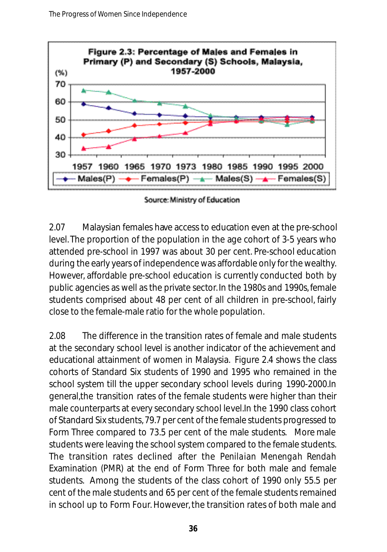

Source: Ministry of Education

2.07 Malaysian females have access to education even at the pre-school level. The proportion of the population in the age cohort of 3-5 years who attended pre-school in 1997 was about 30 per cent. Pre-school education during the early years of independence was affordable only for the wealthy. However, affordable pre-school education is currently conducted both by public agencies as well as the private sector. In the 1980s and 1990s, female students comprised about 48 per cent of all children in pre-school, fairly close to the female-male ratio for the whole population.

2.08 The difference in the transition rates of female and male students at the secondary school level is another indicator of the achievement and educational attainment of women in Malaysia. Figure 2.4 shows the class cohorts of Standard Six students of 1990 and 1995 who remained in the school system till the upper secondary school levels during 1990-2000.In general,the transition rates of the female students were higher than their male counterparts at every secondary school level.In the 1990 class cohort of Standard Six students,79.7 per cent of the female students progressed to Form Three compared to 73.5 per cent of the male students. More male students were leaving the school system compared to the female students. The transition rates declined after the *Penilaian Menengah Rendah* Examination (PMR) at the end of Form Three for both male and female students. Among the students of the class cohort of 1990 only 55.5 per cent of the male students and 65 per cent of the female students remained in school up to Form Four. However, the transition rates of both male and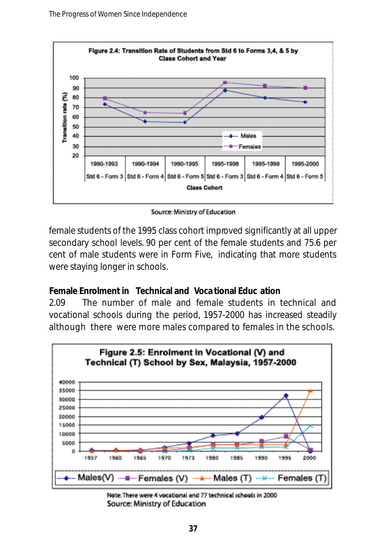

Source: Ministry of Education

female students of the 1995 class cohort improved significantly at all upper secondary school levels. 90 per cent of the female students and 75.6 per cent of male students were in Form Five, indicating that more students were staying longer in schools.

#### **Female Enrolment in Technical and Voca tional Educ ation**

2.09 The number of male and female students in technical and vocational schools during the period, 1957-2000 has increased steadily although there were more males compared to females in the schools.



Note: There were 4 vocational and 77 technical schools in 2000 Source: Ministry of Education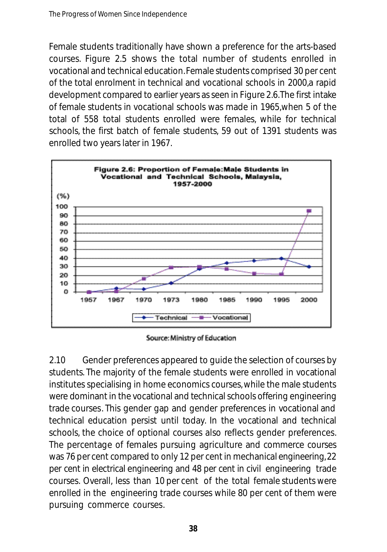Female students traditionally have shown a preference for the arts-based courses. Figure 2.5 shows the total number of students enrolled in vocational and technical education.Female students comprised 30 per cent of the total enrolment in technical and vocational schools in 2000,a rapid development compared to earlier years as seen in Figure 2.6.The first intake of female students in vocational schools was made in 1965,when 5 of the total of 558 total students enrolled were females, while for technical schools, the first batch of female students, 59 out of 1391 students was enrolled two years later in 1967.



Source: Ministry of Education

2.10 Gender preferences appeared to guide the selection of courses by students. The majority of the female students were enrolled in vocational institutes specialising in home economics courses, while the male students were dominant in the vocational and technical schools offering engineering trade courses. This gender gap and gender preferences in vocational and technical education persist until today. In the vocational and technical schools, the choice of optional courses also reflects gender preferences. The percentage of females pursuing agriculture and commerce courses was 76 per cent compared to only 12 per cent in mechanical engineering, 22 per cent in electrical engineering and 48 per cent in civil engineering trade courses. Overall, less than 10 per cent of the total female students were enrolled in the engineering trade courses while 80 per cent of them were pursuing commerce courses.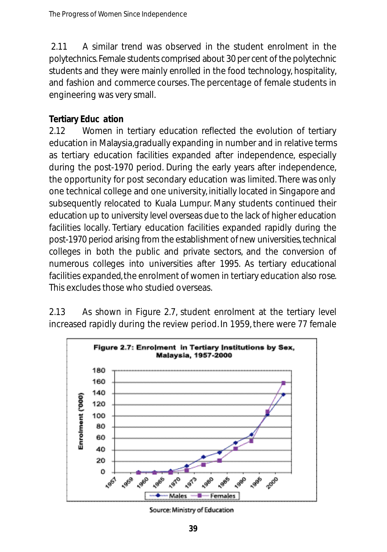2.11 A similar trend was observed in the student enrolment in the polytechnics. Female students comprised about 30 per cent of the polytechnic students and they were mainly enrolled in the food technology, hospitality, and fashion and commerce courses. The percentage of female students in engineering was very small.

#### **Tertiary Educ ation**

2.12 Women in tertiary education reflected the evolution of tertiary education in Malaysia,gradually expanding in number and in relative terms as tertiary education facilities expanded after independence, especially during the post-1970 period. During the early years after independence, the opportunity for post secondary education was limited. There was only one technical college and one university, initially located in Singapore and subsequently relocated to Kuala Lumpur. Many students continued their education up to university level overseas due to the lack of higher education facilities locally. Tertiary education facilities expanded rapidly during the post-1970 period arising from the establishment of new universities, technical colleges in both the public and private sectors, and the conversion of numerous colleges into universities after 1995. As tertiary educational facilities expanded, the enrolment of women in tertiary education also rose. This excludes those who studied overseas.

2.13 As shown in Figure 2.7, student enrolment at the tertiary level increased rapidly during the review period. In 1959, there were 77 female



Source: Ministry of Education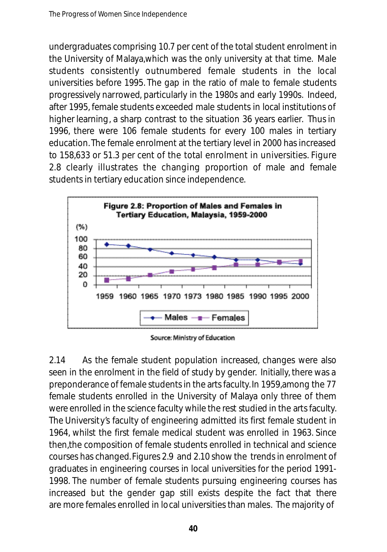undergraduates comprising 10.7 per cent of the total student enrolment in the University of Malaya,which was the only university at that time. Male students consistently outnumbered female students in the local universities before 1995. The gap in the ratio of male to female students progressively narrowed, particularly in the 1980s and early 1990s. Indeed, after 1995, female students exceeded male students in local institutions of higher learning, a sharp contrast to the situation 36 years earlier. Thus in 1996, there were 106 female students for every 100 males in tertiary education.The female enrolment at the tertiary level in 2000 has increased to 158,633 or 51.3 per cent of the total enrolment in universities. Figure 2.8 clearly illustrates the changing proportion of male and female students in tertiary education since independence.



Source: Ministry of Education

2.14 As the female student population increased, changes were also seen in the enrolment in the field of study by gender. Initially, there was a preponderance of female students in the arts faculty. In 1959,among the 77 female students enrolled in the University of Malaya only three of them were enrolled in the science faculty while the rest studied in the arts faculty. The University's faculty of engineering admitted its first female student in 1964, whilst the first female medical student was enrolled in 1963. Since then,the composition of female students enrolled in technical and science courses has changed. Figures 2.9 and 2.10 show the trends in enrolment of graduates in engineering courses in local universities for the period 1991- 1998. The number of female students pursuing engineering courses has increased but the gender gap still exists despite the fact that there are more females enrolled in local universities than males. The majority of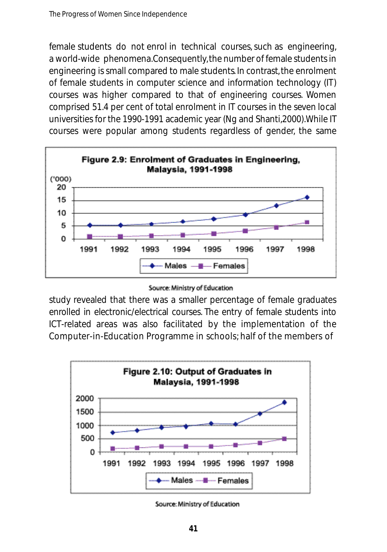female students do not enrol in technical courses, such as engineering, a world-wide phenomena.Consequently, the number of female students in engineering is small compared to male students. In contrast, the enrolment of female students in computer science and information technology (IT) courses was higher compared to that of engineering courses. Women comprised 51.4 per cent of total enrolment in IT courses in the seven local universities for the 1990-1991 academic year (Ng and Shanti,2000).While IT courses were popular among students regardless of gender, the same



study revealed that there was a smaller percentage of female graduates enrolled in electronic/electrical courses. The entry of female students into ICT-related areas was also facilitated by the implementation of the Computer-in-Education Programme in schools; half of the members of



Source: Ministry of Education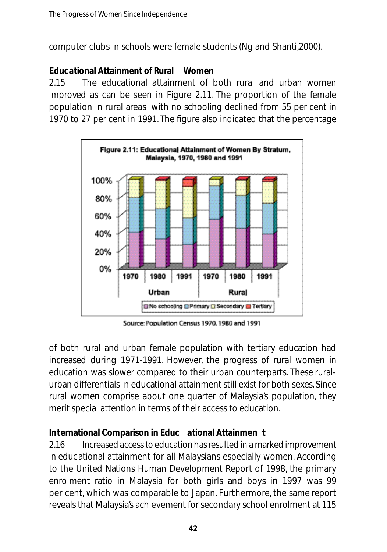computer clubs in schools were female students (Ng and Shanti,2000).

#### **Educational Attainment of Rural Women**

2.15 The educational attainment of both rural and urban women improved as can be seen in Figure 2.11. The proportion of the female population in rural areas with no schooling declined from 55 per cent in 1970 to 27 per cent in 1991. The figure also indicated that the percentage



Source: Population Census 1970, 1980 and 1991

of both rural and urban female population with tertiary education had increased during 1971-1991. However, the progress of rural women in education was slower compared to their urban counterparts. These ruralurban differentials in educational attainment still exist for both sexes. Since rural women comprise about one quarter of Malaysia's population, they merit special attention in terms of their access to education.

#### **International Comparison in Educ ational Attainmen t**

2.16 Increased access to education has resulted in a marked improvement in educational attainment for all Malaysians especially women. According to the United Nations Human Development Report of 1998, the primary enrolment ratio in Malaysia for both girls and boys in 1997 was 99 per cent, which was comparable to Japan. Furthermore, the same report reveals that Malaysia's achievement for secondary school enrolment at 115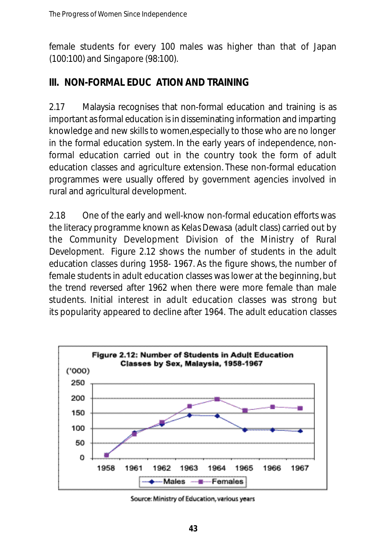female students for every 100 males was higher than that of Japan (100:100) and Singapore (98:100).

## **III. NON-FORMAL EDUC ATION AND TRAINING**

2.17 Malaysia recognises that non-formal education and training is as important as formal education is in disseminating information and imparting knowledge and new skills to women,especially to those who are no longer in the formal education system. In the early years of independence, nonformal education carried out in the country took the form of adult education classes and agriculture extension. These non-formal education programmes were usually offered by government agencies involved in rural and agricultural development.

2.18 One of the early and well-know non-formal education efforts was the literacy programme known as *Kelas Dewasa* (adult class) carried out by the Community Development Division of the Ministry of Rural Development. Figure 2.12 shows the number of students in the adult education classes during 1958- 1967. As the figure shows, the number of female students in adult education classes was lower at the beginning, but the trend reversed after 1962 when there were more female than male students. Initial interest in adult education classes was strong but its popularity appeared to decline after 1964. The adult education classes



Source: Ministry of Education, various years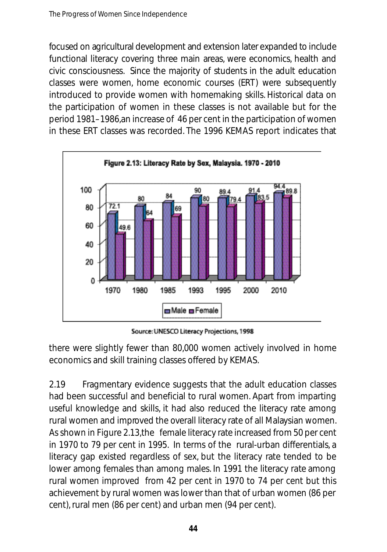focused on agricultural development and extension later expanded to include functional literacy covering three main areas, were economics, health and civic consciousness. Since the majority of students in the adult education classes were women, home economic courses (ERT) were subsequently introduced to provide women with homemaking skills. Historical data on the participation of women in these classes is not available but for the period 1981–1986,an increase of 46 per cent in the participation of women in these ERT classes was recorded. The 1996 KEMAS report indicates that



Source: UNESCO Literacy Projections, 1998

there were slightly fewer than 80,000 women actively involved in home economics and skill training classes offered by KEMAS.

2.19 Fragmentary evidence suggests that the adult education classes had been successful and beneficial to rural women. Apart from imparting useful knowledge and skills, it had also reduced the literacy rate among rural women and improved the overall literacy rate of all Malaysian women. As shown in Figure 2.13,the female literacy rate increased from 50 per cent in 1970 to 79 per cent in 1995. In terms of the rural-urban differentials, a literacy gap existed regardless of sex, but the literacy rate tended to be lower among females than among males. In 1991 the literacy rate among rural women improved from 42 per cent in 1970 to 74 per cent but this achievement by rural women was lower than that of urban women (86 per cent), rural men (86 per cent) and urban men (94 per cent).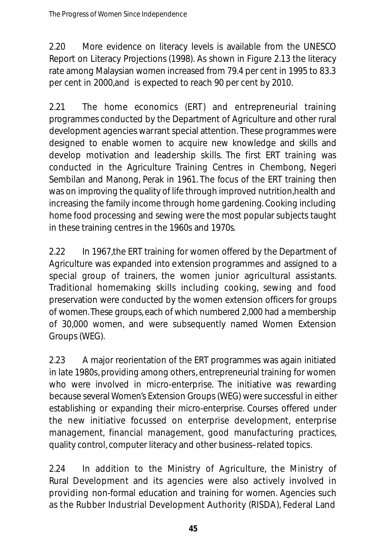2.20 More evidence on literacy levels is available from the UNESCO Report on Literacy Projections (1998). As shown in Figure 2.13 the literacy rate among Malaysian women increased from 79.4 per cent in 1995 to 83.3 per cent in 2000,and is expected to reach 90 per cent by 2010.

2.21 The home economics (ERT) and entrepreneurial training programmes conducted by the Department of Agriculture and other rural development agencies warrant special attention. These programmes were designed to enable women to acquire new knowledge and skills and develop motivation and leadership skills. The first ERT training was conducted in the Agriculture Training Centres in Chembong, Negeri Sembilan and Manong, Perak in 1961. The focus of the ERT training then was on improving the quality of life through improved nutrition,health and increasing the family income through home gardening. Cooking including home food processing and sewing were the most popular subjects taught in these training centres in the 1960s and 1970s.

2.22 In 1967,the ERT training for women offered by the Department of Agriculture was expanded into extension programmes and assigned to a special group of trainers, the women junior agricultural assistants. Traditional homemaking skills including cooking, sewing and food preservation were conducted by the women extension officers for groups of women. These groups, each of which numbered 2,000 had a membership of 30,000 women, and were subsequently named Women Extension Groups (WEG).

2.23 A major reorientation of the ERT programmes was again initiated in late 1980s, providing among others, entrepreneurial training for women who were involved in micro-enterprise. The initiative was rewarding because several Women's Extension Groups (WEG) were successful in either establishing or expanding their micro-enterprise. Courses offered under the new initiative focussed on enterprise development, enterprise management, financial management, good manufacturing practices, quality control, computer literacy and other business–related topics.

2.24 In addition to the Ministry of Agriculture, the Ministry of Rural Development and its agencies were also actively involved in providing non-formal education and training for women. Agencies such as the Rubber Industrial Development Authority (RISDA), Federal Land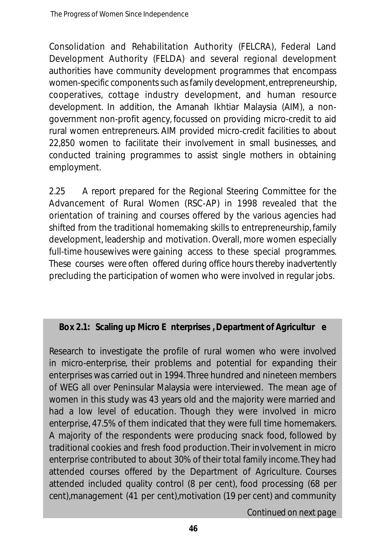Consolidation and Rehabilitation Authority (FELCRA), Federal Land Development Authority (FELDA) and several regional development authorities have community development programmes that encompass wo men - specific components such as family devel opment, entrepreneurship, cooperatives, cottage industry development, and human resource development. In addition, the Amanah Ikhtiar Malaysia (AIM), a nongovernment non-profit agency, focussed on providing micro-credit to aid rural women entrepreneurs. AIM provided micro-credit facilities to about 22,850 women to facilitate their involvement in small businesses, and conducted training programmes to assist single mothers in obtaining employment.

2.25 A report prepared for the Regional Steering Committee for the Advancement of Rural Women (RSC-AP) in 1998 revealed that the orientation of training and courses offered by the various agencies had shifted from the traditional homemaking skills to entrepreneurship, family development, leadership and motivation. Overall, more women especially full-time housewives were gaining access to these special programmes. These courses were often offered during office hours thereby inadvertently precluding the participation of women who were involved in regular jobs.

#### **Box 2.1: Scaling up Micro E nterprises , Department of Agricultur e**

Research to investigate the profile of rural women who were involved in micro-enterprise, their problems and potential for expanding their enterprises was carried out in 1994. Three hundred and nineteen members of WEG all over Peninsular Malaysia were interviewed. The mean age of women in this study was 43 years old and the majority were married and had a low level of education. Though they were involved in micro enterprise, 47.5% of them indicated that they were full time homemakers. A majority of the respondents were producing snack food, followed by traditional cookies and fresh food production. Their involvement in micro enterprise contributed to about 30% of their total family income. They had attended courses offered by the Department of Agriculture. Courses attended included quality control (8 per cent), food processing (68 per cent),management (41 per cent),motivation (19 per cent) and community

*Continued on next page*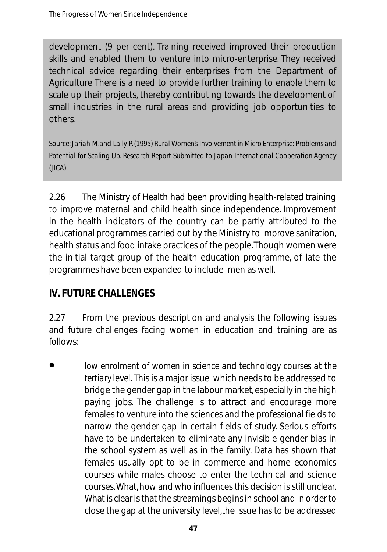development (9 per cent). Training received improved their production skills and enabled them to venture into micro-enterprise. They received te chnical advice regarding their enterprises from the Department of Agriculture There is a need to provide further training to enable them to scale up their projects, thereby contributing towards the development of small industries in the rural areas and providing job opportunities to others.

*Source:Jariah M.and Laily P.(1995) Rural Women's Involvement in Micro Enterprise: Problems and Potential for Scaling Up. Research Report Submitted to Japan International Cooperation Agency (JICA).*

2.26 The Ministry of Health had been providing health-related training to improve maternal and child health since independence. Improvement in the health indicators of the country can be partly attributed to the educational programmes carried out by the Ministry to improve sanitation, health status and food intake practices of the people.Though women were the initial target group of the health education programme, of late the programmes have been expanded to include men as well.

# **IV. FUTURE CHALLENGES**

2.27 From the previous description and analysis the following issues and future challenges facing women in education and training are as follows:

*low enrolment of women in science and technology courses at the tertiary level.* This is a major issue which needs to be addressed to bridge the gender gap in the labour market, especially in the high paying jobs. The challenge is to attract and encourage more females to venture into the sciences and the professional fields to narrow the gender gap in certain fields of study. Serious efforts have to be undertaken to eliminate any invisible gender bias in the school system as well as in the family. Data has shown that females usually opt to be in commerce and home economics courses while males choose to enter the technical and science courses. What, how and who influences this decision is still unclear. What is clear is that the streamings begins in school and in order to close the gap at the university level,the issue has to be addressed •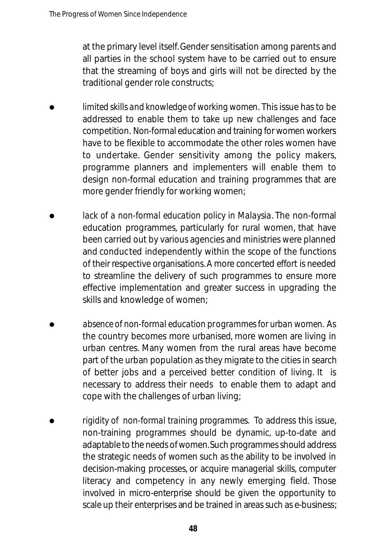at the primary level itself. Gender sensitisation among parents and all parties in the school system have to be carried out to ensure that the streaming of boys and girls will not be directed by the traditional gender role constructs;

- *limited skills and knowledge of working women.* This issue has to be addressed to enable them to take up new challenges and face competition. Non-formal education and training for women workers have to be flexible to accommodate the other roles women have to undertake. Gender sensitivity among the policy makers, programme planners and implementers will enable them to design non-formal education and training programmes that are more gender friendly for working women; •
- *lack of a non-formal education policy in Malaysia*. The non-formal education programmes, particularly for rural women, that have been carried out by various agencies and ministries were planned and conducted independently within the scope of the functions of their respective organisations. A more concerted effort is needed to streamline the delivery of such programmes to ensure more effective implementation and greater success in upgrading the skills and knowledge of women; •
- *absence of non-formal education programmes for urban women.* As the country becomes more urbanised, more women are living in urban centres. Many women from the rural areas have become part of the urban population as they migrate to the cities in search of better jobs and a perceived better condition of living. It is necessary to address their needs to enable them to adapt and cope with the challenges of urban living; •
- *rigidity of non-formal training programmes.* To address this issue, non-training programmes should be dynamic, up-to-date and adaptable to the needs of women. Such programmes should address the strategic needs of women such as the ability to be involved in decision-making processes, or acquire managerial skills, computer literacy and competency in any newly emerging field. Those involved in micro-enterprise should be given the opportunity to scale up their enterprises and be trained in areas such as e-business; •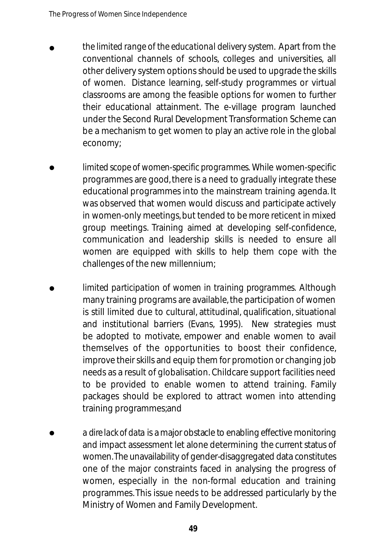- *the limited range of the educational delivery system.* Apart from the conventional channels of schools, colleges and universities, all other delivery system options should be used to upgrade the skills of women. Distance learning, self-study programmes or virtual classrooms are among the feasible options for women to further their educational attainment. The e-village program launched under the Second Rural Development Transformation Scheme can be a mechanism to get women to play an active role in the global economy; •
- *limited scope of women-specific programmes.* While women-specific programmes are good, there is a need to gradually integrate these educational programmes into the mainstream training agenda. It was observed that women would discuss and participate actively in women-only meetings, but tended to be more reticent in mixed group meetings. Training aimed at developing self-confidence, communication and leadership skills is needed to ensure all women are equipped with skills to help them cope with the challenges of the new millennium; •
- *limited participation of women in training programmes.* Although many training programs are available, the participation of women is still limited due to cultural, attitudinal, qualification, situational and institutional barriers (Evans, 1995). New strategies must be adopted to motivate, empower and enable women to avail themselves of the opportunities to boost their confidence, improve their skills and equip them for promotion or changing job needs as a result of globalisation. Childcare support facilities need to be provided to enable women to attend training. Family packages should be explored to attract women into attending training programmes;and •
- *a dire lack of data* is a major obstacle to enabling effective monitoring and impact assessment let alone determining the current status of women. The unavailability of gender-disaggregated data constitutes one of the major constraints faced in analysing the progress of women, especially in the non-formal education and training programmes. This issue needs to be addressed particularly by the Ministry of Women and Family Development. •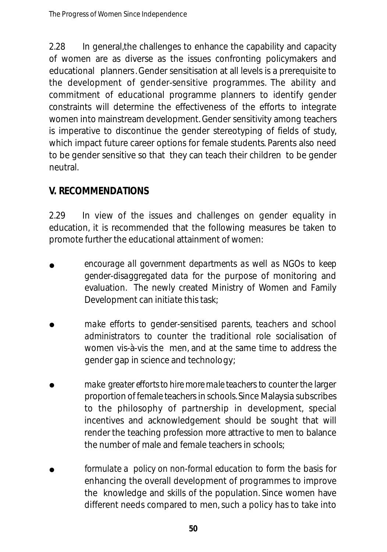2.28 In general,the challenges to enhance the capability and capacity of women are as diverse as the issues confronting policymakers and educational planners. Gender sensitisation at all levels is a prerequisite to the development of gender-sensitive programmes. The ability and commitment of educational programme planners to identify gender constraints will determine the effectiveness of the efforts to integrate women into mainstream development. Gender sensitivity among teachers is imperative to discontinue the gender stereotyping of fields of study, which impact future career options for female students. Parents also need to be gender sensitive so that they can teach their children to be gender neutral.

### **V. RECOMMENDATIONS**

2.29 In view of the issues and challenges on gender equality in education, it is recommended that the following measures be taken to promote further the educational attainment of women:

- *encourage all government departments as well as NGOs to keep gender-disaggregated data* for the purpose of monitoring and evaluation. The newly created Ministry of Women and Family Development can initiate this task; •
- *make efforts to gender-sensitised parents, teachers and school administrators* to counter the traditional role socialisation of women vis-à-vis the men, and at the same time to address the gender gap in science and technology; •
- *make greater efforts to hire more male teachers to counter the larger* proportion of female teachers in schools. Since Malaysia subscribes to the philosophy of partnership in development, special incentives and acknowledgement should be sought that will render the teaching profession more attractive to men to balance the number of male and female teachers in schools; •
- *formulate a policy on non-formal education* to form the basis for enhancing the overall development of programmes to improve the knowledge and skills of the population. Since women have different needs compared to men, such a policy has to take into •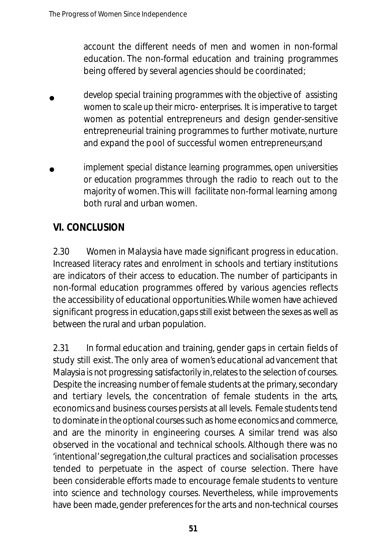account the different needs of men and women in non-formal education. The non-formal education and training programmes being offered by several agencies should be coordinated;

- *develop special training programmes with the objective of assisting women to scale up their micro- enterprises.* It is imperative to target women as potential entrepreneurs and design gender-sensitive entrepreneurial training programmes to further motivate, nurture and expand the pool of successful women entrepreneurs;and •
- *implement special distance learning programmes, open universities or education programmes* through the radio to reach out to the majority of women.This will facilitate non-formal learning among both rural and urban women. •

# **VI. CONCLUSION**

2.30 Women in Malaysia have made significant progress in education. Increased literacy rates and enrolment in schools and tertiary institutions are indicators of their access to education. The number of participants in non-formal education programmes offered by various agencies reflects the accessibility of educational opportunities.While women have achieved significant progress in education, gaps still exist between the sexes as well as between the rural and urban population.

2.31 In formal education and training, gender gaps in certain fields of study still exist. The only area of women's educational advancement that Malaysia is not progressing satisfactorily in, relates to the selection of courses. Despite the increasing number of female students at the primary, secondary and tertiary levels, the concentration of female students in the arts, economics and business courses persists at all levels. Female students tend to dominate in the optional courses such as home economics and commerce, and are the minority in engineering courses. A similar trend was also observed in the vocational and technical schools. Although there was no 'intentional'segregation,the cultural practices and socialisation processes tended to perpetuate in the aspect of course selection. There have been considerable efforts made to encourage female students to venture into science and technology courses. Nevertheless, while improvements have been made, gender preferences for the arts and non-technical courses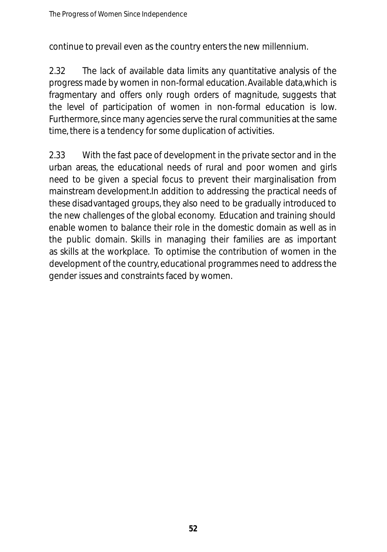continue to prevail even as the country enters the new millennium.

2.32 The lack of available data limits any quantitative analysis of the progress made by women in non-formal education.Available data,which is fragmentary and offers only rough orders of magnitude, suggests that the level of participation of women in non-formal education is low. Furthermore,since many agencies serve the rural communities at the same time, there is a tendency for some duplication of activities.

2.33 With the fast pace of development in the private sector and in the urban areas, the educational needs of rural and poor women and girls need to be given a special focus to prevent their marginalisation from mainstream development.In addition to addressing the practical needs of these disadvantaged groups, they also need to be gradually introduced to the new challenges of the global economy. Education and training should enable women to balance their role in the domestic domain as well as in the public domain. Skills in managing their families are as important as skills at the workplace. To optimise the contribution of women in the development of the country, educational programmes need to address the gender issues and constraints faced by women.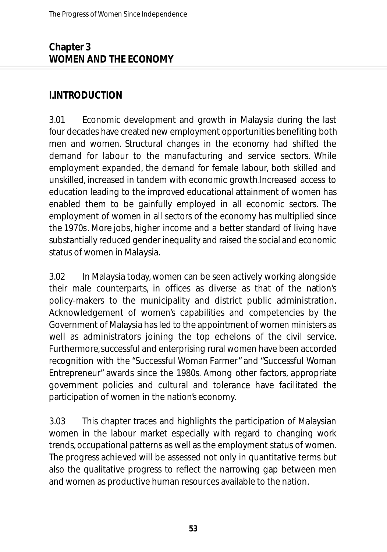### **Chapter 3 WOMEN AND THE ECONOMY**

### **I.INTRODUCTION**

3.01 Economic development and growth in Malaysia during the last four decades have created new employment opportunities benefiting both men and women. Structural changes in the economy had shifted the demand for labour to the manufacturing and service sectors. While employment expanded, the demand for female labour, both skilled and unskilled, increased in tandem with economic growth.Increased access to education leading to the improved educational attainment of women has enabled them to be gainfully employed in all economic sectors. The employment of women in all sectors of the economy has multiplied since the 1970s. More jobs, higher income and a better standard of living have substantially reduced gender inequality and raised the social and economic status of women in Malaysia.

3.02 In Malaysia today, women can be seen actively working alongside their male counterparts, in offices as diverse as that of the nation's policy-makers to the municipality and district public administration. Acknowledgement of women's capabilities and competencies by the Government of Malaysia has led to the appointment of women ministers as well as administrators joining the top echelons of the civil service. Furthermore,successful and enterprising rural women have been accorded recognition with the "Successful Woman Farmer" and "Successful Woman Entrepreneur" awards since the 1980s. Among other factors, appropriate government policies and cultural and tolerance have facilitated the participation of women in the nation's economy.

3.03 This chapter traces and highlights the participation of Malaysian women in the labour market especially with regard to changing work trends, occupational patterns as well as the employment status of women. The progress achieved will be assessed not only in quantitative terms but also the qualitative progress to reflect the narrowing gap between men and women as productive human resources available to the nation.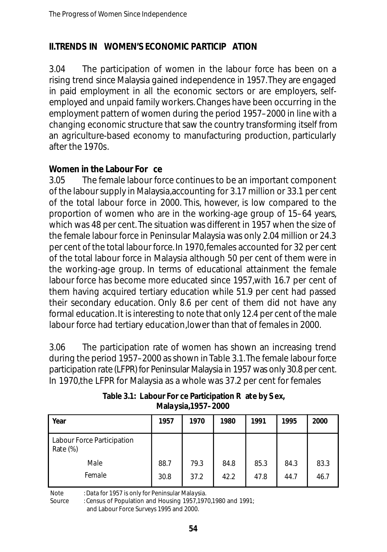#### **II.TRENDS IN WOMEN'S ECONOMIC PARTICIP ATION**

3.04 The participation of women in the labour force has been on a rising trend since Malaysia gained independence in 1957. They are engaged in paid employment in all the economic sectors or are employers, selfemployed and unpaid family workers. Changes have been occurring in the employment pattern of women during the period 1957–2000 in line with a changing economic structure that saw the country transforming itself from an agriculture-based economy to manufacturing production, particularly after the 1970s.

#### **Women in the Labour For ce**

3.05 The female labour force continues to be an important component of the labour supply in Malaysia,accounting for 3.17 million or 33.1 per cent of the total labour force in 2000. This, however, is low compared to the proportion of women who are in the working-age group of 15–64 years, which was 48 per cent. The situation was different in 1957 when the size of the female labour force in Peninsular Malaysia was only 2.04 million or 24.3 per cent of the total labour force. In 1970,females accounted for 32 per cent of the total labour force in Malaysia although 50 per cent of them were in the working-age group. In terms of educational attainment the female labour force has become more educated since 1957,with 16.7 per cent of them having acquired tertiary education while 51.9 per cent had passed their secondary education. Only 8.6 per cent of them did not have any formal education. It is interesting to note that only 12.4 per cent of the male labour force had tertiary education,lower than that of females in 2000.

3.06 The participation rate of women has shown an increasing trend during the period 1957–2000 as shown in Table 3.1.The female labour force participation rate (LFPR) for Peninsular Malaysia in 1957 was only 30.8 per cent. In 1970,the LFPR for Malaysia as a whole was 37.2 per cent for females

| l Year                                 | 1957 | 1970 | 1980 | 1991 | 1995 | 2000 |
|----------------------------------------|------|------|------|------|------|------|
| Labour Force Participation<br>Rate (%) |      |      |      |      |      |      |
| Male                                   | 88.7 | 79.3 | 84.8 | 85.3 | 84.3 | 83.3 |
| Female                                 | 30.8 | 37.2 | 42.2 | 47.8 | 44.7 | 46.7 |

**Table 3.1: Labour For ce Participation R ate by S ex, Malaysia,1957–2000**

Note : Data for 1957 is only for Peninsular Malaysia.

Source : Census of Population and Housing 1957,1970,1980 and 1991; and Labour Force Surveys 1995 and 2000.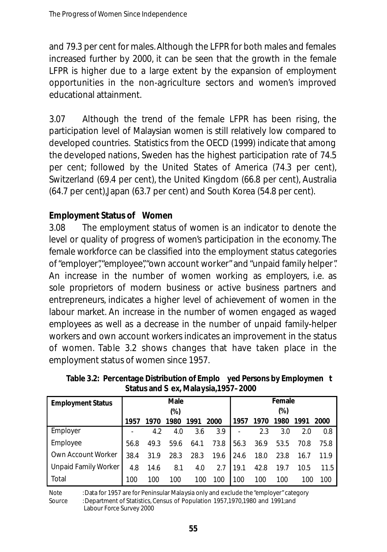and 79.3 per cent for males. Although the LFPR for both males and females increased further by 2000, it can be seen that the growth in the female LFPR is higher due to a large extent by the expansion of employment opportunities in the non-agriculture sectors and women's improved educational attainment.

3.07 Although the trend of the female LFPR has been rising, the participation level of Malaysian women is still relatively low compared to developed countries. Statistics from the OECD (1999) indicate that among the developed nations, Sweden has the highest participation rate of 74.5 per cent; followed by the United States of America (74.3 per cent), Switzerland (69.4 per cent), the United Kingdom (66.8 per cent), Australia (64.7 per cent),Japan (63.7 per cent) and South Korea (54.8 per cent).

#### **Employment Status of Women**

3.08 The employment status of women is an indicator to denote the level or quality of progress of women's participation in the economy. The female workforce can be classified into the employment status categories of "employer","employee","own account worker" and "unpaid family helper". An increase in the number of women working as employers, i.e. as sole proprietors of modern business or active business partners and entrepreneurs, indicates a higher level of achievement of women in the labour market. An increase in the number of women engaged as waged employees as well as a decrease in the number of unpaid family-helper workers and own account workers indicates an improvement in the status of women. Table 3.2 shows changes that have taken place in the employment status of women since 1957.

| Status and S ex, Malaysia, 1957–2000 |      |        |      |      |        |                |      |      |      |      |  |
|--------------------------------------|------|--------|------|------|--------|----------------|------|------|------|------|--|
| <b>Employment Status</b>             | Male |        |      |      | Female |                |      |      |      |      |  |
|                                      |      | $(\%)$ |      |      |        | $(\%)$         |      |      |      |      |  |
|                                      | 1957 | 1970   | 1980 | 1991 | 2000   | 1957           | 1970 | 1980 | 1991 | 2000 |  |
| Employer                             |      | 4.2    | 4.0  | 3.6  | 3.9    |                | 2.3  | 3.0  | 2.0  | 0.8  |  |
| Employee                             | 56.8 | 49.3   | 59.6 | 64.1 | 73.8   | 56.3 36.9 53.5 |      |      | 70.8 | 75.8 |  |
| Own Account Worker                   | 38.4 | 31.9   | 28.3 | 28.3 | 19.6   | 24.6           | 18.0 | 23.8 | 16.7 | 11.9 |  |
| Unpaid Family Worker                 | 4.8  | 14.6   | 8.1  | 4.0  | 2.7    | 19.1           | 42.8 | 19.7 | 10.5 | 11.5 |  |

**Table 3.2: Percentage Distribution of Emplo yed Persons by Employmen t Status and S ex, Malaysia,1957–2000**

Note : Data for 1957 are for Peninsular Malaysia only and exclude the "employer" category Source : Department of Statistics, Census of Population 1957,1970,1980 and 1991;and

100 100 100 100 100

Labour Force Survey 2000

Total

100 100 100 100 100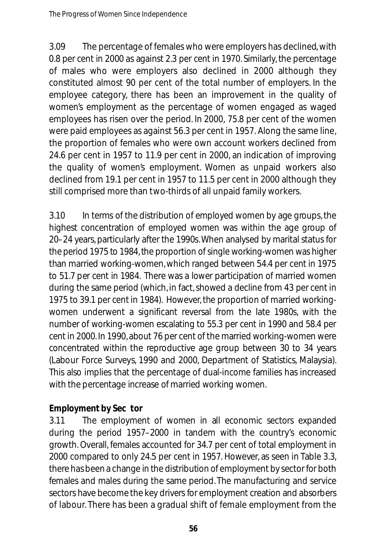3.09 The percentage of females who were employers has declined, with 0.8 per cent in 2000 as against 2.3 per cent in 1970. Similarly, the percentage of males who were employers also declined in 2000 although they constituted almost 90 per cent of the total number of employers. In the employee category, there has been an improvement in the quality of women's employment as the percentage of women engaged as waged employees has risen over the period. In 2000, 75.8 per cent of the women were paid employees as against 56.3 per cent in 1957. Along the same line, the proportion of females who were own account workers declined from 24.6 per cent in 1957 to 11.9 per cent in 2000, an indication of improving the quality of women's employment. Women as unpaid workers also declined from 19.1 per cent in 1957 to 11.5 per cent in 2000 although they still comprised more than two-thirds of all unpaid family workers.

3.10 In terms of the distribution of employed women by age groups, the highest concentration of employed women was within the age group of 20–24 years, particularly after the 1990s. When analysed by marital status for the period 1975 to 1984, the proportion of single working-women was higher than married working-women, which ranged between 54.4 per cent in 1975 to 51.7 per cent in 1984. There was a lower participation of married women during the same period (which, in fact, showed a decline from 43 per cent in 1975 to 39.1 per cent in 1984). However, the proportion of married workingwomen underwent a significant reversal from the late 1980s, with the number of working-women escalating to 55.3 per cent in 1990 and 58.4 per cent in 2000. In 1990, about 76 per cent of the married working-women were concentrated within the reproductive age group between 30 to 34 years (Labour Force Surveys, 1990 and 2000, Department of Statistics, Malaysia). This also implies that the percentage of dual-income families has increased with the percentage increase of married working women.

### **Employment by Sec tor**

3.11 The employment of women in all economic sectors expanded during the period 1957–2000 in tandem with the country's economic growth. Overall, females accounted for 34.7 per cent of total employment in 2000 compared to only 24.5 per cent in 1957. However, as seen in Table 3.3, there has been a change in the distribution of employment by sector for both females and males during the same period. The manufacturing and service sectors have become the key drivers for employment creation and absorbers of labour. There has been a gradual shift of female employment from the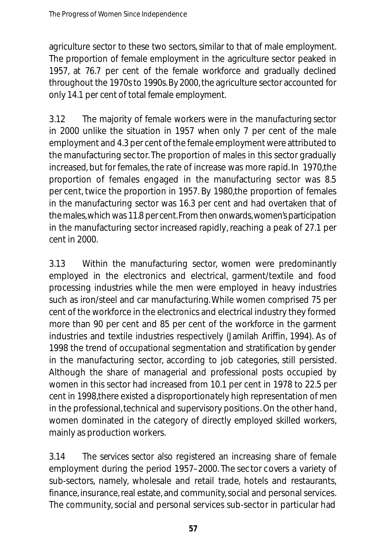agriculture sector to these two sectors, similar to that of male employment. The proportion of female employment in the agriculture sector peaked in 1957, at 76.7 per cent of the female workforce and gradually declined throughout the 1970s to 1990s. By 2000, the agriculture sector accounted for only 14.1 per cent of total female employment.

3.12 The majority of female workers were in the *manufacturing sector* in 2000 unlike the situation in 1957 when only 7 per cent of the male employment and 4.3 per cent of the female employment were attributed to the manufacturing sec tor. The proportion of males in this sector gradually increased, but for females, the rate of increase was more rapid. In 1970,the proportion of females engaged in the manufacturing sector was 8.5 per cent, twice the proportion in 1957. By 1980,the proportion of females in the manufacturing sector was 16.3 per cent and had overtaken that of the males, which was 11.8 per cent. From then onwards, women's participation in the manufacturing sector increased rapidly, reaching a peak of 27.1 per cent in 2000.

3.13 Within the manufacturing sector, women were predominantly employed in the electronics and electrical, garment/textile and food processing industries while the men were employed in heavy industries such as iron/steel and car manufacturing. While women comprised 75 per cent of the workforce in the electronics and electrical industry they formed more than 90 per cent and 85 per cent of the workforce in the garment industries and textile industries respectively (Jamilah Ariffin, 1994). As of 1998 the trend of occupational segmentation and stratification by gender in the manufacturing sector, according to job categories, still persisted. Although the share of managerial and professional posts occupied by women in this sector had increased from 10.1 per cent in 1978 to 22.5 per cent in 1998,there existed a disproportionately high representation of men in the professional, technical and supervisory positions. On the other hand, women dominated in the category of directly employed skilled workers, mainly as production workers.

3.14 The *services sector* also registered an increasing share of female employment during the period 1957–2000. The sec tor covers a variety of sub-sectors, namely, wholesale and retail trade, hotels and restaurants, finance, insurance, real estate, and community, social and personal services. The community, social and personal services sub-sector in particular had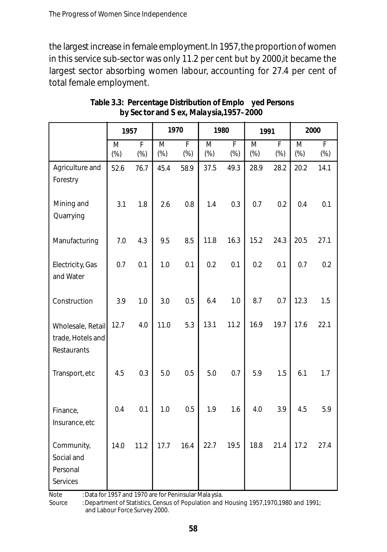the largest increase in female employment. In 1957, the proportion of women in this service sub-sector was only 11.2 per cent but by 2000,it became the largest sector absorbing women labour, accounting for 27.4 per cent of total female employment.

|                                                       | 1957        |                          | 1970                     |             | 1980                              |                          | 1991                     |                          | 2000        |                          |
|-------------------------------------------------------|-------------|--------------------------|--------------------------|-------------|-----------------------------------|--------------------------|--------------------------|--------------------------|-------------|--------------------------|
|                                                       | M<br>$(\%)$ | $\overline{F}$<br>$(\%)$ | $\overline{M}$<br>$(\%)$ | F<br>$(\%)$ | $\overline{\mathsf{M}}$<br>$(\%)$ | $\overline{F}$<br>$(\%)$ | $\overline{M}$<br>$(\%)$ | $\overline{F}$<br>$(\%)$ | M<br>$(\%)$ | $\overline{F}$<br>$(\%)$ |
| Agriculture and<br>Forestry                           | 52.6        | 76.7                     | 45.4                     | 58.9        | 37.5                              | 49.3                     | 28.9                     | 28.2                     | 20.2        | 14.1                     |
| Mining and<br>Quarrying                               | 3.1         | 1.8                      | 2.6                      | 0.8         | 1.4                               | 0.3                      | 0.7                      | 0.2                      | 0.4         | 0.1                      |
| Manufacturing                                         | 7.0         | 4.3                      | 9.5                      | 8.5         | 11.8                              | 16.3                     | 15.2                     | 24.3                     | 20.5        | 27.1                     |
| Electricity, Gas<br>and Water                         | 0.7         | 0.1                      | 1.0                      | 0.1         | 0.2                               | 0.1                      | 0.2                      | 0.1                      | 0.7         | 0.2                      |
| Construction                                          | 3.9         | 1.0                      | 3.0                      | 0.5         | 6.4                               | 1.0                      | 8.7                      | 0.7                      | 12.3        | 1.5                      |
| Wholesale, Retail<br>trade, Hotels and<br>Restaurants | 12.7        | 4.0                      | 11.0                     | 5.3         | 13.1                              | 11.2                     | 16.9                     | 19.7                     | 17.6        | 22.1                     |
| Transport, etc                                        | 4.5         | 0.3                      | 5.0                      | 0.5         | 5.0                               | 0.7                      | 5.9                      | 1.5                      | 6.1         | 1.7                      |
| Finance,<br>Insurance, etc                            | 0.4         | 0.1                      | 1.0                      | 0.5         | 1.9                               | 1.6                      | 4.0                      | 3.9                      | 4.5         | 5.9                      |
| Community,<br>Social and<br>Personal<br>Services      | 14.0        | 11.2                     | 17.7                     | 16.4        | 22.7                              | 19.5                     | 18.8                     | 21.4                     | 17.2        | 27.4                     |

**Table 3.3: Percentage Distribution of Emplo yed Persons by Sec tor and S ex, Malaysia,1957–2000**

Note : Data for 1957 and 1970 are for Peninsular Mala ysia.

Source : Department of Statistics, Census of Population and Housing 1957,1970,1980 and 1991; and Labour Force Survey 2000.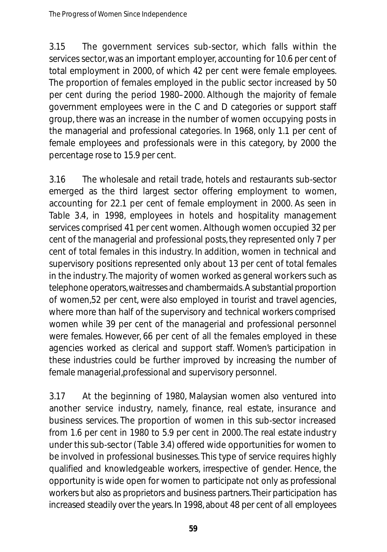3.15 The government services sub-sector, which falls within the services sector, was an important employer, accounting for 10.6 per cent of total employment in 2000, of which 42 per cent were female employees. The proportion of females employed in the public sector increased by 50 per cent during the period 1980–2000. Although the majority of female government employees were in the C and D categories or support staff group, there was an increase in the number of women occupying posts in the managerial and professional categories. In 1968, only 1.1 per cent of female employees and professionals were in this category, by 2000 the percentage rose to 15.9 per cent.

3.16 The wholesale and retail trade, hotels and restaurants sub-sector emerged as the third largest sector offering employment to women, accounting for 22.1 per cent of female employment in 2000. As seen in Table 3.4, in 1998, employees in hotels and hospitality management services comprised 41 per cent women. Although women occupied 32 per cent of the managerial and professional posts, they represented only 7 per cent of total females in this industry. In addition, women in technical and supervisory positions represented only about 13 per cent of total females in the industry. The majority of women worked as general workers such as telephone operators, wait resses and chamber maids. A substantial proportion of women,52 per cent, were also employed in tourist and travel agencies, where more than half of the supervisory and technical workers comprised women while 39 per cent of the managerial and professional personnel were females. However, 66 per cent of all the females employed in these agencies worked as clerical and support staff. Women's participation in these industries could be further improved by increasing the number of female managerial, professional and supervisory personnel.

3.17 At the beginning of 1980, Malaysian women also ventured into another service industry, namely, finance, real estate, insurance and business services. The proportion of women in this sub-sector increased from 1.6 per cent in 1980 to 5.9 per cent in 2000. The real estate industry under this sub-sector (Table 3.4) offered wide opportunities for women to be involved in professional businesses. This type of service requires highly qualified and knowledgeable workers, irrespective of gender. Hence, the opportunity is wide open for women to participate not only as professional workers but also as proprietors and business partners. Their participation has increased steadily over the years. In 1998, about 48 per cent of all employees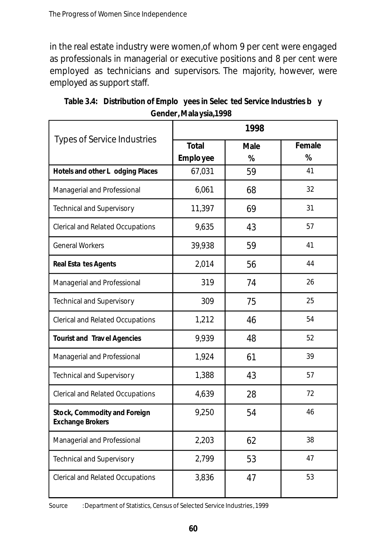in the real estate industry were women,of whom 9 per cent were engaged as professionals in managerial or executive positions and 8 per cent were employed as technicians and supervisors. The majority, however, were employed as support staff.

|                                                         | 1998                      |           |             |  |  |  |  |  |
|---------------------------------------------------------|---------------------------|-----------|-------------|--|--|--|--|--|
| <b>Types of Service Industries</b>                      | <b>Total</b><br>Emplo yee | Male<br>% | Female<br>% |  |  |  |  |  |
| Hotels and other L odging Places                        | 67,031                    | 59        | 41          |  |  |  |  |  |
| Managerial and Professional                             | 6,061                     | 68        | 32          |  |  |  |  |  |
| <b>Technical and Supervisory</b>                        | 11,397                    | 69        | 31          |  |  |  |  |  |
| Clerical and Related Occupations                        | 9,635                     | 43        | 57          |  |  |  |  |  |
| <b>General Workers</b>                                  | 39,938                    | 59        | 41          |  |  |  |  |  |
| <b>Real Esta tes Agents</b>                             | 2,014                     | 56        | 44          |  |  |  |  |  |
| Managerial and Professional                             | 319                       | 74        | 26          |  |  |  |  |  |
| Technical and Supervisory                               | 309                       | 75        | 25          |  |  |  |  |  |
| <b>Clerical and Related Occupations</b>                 | 1,212                     | 46        | 54          |  |  |  |  |  |
| <b>Tourist and Travel Agencies</b>                      | 9,939                     | 48        | 52          |  |  |  |  |  |
| Managerial and Professional                             | 1,924                     | 61        | 39          |  |  |  |  |  |
| Technical and Supervisory                               | 1,388                     | 43        | 57          |  |  |  |  |  |
| <b>Clerical and Related Occupations</b>                 | 4,639                     | 28        | 72          |  |  |  |  |  |
| Stock, Commodity and Foreign<br><b>Exchange Brokers</b> | 9,250                     | 54        | 46          |  |  |  |  |  |
| Managerial and Professional                             | 2,203                     | 62        | 38          |  |  |  |  |  |
| Technical and Supervisory                               | 2,799                     | 53        | 47          |  |  |  |  |  |
| Clerical and Related Occupations                        | 3,836                     | 47        | 53          |  |  |  |  |  |

**Table 3.4: Distribution of Emplo yees in Selec ted Service Industries b y Gender, Mala ysia,1998** 

Source : Department of Statistics, Census of Selected Service Industries, 1999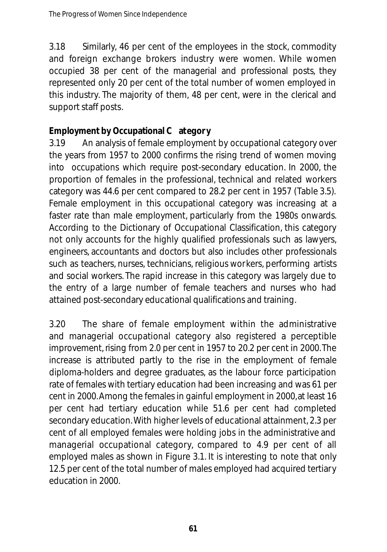3.18 Similarly, 46 per cent of the employees in the stock, commodity and foreign exchange brokers industry were women. While women occupied 38 per cent of the managerial and professional posts, they represented only 20 per cent of the total number of women employed in this industry. The majority of them, 48 per cent, were in the clerical and support staff posts.

#### **Employment by Occupational C ategor y**

3.19 An analysis of female employment by occupational category over the years from 1957 to 2000 confirms the rising trend of women moving into occupations which require post-secondary education. In 2000, the proportion of females in the professional, technical and related workers category was 44.6 per cent compared to 28.2 per cent in 1957 (Table 3.5). Female employment in this occupational category was increasing at a faster rate than male employment, particularly from the 1980s onwards. According to the Dictionary of Occupational Classification, this category not only accounts for the highly qualified professionals such as lawyers, engineers, accountants and doctors but also includes other professionals such as teachers, nurses, technicians, religious workers, performing artists and social workers. The rapid increase in this category was largely due to the entry of a large number of female teachers and nurses who had attained post-secondary educational qualifications and training.

3.20 The share of female employment within the administrative and managerial occupational category also registered a perceptible improvement, rising from 2.0 per cent in 1957 to 20.2 per cent in 2000.The increase is attributed partly to the rise in the employment of female diploma-holders and degree graduates, as the labour force participation rate of females with tertiary education had been increasing and was 61 per cent in 2000.Among the females in gainful employment in 2000,at least 16 per cent had tertiary education while 51.6 per cent had completed secondary education.With higher levels of educational attainment, 2.3 per cent of all employed females were holding jobs in the administrative and managerial occupational category, compared to 4.9 per cent of all employed males as shown in Figure 3.1. It is interesting to note that only 12.5 per cent of the total number of males employed had acquired tertiary education in 2000.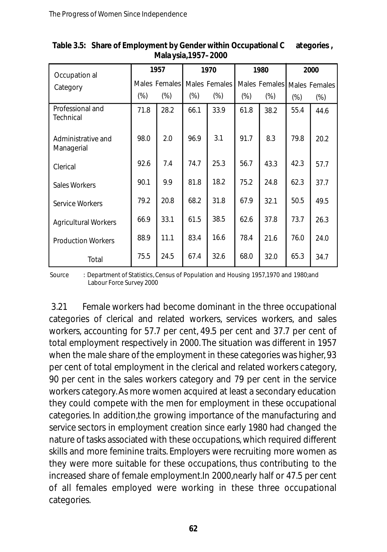| Occupation al                    | 1957   |               |        | 1970          |        | 1980                        | 2000   |        |
|----------------------------------|--------|---------------|--------|---------------|--------|-----------------------------|--------|--------|
| Category                         |        | Males Females |        | Males Females |        | Males Females Males Females |        |        |
|                                  | $(\%)$ | $(\%)$        | $(\%)$ | $(\%)$        | $(\%)$ | $(\%)$                      | $(\%)$ | $(\%)$ |
| Professional and<br>Technical    | 71.8   | 28.2          | 66.1   | 33.9          | 61.8   | 38.2                        | 55.4   | 44.6   |
| Administrative and<br>Managerial | 98.0   | 2.0           | 96.9   | 3.1           | 91.7   | 8.3                         | 79.8   | 20.2   |
| Clerical                         | 92.6   | 7.4           | 74.7   | 25.3          | 56.7   | 43.3                        | 42.3   | 57.7   |
| Sales Workers                    | 90.1   | 9.9           | 81.8   | 18.2          | 75.2   | 24.8                        | 62.3   | 37.7   |
| Service Workers                  | 79.2   | 20.8          | 68.2   | 31.8          | 67.9   | 32.1                        | 50.5   | 49.5   |
| <b>Agricultural Workers</b>      | 66.9   | 33.1          | 61.5   | 38.5          | 62.6   | 37.8                        | 73.7   | 26.3   |
| <b>Production Workers</b>        | 88.9   | 11.1          | 83.4   | 16.6          | 78.4   | 21.6                        | 76.0   | 24.0   |
| Total                            | 75.5   | 24.5          | 67.4   | 32.6          | 68.0   | 32.0                        | 65.3   | 34.7   |

**Table 3.5: Share of Employment by Gender within Occupational C ategories , Mala ysia,1957–2000**

Source : Department of Statistics, Census of Population and Housing 1957,1970 and 1980;and Labour Force Survey 2000

3.21 Female workers had become dominant in the three occupational categories of clerical and related workers, services workers, and sales workers, accounting for 57.7 per cent, 49.5 per cent and 37.7 per cent of total employment respectively in 2000. The situation was different in 1957 when the male share of the employment in these categories was higher, 93 per cent of total employment in the clerical and related workers category, 90 per cent in the sales workers category and 79 per cent in the service workers category. As more women acquired at least a secondary education they could compete with the men for employment in these occupational categories. In addition,the growing importance of the manufacturing and service sectors in employment creation since early 1980 had changed the nature of tasks associated with these occupations, which required different skills and more feminine traits. Employers were recruiting more women as they were more suitable for these occupations, thus contributing to the increased share of female employment. In 2000, nearly half or 47.5 per cent of all females employed were working in these three occupational categories.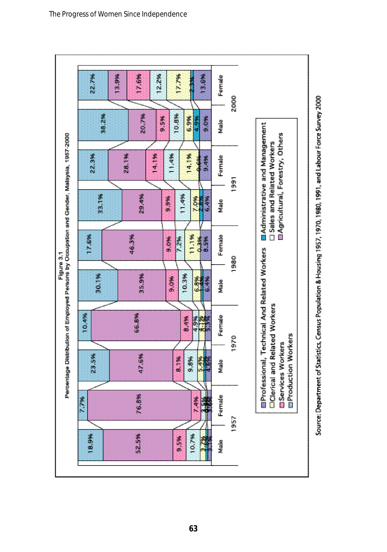

The Progress of Women Since Independence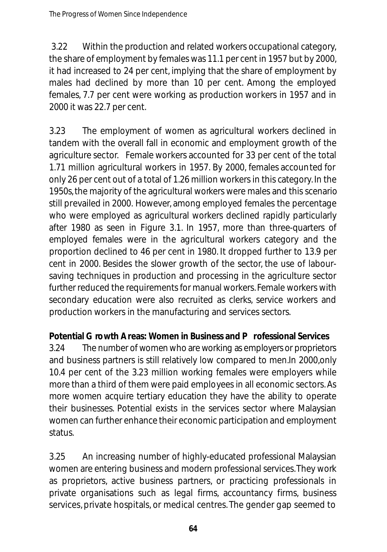3.22 Within the production and related workers occupational category, the share of employment by females was 11.1 per cent in 1957 but by 2000, it had increased to 24 per cent, implying that the share of employment by males had declined by more than 10 per cent. Among the employed females, 7.7 per cent were working as production workers in 1957 and in 2000 it was 22.7 per cent.

3.23 The employment of women as agricultural workers declined in tandem with the overall fall in economic and employment growth of the agriculture sector. Female workers accounted for 33 per cent of the total 1.71 million agricultural workers in 1957. By 2000, females accounted for only 26 per cent out of a total of 1.26 million workers in this category. In the 1950s,the majority of the agricultural workers were males and this scenario still prevailed in 2000. However, among employed females the percentage who were employed as agricultural workers declined rapidly particularly after 1980 as seen in Figure 3.1. In 1957, more than three-quarters of employed females were in the agricultural workers category and the proportion declined to 46 per cent in 1980. It dropped further to 13.9 per cent in 2000. Besides the slower growth of the sector, the use of laboursaving techniques in production and processing in the agriculture sector further reduced the requirements for manual workers. Female workers with secondary education were also recruited as clerks, service workers and production workers in the manufacturing and services sectors.

#### **Potential G rowth Areas: Women in Business and P rofessional Services**

3.24 The number of women who are working as employers or proprietors and business partners is still relatively low compared to men.In 2000,only 10.4 per cent of the 3.23 million working females were employers while more than a third of them were paid employees in all economic sectors. As more women acquire tertiary education they have the ability to operate their businesses. Potential exists in the services sector where Malaysian women can further enhance their economic participation and employment status.

3.25 An increasing number of highly-educated professional Malaysian women are entering business and modern professional services.They work as proprietors, active business partners, or practicing professionals in private organisations such as legal firms, accountancy firms, business services, private hospitals, or medical centres. The gender gap seemed to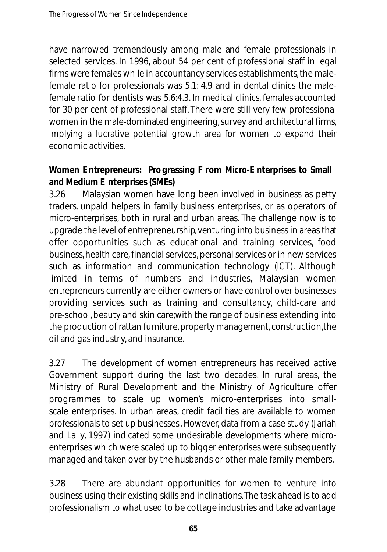have narrowed tremendously among male and female professionals in selected services. In 1996, about 54 per cent of professional staff in legal firms were females while in accountancy services establishments,the malefemale ratio for professionals was 5.1: 4.9 and in dental clinics the malefemale ratio for dentists was 5.6:4.3. In medical clinics, females accounted for 30 per cent of professional staff. There were still very few professional women in the male-dominated engineering,survey and architectural firms, implying a lucrative potential growth area for women to expand their economic activities.

### **Women E ntrepreneurs: Progressing F rom Micro-E nterprises to Small and Medium E nterprises (SMEs)**

3.26 Malaysian women have long been involved in business as petty traders, unpaid helpers in family business enterprises, or as operators of micro-enterprises, both in rural and urban areas. The challenge now is to upgrade the level of entrepreneurship, venturing into business in areas that offer opportunities such as educational and training services, food business,health care, financial services, personal services or in new services such as information and communication technology (ICT). Although limited in terms of numbers and industries, Malaysian women entrepreneurs currently are either owners or have control over businesses providing services such as training and consultancy, child-care and pre-school,beauty and skin care;with the range of business extending into the production of rattan furniture, property management, construction, the oil and gas industry, and insurance.

3.27 The development of women entrepreneurs has received active Government support during the last two decades. In rural areas, the Ministry of Rural Development and the Ministry of Agriculture offer programmes to scale up women's micro-enterprises into smallscale enterprises. In urban areas, credit facilities are available to women professionals to set up businesses. However, data from a case study (Jariah and Laily, 1997) indicated some undesirable developments where microenterprises which were scaled up to bigger enterprises were subsequently managed and taken over by the husbands or other male family members.

3.28 There are abundant opportunities for women to venture into business using their existing skills and inclinations.The task ahead is to add professionalism to what used to be cottage industries and take advantage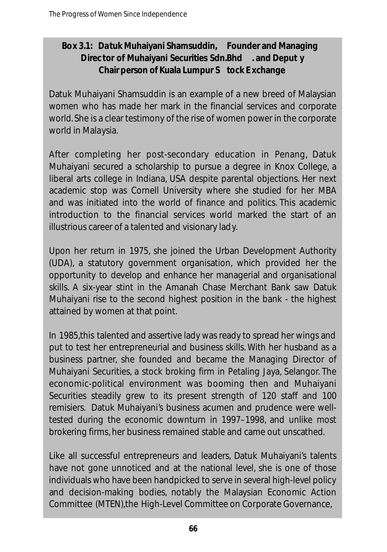#### **Box 3.1: Datuk Muhaiyani Shamsuddin, Founder and Managing Direc tor of Muhaiyani Securities Sdn.Bhd . and Deput y Chair person of Kuala Lumpur S tock E xchange**

Datuk Muhaiyani Shamsuddin is an example of a new breed of Malaysian women who has made her mark in the financial services and corporate world. She is a clear testimony of the rise of women power in the corporate world in Malaysia.

After completing her post-secondary education in Penang, Datuk Muhaiyani secured a scholarship to pursue a degree in Knox College, a liberal arts college in Indiana, USA despite parental objections. Her next academic stop was Cornell University where she studied for her MBA and was initiated into the world of finance and politics. This academic introduction to the financial services world marked the start of an illustrious career of a talented and visionary lady.

Upon her return in 1975, she joined the Urban Development Authority (UDA), a statutory government organisation, which provided her the opportunity to develop and enhance her managerial and organisational skills. A six-year stint in the Amanah Chase Merchant Bank saw Datuk Muhaiyani rise to the second highest position in the bank - the highest attained by women at that point.

In 1985,this talented and assertive lady was ready to spread her wings and put to test her entrepreneurial and business skills. With her husband as a business partner, she founded and became the Managing Director of Muhaiyani Securities, a stock broking firm in Petaling Jaya, Selangor. The economic-political environment was booming then and Muhaiyani Securities steadily grew to its present strength of 120 staff and 100 remisiers. Datuk Muhaiyani's business acumen and prudence were welltested during the economic downturn in 1997–1998, and unlike most brokering firms, her business remained stable and came out unscathed.

Like all successful entrepreneurs and leaders, Datuk Muhaiyani's talents have not gone unnoticed and at the national level, she is one of those individuals who have been handpicked to serve in several high-level policy and decision-making bodies, notably the Malaysian Economic Action Committee (MTEN),the High-Level Committee on Corporate Governance,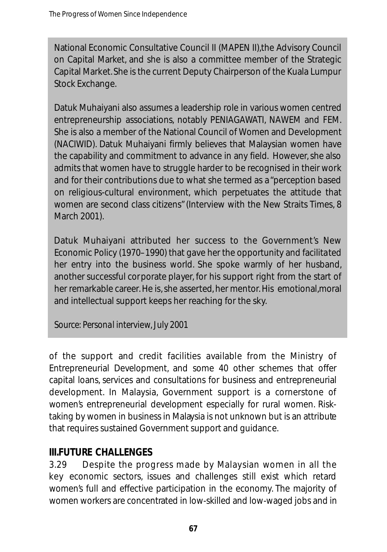National Economic Consultative Council II (MAPEN II),the Advisory Council on Capital Market, and she is also a committee member of the Strategic Capital Market. She is the current Deputy Chairperson of the Kuala Lumpur Stock Exchange.

Datuk Muhaiyani also assumes a leadership role in various women centred entrepreneurship associations, notably PENIAGAWATI, NAWEM and FEM. She is also a member of the National Council of Women and Development (NACIWID). Datuk Muhaiyani firmly believes that Malaysian women have the capability and commitment to advance in any field. However,she also admits that women have to struggle harder to be recognised in their work and for their contributions due to what she termed as a "perception based on religious-cultural environment, which perpetuates the attitude that women are second class citizens"(Interview with the New Straits Times, 8 March 2001).

Datuk Muhaiyani attributed her success to the Government's New Economic Policy (1970–1990) that gave her the opportunity and facilitated her entry into the business world. She spoke warmly of her husband, another successful corporate player, for his support right from the start of her remarkable career. He is, she asserted, her mentor. His emotional,moral and intellectual support keeps her reaching for the sky.

*Source: Personal interview, July 2001*

of the support and credit facilities available from the Ministry of Entrepreneurial Development, and some 40 other schemes that offer capital loans, services and consultations for business and entrepreneurial development. In Malaysia, Government support is a cornerstone of women's entrepreneurial development especially for rural women. Risktaking by women in business in Malaysia is not unknown but is an attribute that requires sustained Government support and guidance.

### **III.FUTURE CHALLENGES**

3.29 Despite the progress made by Malaysian women in all the key economic sectors, issues and challenges still exist which retard women's full and effective participation in the economy. The majority of women workers are concentrated in low-skilled and low-waged jobs and in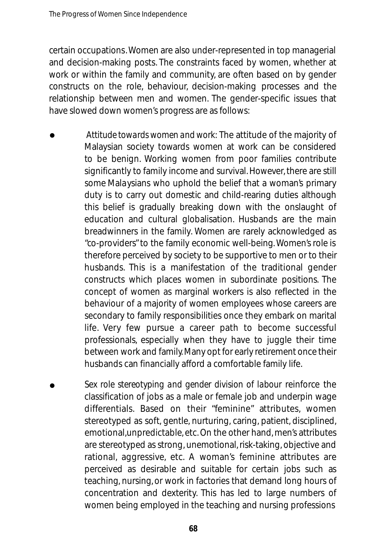certain occupations. Women are also under-represented in top managerial and decision-making posts. The constraints faced by women, whether at work or within the family and community, are often based on by gender constructs on the role, behaviour, decision-making processes and the relationship between men and women. The gender-specific issues that have slowed down women's progress are as follows:

- *Attitude towards women and work:* The attitude of the majority of Malaysian society towards women at work can be considered to be benign. Working women from poor families contribute significantly to family income and survival. However, there are still some Malaysians who uphold the belief that a woman's primary duty is to carry out domestic and child-rearing duties although this belief is gradually breaking down with the onslaught of education and cultural globalisation. Husbands are the main breadwinners in the family. Women are rarely acknowledged as "co-providers" to the family economic well-being. Women's role is therefore perceived by society to be supportive to men or to their husbands. This is a manifestation of the traditional gender constructs which places women in subordinate positions. The concept of women as marginal workers is also reflected in the behaviour of a majority of women employees whose careers are secondary to family responsibilities once they embark on marital life. Very few pursue a career path to become successful professionals, especially when they have to juggle their time between work and family. Many opt for early retirement once their husbands can financially afford a comfortable family life. •
- *Sex role stereotyping and gender division of labour* reinforce the classification of jobs as a male or female job and underpin wage differentials. Based on their "feminine" attributes, women stereotyped as soft, gentle, nurturing, caring, patient, disciplined, emotional, unpredictable, etc. On the other hand, men's attributes are stereotyped as strong, unemotional,risk-taking, objective and rational, aggressive, etc. A woman's feminine attributes are perceived as desirable and suitable for certain jobs such as teaching, nursing, or work in factories that demand long hours of concentration and dexterity. This has led to large numbers of women being employed in the teaching and nursing professions •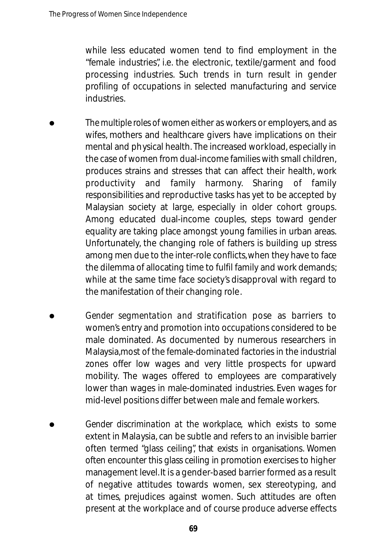while less educated women tend to find employment in the "female industries", i.e. the electronic, textile/garment and food processing industries. Such trends in turn result in gender profiling of occupations in selected manufacturing and service industries.

- *The multiple roles of women* either as workers or employers, and as wifes, mothers and healthcare givers have implications on their mental and physical health. The increased workload, especially in the case of women from dual-income families with small children, produces strains and stresses that can affect their health, work productivity and family harmony. Sharing of family responsibilities and reproductive tasks has yet to be accepted by Malaysian society at large, especially in older cohort groups. Among educated dual-income couples, steps toward gender equality are taking place amongst young families in urban areas. Unfortunately, the changing role of fathers is building up stress among men due to the inter-role conflicts,when they have to face the dilemma of allocating time to fulfil family and work demands; while at the same time face society's disapproval with regard to the manifestation of their changing role. •
- *Gender segmentation and stratification pose as barriers to* women's entry and promotion into occupations considered to be male dominated. As documented by numerous researchers in Malaysia,most of the female-dominated factories in the industrial zones offer low wages and very little prospects for upward mobility. The wages offered to employees are comparatively lower than wages in male-dominated industries. Even wages for mid-level positions differ between male and female workers. •
- *Gender discrimination at the workplace,* which exists to some extent in Malaysia, can be subtle and refers to an invisible barrier often termed "glass ceiling", that exists in organisations. Women often encounter this glass ceiling in promotion exercises to higher management level. It is a gender-based barrier formed as a result of negative attitudes towards women, sex stereotyping, and at times, prejudices against women. Such attitudes are often present at the workplace and of course produce adverse effects •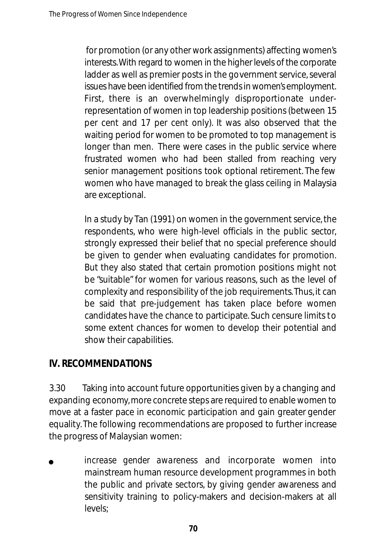for promotion (or any other work assignments) affecting women's interests. With regard to women in the higher levels of the corporate ladder as well as premier posts in the government service, several issues have been identified from the trends in women's employment. First, there is an overwhelmingly disproportionate underrepresentation of women in top leadership positions (between 15 per cent and 17 per cent only). It was also observed that the waiting period for women to be promoted to top management is longer than men. There were cases in the public service where frustrated women who had been stalled from reaching very senior management positions took optional retirement. The few women who have managed to break the glass ceiling in Malaysia are exceptional.

In a study by Tan (1991) on women in the government service, the respondents, who were high-level officials in the public sector, strongly expressed their belief that no special preference should be given to gender when evaluating candidates for promotion. But they also stated that certain promotion positions might not be "suitable" for women for various reasons, such as the level of complexity and responsibility of the job requirements.Thus, it can be said that pre-judgement has taken place before women candidates have the chance to participate. Such censure limits to some extent chances for women to develop their potential and show their capabilities.

# **IV. RECOMMENDATIONS**

3.30 Taking into account future opportunities given by a changing and expanding economy, more concrete steps are required to enable women to move at a faster pace in economic participation and gain greater gender equality. The following recommendations are proposed to further increase the progress of Malaysian women:

*increase gender awareness* and incorporate women into mainstream human resource development programmes in both the public and private sectors, by giving gender awareness and sensitivity training to policy-makers and decision-makers at all levels; •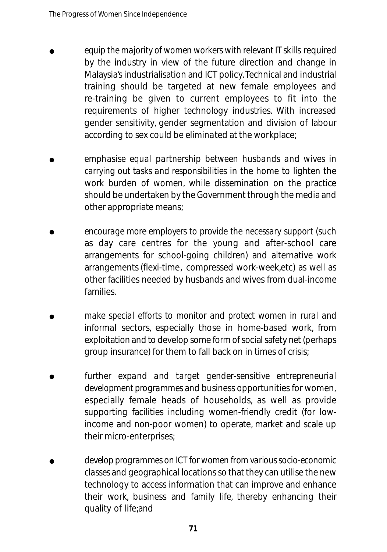- *equip the majority of women workers with relevant IT skills* required by the industry in view of the future direction and change in Malaysia's industrialisation and ICT policy. Technical and industrial training should be targeted at new female employees and re-training be given to current employees to fit into the requirements of higher technology industries. With increased gender sensitivity, gender segmentation and division of labour according to sex could be eliminated at the workplace; •
- *emphasise equal partnership be tween husbands and wives in carrying out tasks and responsibilities* in the home to lighten the work burden of women, while dissemination on the practice should be undertaken by the Government through the media and other appropriate means; •
- *encourage more employers to provide the necessary support* (such as day care centres for the young and after-school care arrangements for school-going children) and alternative work arrangements (flexi-time, compressed work-week,etc) as well as other facilities needed by husbands and wives from dual-income families. •
- *make special efforts to monitor and protect women in rural and informal* sectors, especially those in home-based work. from exploitation and to develop some form of social safety net (perhaps group insurance) for them to fall back on in times of crisis; •
- *further expand and target gender-sensitive entrepreneurial development programmes* and business opportunities for women, especially female heads of households, as well as provide supporting facilities including women-friendly credit (for lowincome and non-poor women) to operate, market and scale up their micro-enterprises; •
- *develop programmes on ICT for women from various socio-economic classes* and geographical locations so that they can utilise the new technology to access information that can improve and enhance their work, business and family life, thereby enhancing their quality of life;and •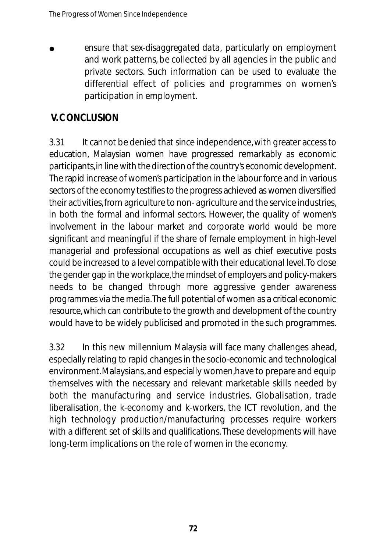*ensure that sex-disaggregated data,* particularly on employment and work patterns, be collected by all agencies in the public and private sectors. Such information can be used to evaluate the differential effect of policies and programmes on women's participation in employment. •

# **V. CONCLUSION**

3.31 It cannot be denied that since independence, with greater access to education, Malaysian women have progressed remarkably as economic participants, in line with the direction of the country's economic development. The rapid increase of women's participation in the labour force and in various sectors of the economy testifies to the progress achieved as women diversified their activities, from agriculture to non-agriculture and the service industries, in both the formal and informal sectors. However, the quality of women's involvement in the labour market and corporate world would be more significant and meaningful if the share of female employment in high-level managerial and professional occupations as well as chief executive posts could be increased to a level compatible with their educational level. To close the gender gap in the workplace, the mindset of employers and policy-makers needs to be changed through more aggressive gender awareness programmes via the media. The full potential of women as a critical economic resource, which can contribute to the growth and development of the country would have to be widely publicised and promoted in the such programmes.

3.32 In this new millennium Malaysia will face many challenges ahead, especially relating to rapid changes in the socio-economic and technological environment.Malaysians, and especially women,have to prepare and equip themselves with the necessary and relevant marketable skills needed by both the manufacturing and service industries. Globalisation, trade liberalisation, the k-economy and k-workers, the ICT revolution, and the high technology production/manufacturing processes require workers with a different set of skills and qualifications. These developments will have long-term implications on the role of women in the economy.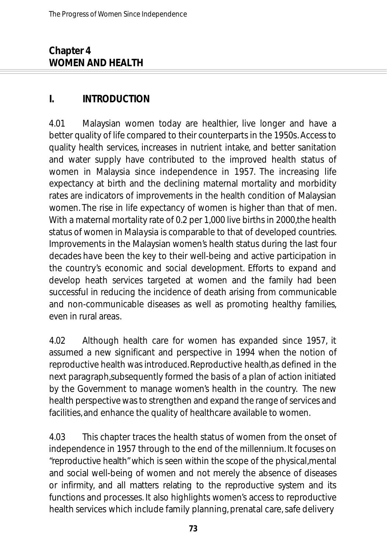### **Chapter 4 WOMEN AND HEALTH**

### **I. INTRODUCTION**

4.01 Malaysian women today are healthier, live longer and have a better quality of life compared to their counterparts in the 1950s. Access to quality health services, increases in nutrient intake, and better sanitation and water supply have contributed to the improved health status of women in Malaysia since independence in 1957. The increasing life expectancy at birth and the declining maternal mortality and morbidity rates are indicators of improvements in the health condition of Malaysian women. The rise in life expectancy of women is higher than that of men. With a maternal mortality rate of 0.2 per 1,000 live births in 2000, the health status of women in Malaysia is comparable to that of developed countries. Improvements in the Malaysian women's health status during the last four decades have been the key to their well-being and active participation in the country's economic and social development. Efforts to expand and develop heath services targeted at women and the family had been successful in reducing the incidence of death arising from communicable and non-communicable diseases as well as promoting healthy families, even in rural areas.

4.02 Although health care for women has expanded since 1957, it assumed a new significant and perspective in 1994 when the notion of reproductive health was introduced. Reproductive health,as defined in the next paragraph,subsequently formed the basis of a plan of action initiated by the Government to manage women's health in the country. The new health perspective was to strengthen and expand the range of services and facilities, and enhance the quality of healthcare available to women.

4.03 This chapter traces the health status of women from the onset of independence in 1957 through to the end of the millennium. It focuses on "reproductive health" which is seen within the scope of the physical, mental and social well-being of women and not merely the absence of diseases or infirmity, and all matters relating to the reproductive system and its functions and processes. It also highlights women's access to reproductive health services which include family planning, prenatal care, safe delivery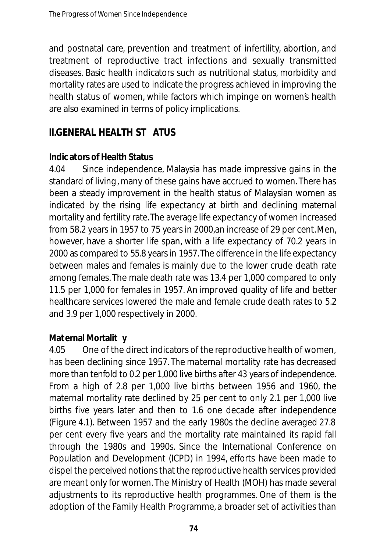and postnatal care, prevention and treatment of infertility, abortion, and treatment of reproductive tract infections and sexually transmitted diseases. Basic health indicators such as nutritional status, morbidity and mortality rates are used to indicate the progress achieved in improving the health status of women, while factors which impinge on women's health are also examined in terms of policy implications.

## **II.GENERAL HEALTH ST ATUS**

#### **Indic ators of Health Status**

4.04 Since independence, Malaysia has made impressive gains in the standard of living, many of these gains have accrued to women. There has been a steady improvement in the health status of Malaysian women as indicated by the rising life expectancy at birth and declining maternal mortality and fertility rate.The average life expectancy of women increased from 58.2 years in 1957 to 75 years in 2000,an increase of 29 per cent.Men, however, have a shorter life span, with a life expectancy of 70.2 years in 2000 as compared to 55.8 years in 1957. The difference in the life expectancy between males and females is mainly due to the lower crude death rate among females. The male death rate was 13.4 per 1,000 compared to only 11.5 per 1,000 for females in 1957. An improved quality of life and better healthcare services lowered the male and female crude death rates to 5.2 and 3.9 per 1,000 respectively in 2000.

#### **Maternal Mortalit y**

4.05 One of the direct indicators of the reproductive health of women, has been declining since 1957. The maternal mortality rate has decreased more than tenfold to 0.2 per 1,000 live births after 43 years of independence. From a high of 2.8 per 1,000 live births between 1956 and 1960, the maternal mortality rate declined by 25 per cent to only 2.1 per 1,000 live births five years later and then to 1.6 one decade after independence (Figure 4.1). Between 1957 and the early 1980s the decline averaged 27.8 per cent every five years and the mortality rate maintained its rapid fall through the 1980s and 1990s. Since the International Conference on Population and Development (ICPD) in 1994, efforts have been made to dispel the perceived notions that the reproductive health services provided are meant only for women. The Ministry of Health (MOH) has made several adjustments to its reproductive health programmes. One of them is the adoption of the Family Health Programme, a broader set of activities than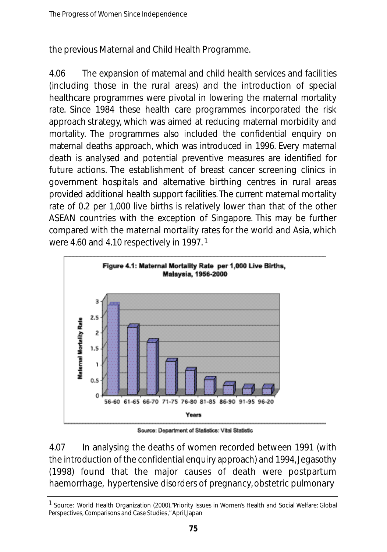the previous Maternal and Child Health Programme.

4.06 The expansion of maternal and child health services and facilities (including those in the rural areas) and the introduction of special healthcare programmes were pivotal in lowering the maternal mortality rate. Since 1984 these health care programmes incorporated the risk approach strategy, which was aimed at reducing maternal morbidity and mortality. The programmes also included the confidential enquiry on m ate rnal deaths approach, which was introduced in 1996. Every mate rnal death is analysed and potential preventive measures are identified for future actions. The establishment of breast cancer screening clinics in government hospitals and alternative birthing centres in rural areas provided additional health support facilities. The current maternal mortality rate of 0.2 per 1,000 live births is relatively lower than that of the other ASEAN countries with the exception of Singapore. This may be further compared with the maternal mortality rates for the world and Asia, which were 4.60 and 4.10 respectively in 1997. 1



Source: Department of Statistics: Vital Statistic

4.07 In analysing the deaths of women recorded between 1991 (with the introduction of the confidential enquiry approach) and 1994,Jegasothy  $(1998)$  found that the major causes of death were postpartum ha e m orrhage, hyperten sive disorders of pregnancy, obstetric pulmonary

<sup>1</sup> Source: World Health Organization (2000),"Priority Issues in Women's Health and Social Welfare: Global Perspectives, Comparisons and Case Studies," April,Japan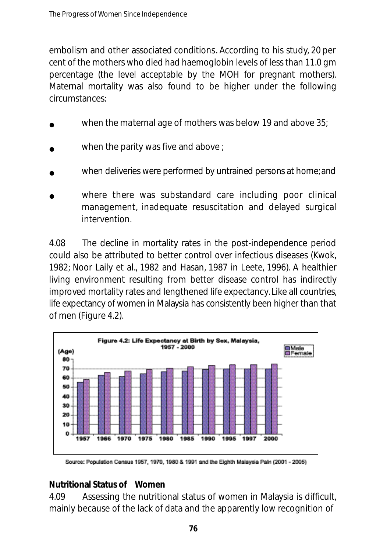embolism and other associated conditions. According to his study, 20 per cent of the mothers who died had haemoglobin levels of less than 11.0 gm percentage (the level acceptable by the MOH for pregnant mothers). Maternal mortality was also found to be higher under the following circumstances:

- when the maternal age of mothers was below 19 and above 35; •
- when the parity was five and above ; •
- when deliveries were performed by untrained persons at home; and •
- where there was substandard care including poor clinical management, in a dequate resuscitation and delayed surgical intervention. •

4.08 The decline in mortality rates in the post-independence period could also be attributed to better control over infectious diseases (Kwok, 1982; Noor Laily et al., 1982 and Hasan, 1987 in Leete, 1996). A healthier living environment resulting from better disease control has indirectly improved mortality rates and lengthened life expectancy. Like all countries, life expectancy of women in Malaysia has consistently been higher than that of men (Figure 4.2).



Source: Population Census 1957, 1970, 1980 & 1991 and the Eighth Malaysia Paln (2001 - 2005)

#### **Nutritional Status of Women**

4.09 Assessing the nutritional status of women in Malaysia is difficult, mainly because of the lack of data and the apparently low recognition of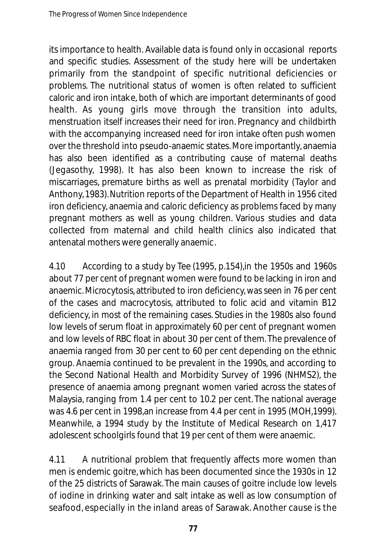its importance to health. Available data is found only in occasional reports and specific studies. Assessment of the study here will be undertaken primarily from the standpoint of specific nutritional deficiencies or problems. The nutritional status of women is often related to sufficient caloric and iron intake, both of which are important determinants of good health. As young girls move through the transition into adults, menstruation itself increases their need for iron. Pregnancy and childbirth with the accompanying increased need for iron intake often push women over the threshold into pseudo-anaemic states. More importantly, anaemia has also been identified as a contributing cause of maternal deaths (Jegasothy, 1998). It has also been known to increase the risk of miscarriages, premature births as well as prenatal morbidity (Taylor and Anthony, 1983). Nutrition reports of the Department of Health in 1956 cited iron deficiency, anaemia and caloric deficiency as problems faced by many pregnant mothers as well as young children. Various studies and data collected from maternal and child health clinics also indicated that antenatal mothers were generally anaemic.

4.10 According to a study by Tee (1995, p.154),in the 1950s and 1960s about 77 per cent of pregnant women were found to be lacking in iron and anaemic. Microcytosis, attributed to iron deficiency, was seen in 76 per cent of the cases and macrocytosis, attributed to folic acid and vitamin B12 deficiency, in most of the remaining cases. Studies in the 1980s also found low levels of serum float in approximately 60 per cent of pregnant women and low levels of RBC float in about 30 per cent of them. The prevalence of anaemia ranged from 30 per cent to 60 per cent depending on the ethnic group. Anaemia continued to be prevalent in the 1990s, and according to the Second National Health and Morbidity Survey of 1996 (NHMS2), the presence of anaemia among pregnant women varied across the states of Malaysia, ranging from 1.4 per cent to 10.2 per cent. The national average was 4.6 per cent in 1998,an increase from 4.4 per cent in 1995 (MOH,1999). Meanwhile, a 1994 study by the Institute of Medical Research on 1,417 adolescent schoolgirls found that 19 per cent of them were anaemic.

4.11 A nutritional problem that frequently affects more women than men is endemic goitre, which has been documented since the 1930s in 12 of the 25 districts of Sarawak. The main causes of goitre include low levels of iodine in drinking water and salt intake as well as low consumption of seafood, especially in the inland areas of Sarawak. Another cause is the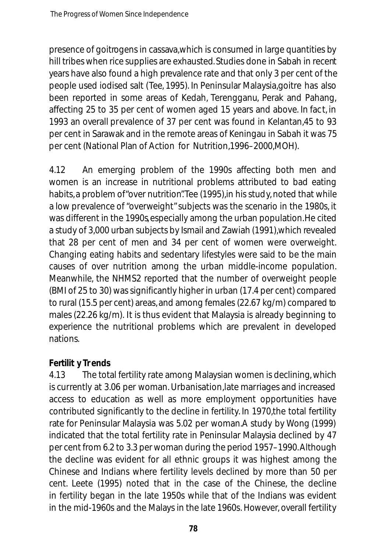presence of goitrogens in cassava,which is consumed in large quantities by hill tribes when rice supplies are exhausted. Studies done in Sabah in recent years have also found a high prevalence rate and that only 3 per cent of the people used iodised salt (Tee, 1995). In Peninsular Malaysia,goitre has also been reported in some areas of Kedah, Terengganu, Perak and Pahang, affecting 25 to 35 per cent of women aged 15 years and above. In fact, in 1993 an overall prevalence of 37 per cent was found in Kelantan,45 to 93 per cent in Sarawak and in the remote areas of Keningau in Sabah it was 75 per cent (National Plan of Action for Nutrition,1996–2000,MOH).

4.12 An emerging problem of the 1990s affecting both men and women is an increase in nutritional problems attributed to bad eating habits, a problem of "over nutrition". Tee (1995), in his study, noted that while a low prevalence of "overweight" subjects was the scenario in the 1980s, it was different in the 1990s, especially among the urban population. He cited a study of 3,000 urban subjects by Ismail and Zawiah (1991),which revealed that 28 per cent of men and 34 per cent of women were overweight. Changing eating habits and sedentary lifestyles were said to be the main causes of over nutrition among the urban middle-income population. Meanwhile, the NHMS2 reported that the number of overweight people (BMI of 25 to 30) was significantly higher in urban (17.4 per cent) compared to rural (15.5 per cent) areas, and among females (22.67 kg/m) compared to males (22.26 kg/m). It is thus evident that Malaysia is already beginning to experience the nutritional problems which are prevalent in developed nations.

### **Fertilit y Tr ends**

4.13 The total fertility rate among Malaysian women is declining, which is currently at 3.06 per woman. Urbanisation,late marriages and increased access to education as well as more employment opportunities have contributed significantly to the decline in fertility. In 1970,the total fertility rate for Peninsular Malaysia was 5.02 per woman.A study by Wong (1999) indicated that the total fertility rate in Peninsular Malaysia declined by 47 per cent from 6.2 to 3.3 per woman during the period 1957–1990.Although the decline was evident for all ethnic groups it was highest among the Chinese and Indians where fertility levels declined by more than 50 per cent. Leete (1995) noted that in the case of the Chinese, the decline in fertility began in the late 1950s while that of the Indians was evident in the mid-1960s and the Malays in the late 1960s. However, overall fertility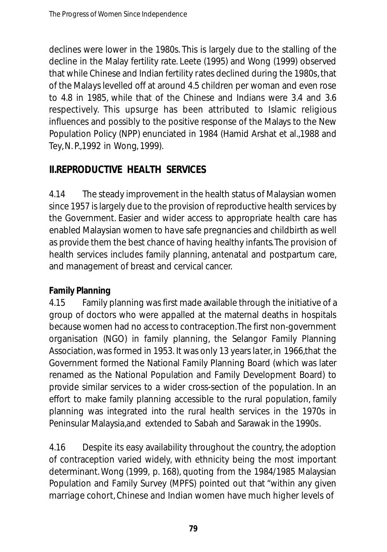declines were lower in the 1980s. This is largely due to the stalling of the decline in the Malay fertility rate. Leete (1995) and Wong (1999) observed that while Chinese and Indian fertility rates declined during the 1980s, that of the Malays levelled off at around 4.5 children per woman and even rose to 4.8 in 1985, while that of the Chinese and Indians were 3.4 and 3.6 respectively. This upsurge has been attributed to Islamic religious influences and possibly to the positive response of the Malays to the New Population Policy (NPP) enunciated in 1984 (Hamid Arshat et al.,1988 and Tey,N. P.,1992 in Wong, 1999).

# **II.REPRODUCTIVE HEALTH SERVICES**

4.14 The steady improvement in the health status of Malaysian women since 1957 is largely due to the provision of reproductive health services by the Government. Easier and wider access to appropriate health care has enabled Malaysian women to have safe pregnancies and childbirth as well as provide them the best chance of having healthy infants.The provision of health services includes family planning, antenatal and postpartum care, and management of breast and cervical cancer.

### **Family Planning**

4.15 Family planning was first made available through the initiative of a group of doctors who were appalled at the maternal deaths in hospitals because women had no access to contraception.The first non-government organisation (NGO) in family planning, the Selangor Family Planning Association, was formed in 1953. It was only 13 years later, in 1966,that the Government formed the National Family Planning Board (which was later renamed as the National Population and Family Development Board) to provide similar services to a wider cross-section of the population. In an effort to make family planning accessible to the rural population, family planning was integrated into the rural health services in the 1970s in Peninsular Malaysia,and extended to Sabah and Sarawak in the 1990s.

4.16 Despite its easy availability throughout the country, the adoption of contraception varied widely, with ethnicity being the most important determinant. Wong (1999, p. 168), quoting from the 1984/1985 Malaysian Population and Family Survey (MPFS) pointed out that "within any given marriage cohort, Chinese and Indian women have much higher levels of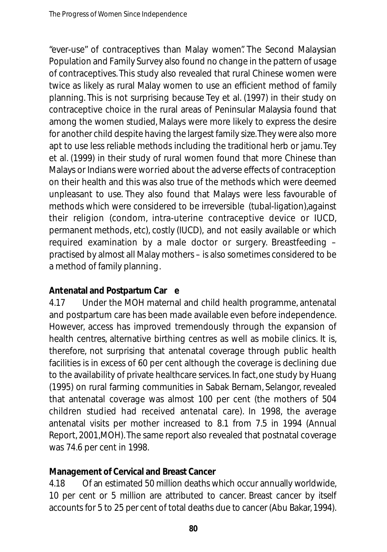"ever-use" of contraceptives than Malay women". The Second Malaysian Population and Family Survey also found no change in the pattern of usage of contraceptives. This study also revealed that rural Chinese women were twice as likely as rural Malay women to use an efficient method of family planning. This is not surprising because Tey et al. (1997) in their study on contraceptive choice in the rural areas of Peninsular Malaysia found that among the women studied, Malays were more likely to express the desire for another child despite having the largest family size.They were also more apt to use less reliable methods including the traditional herb or jamu. Tey et al. (1999) in their study of rural women found that more Chinese than Malays or Indians were worried about the adverse effects of contraception on their health and this was also true of the methods which were deemed unpleasant to use. They also found that Malays were less favourable of methods which were considered to be irreversible (tubal-ligation),against their religion (condom, intra-uterine contraceptive device or IUCD, permanent methods, etc), costly (IUCD), and not easily available or which required examination by a male doctor or surgery. Breastfeeding practised by almost all Malay mothers – is also sometimes considered to be a method of family planning.

#### **Antenatal and Postpartum Car e**

4.17 Under the MOH maternal and child health programme, antenatal and postpartum care has been made available even before independence. However, access has improved tremendously through the expansion of health centres, alternative birthing centres as well as mobile clinics. It is, therefore, not surprising that antenatal coverage through public health facilities is in excess of 60 per cent although the coverage is declining due to the availability of private healthcare services. In fact, one study by Huang (1995) on rural farming communities in Sabak Bernam, Selangor, revealed that antenatal coverage was almost 100 per cent (the mothers of 504 children studied had received antenatal care). In 1998, the average antenatal visits per mother increased to 8.1 from 7.5 in 1994 (Annual Report, 2001,MOH). The same report also revealed that postnatal coverage was 74.6 per cent in 1998.

#### **Management of Cervical and Breast Cancer**

4.18 Of an estimated 50 million deaths which occur annually worldwide, 10 per cent or 5 million are attributed to cancer. Breast cancer by itself accounts for 5 to 25 per cent of total deaths due to cancer (Abu Bakar, 1994).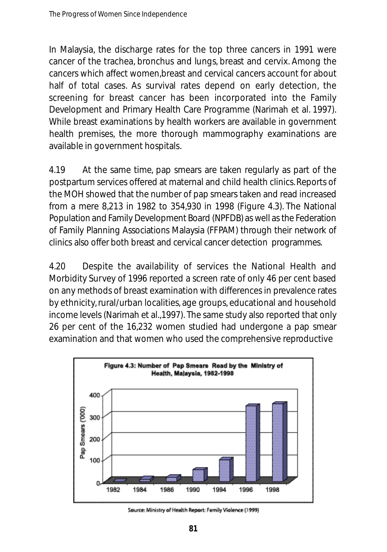In Malaysia, the discharge rates for the top three cancers in 1991 were cancer of the trachea, bronchus and lungs, breast and cervix. Among the cancers which affect women,breast and cervical cancers account for about half of total cases. As survival rates depend on early detection, the screening for breast cancer has been incorporated into the Family Development and Primary Health Care Programme (Narimah et al. 1997). While breast examinations by health workers are available in government health premises, the more thorough mammography examinations are available in government hospitals.

4.19 At the same time, pap smears are taken regularly as part of the postpartum services offered at maternal and child health clinics. Reports of the MOH showed that the number of pap smears taken and read increased from a mere 8,213 in 1982 to 354,930 in 1998 (Figure 4.3). The National Population and Family Development Board (NPFDB) as well as the Federation of Family Planning Associations Malaysia (FFPAM) through their network of clinics also offer both breast and cervical cancer detection programmes.

4.20 Despite the availability of services the National Health and Morbidity Survey of 1996 reported a screen rate of only 46 per cent based on any methods of breast examination with differences in prevalence rates by ethnicity, rural/urban localities, age groups, educational and household income levels (Narimah et al.,1997). The same study also reported that only 26 per cent of the 16,232 women studied had undergone a pap smear examination and that women who used the comprehensive reproductive



Source: Ministry of Health Report: Family Violence (1999)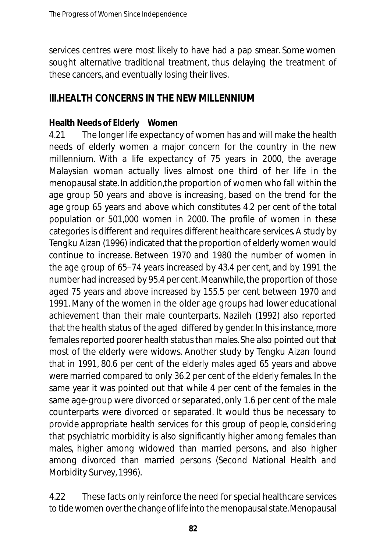services centres were most likely to have had a pap smear. Some women sought alternative traditional treatment, thus delaying the treatment of these cancers, and eventually losing their lives.

### **III HEALTH CONCERNS IN THE NEW MILLENNIUM**

### **Health Needs of Elderly Women**

4.21 The longer life expectancy of women has and will make the health needs of elderly women a major concern for the country in the new millennium. With a life expectancy of 75 years in 2000, the average Malaysian woman actually lives almost one third of her life in the menopausal state. In addition,the proportion of women who fall within the age group 50 years and above is increasing, based on the trend for the age group 65 years and above which constitutes 4.2 per cent of the total population or 501,000 women in 2000. The profile of women in these categories is different and requires different healthcare services.A study by Tengku Aizan (1996) indicated that the proportion of elderly women would continue to increase. Between 1970 and 1980 the number of women in the age group of 65–74 years increased by 43.4 per cent, and by 1991 the number had increased by 95.4 per cent. Meanwhile, the proportion of those aged 75 years and above increased by 155.5 per cent between 1970 and 1991. Many of the women in the older age groups had lower educational achievement than their male counterparts. Nazileh (1992) also reported that the health status of the aged differed by gender. In this instance, more females reported poorer health status than males. She also pointed out that most of the elderly were widows. Another study by Tengku Aizan found that in 1991, 80.6 per cent of the elderly males aged 65 years and above were married compared to only 36.2 per cent of the elderly females. In the same year it was pointed out that while 4 per cent of the females in the same age-group were divorced or separated, only 1.6 per cent of the male counterparts were divorced or separated. It would thus be necessary to provide appropriate health services for this group of people, considering that psychiatric morbidity is also significantly higher among females than males, higher among widowed than married persons, and also higher among divorced than married persons (Second National Health and Morbidity Survey, 1996).

4.22 These facts only reinforce the need for special healthcare services to tide women over the change of life into the menopausal state. Menopausal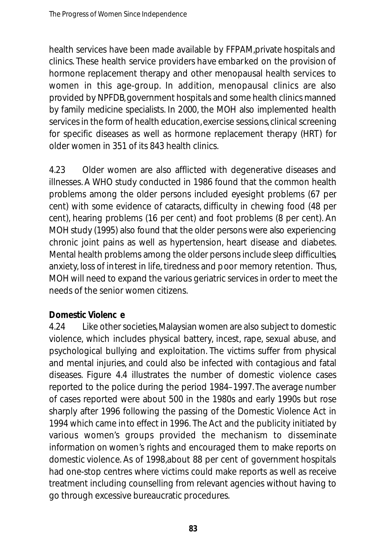health services have been made available by FFPAM,private hospitals and clinics. These health service providers have embarked on the provision of hormone replacement therapy and other menopausal health services to women in this age-group. In addition, menopausal clinics are also provided by NPFDB, government hospitals and some health clinics manned by family medicine specialists. In 2000, the MOH also implemented health services in the form of health education,exercise sessions, clinical screening for specific diseases as well as hormone replacement therapy (HRT) for older women in 351 of its 843 health clinics.

4.23 Older women are also afflicted with degenerative diseases and illnesses. A WHO study conducted in 1986 found that the common health problems among the older persons included eyesight problems (67 per cent) with some evidence of cataracts, difficulty in chewing food (48 per cent), hearing problems (16 per cent) and foot problems (8 per cent). An MOH study (1995) also found that the older persons were also experiencing chronic joint pains as well as hypertension, heart disease and diabetes. Mental health problems among the older persons include sleep difficulties, anxiety, loss of interest in life, tiredness and poor memory retention. Thus, MOH will need to expand the various geriatric services in order to meet the needs of the senior women citizens.

### **Domestic Violenc e**

4.24 Like other societies, Malaysian women are also subject to domestic violence, which includes physical battery, incest, rape, sexual abuse, and psychological bullying and exploitation. The victims suffer from physical and mental injuries, and could also be infected with contagious and fatal diseases. Figure 4.4 illustrates the number of domestic violence cases reported to the police during the period 1984–1997. The average number of cases reported were about 500 in the 1980s and early 1990s but rose sharply after 1996 following the passing of the Domestic Violence Act in 1994 which came into effect in 1996. The Act and the publicity initiated by various women's groups provided the mechanism to disseminate information on women's rights and encouraged them to make reports on domestic violence. As of 1998,about 88 per cent of government hospitals had one-stop centres where victims could make reports as well as receive treatment including counselling from relevant agencies without having to go through excessive bureaucratic procedures.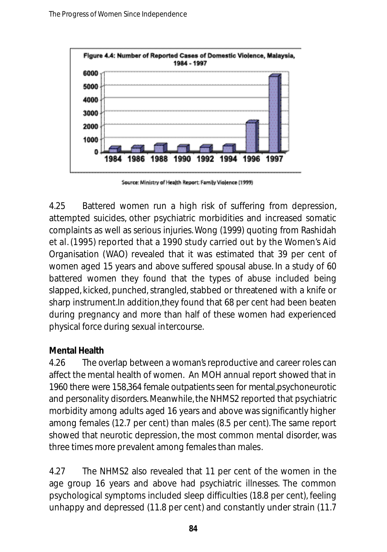

Source: Ministry of Health Report: Family Violence (1999)

4.25 Battered women run a high risk of suffering from depression, attempted suicides, other psychiatric morbidities and increased somatic complaints as well as serious injuries. Wong (1999) quoting from Rashidah et al. (1995) reported that a 1990 study carried out by the Women's Aid Organisation (WAO) revealed that it was estimated that 39 per cent of women aged 15 years and above suffered spousal abuse. In a study of 60 battered women they found that the types of abuse included being slapped, kicked, punched, strangled, stabbed or threatened with a knife or sharp instrument.In addition,they found that 68 per cent had been beaten during pregnancy and more than half of these women had experienced physical force during sexual intercourse.

### **Mental Health**

4.26 The overlap between a woman's reproductive and career roles can affect the mental health of women. An MOH annual report showed that in 1960 there were 158,364 female outpatients seen for mental, psychoneurotic and personality disorders. Meanwhile, the NHMS2 reported that psychiatric morbidity among adults aged 16 years and above was significantly higher among females (12.7 per cent) than males (8.5 per cent). The same report showed that neurotic depression, the most common mental disorder, was three times more prevalent among females than males.

4.27 The NHMS2 also revealed that 11 per cent of the women in the age group 16 years and above had psychiatric illnesses. The common psychological symptoms included sleep difficulties (18.8 per cent), feeling unhappy and depressed (11.8 per cent) and constantly under strain (11.7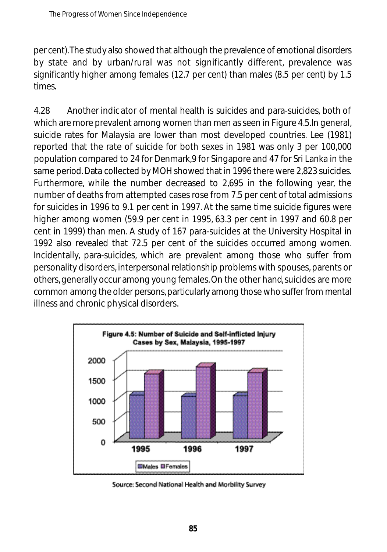per cent). The study also showed that although the prevalence of emotional disorders by state and by urban/rural was not significantly different, prevalence was significantly higher among females (12.7 per cent) than males (8.5 per cent) by 1.5 times

4.28 Another indicator of mental health is suicides and para-suicides, both of which are more prevalent among women than men as seen in Figure 4.5.In general, suicide rates for Malaysia are lower than most developed countries. Lee (1981) reported that the rate of suicide for both sexes in 1981 was only 3 per 100,000 population compared to 24 for Denmark,9 for Singapore and 47 for Sri Lanka in the same period. Data collected by MOH showed that in 1996 there were 2,823 suicides. Furthermore, while the number decreased to 2,695 in the following year, the number of deaths from attempted cases rose from 7.5 per cent of total admissions for suicides in 1996 to 9.1 per cent in 1997. At the same time suicide figures were higher among women (59.9 per cent in 1995, 63.3 per cent in 1997 and 60.8 per cent in 1999) than men. A study of 167 para-suicides at the University Hospital in 1992 also revealed that 72.5 per cent of the suicides occurred among women. Incidentally, para-suicides, which are prevalent among those who suffer from personality disorders, interpersonal relationship problems with spouses, parents or others,generally occur among young females.On the other hand,suicides are more common among the older persons, particularly among those who suffer from mental illness and chronic physical disorders.



Source: Second National Health and Morbility Survey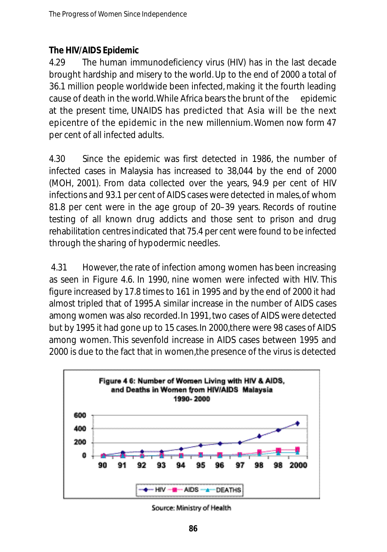### **The HIV/AIDS Epidemic**

4.29 The human immunodeficiency virus (HIV) has in the last decade brought hardship and misery to the world. Up to the end of 2000 a total of 36.1 million people worldwide been infected,making it the fourth leading cause of death in the world.While Africa bears the brunt of the epidemic at the present time, UNAIDS has predicted that Asia will be the next epicentre of the epidemic in the new millennium. Women now form 47 per cent of all infected adults.

4.30 Since the epidemic was first detected in 1986, the number of infected cases in Malaysia has increased to 38,044 by the end of 2000 (MOH, 2001). From data collected over the years, 94.9 per cent of HIV infections and 93.1 per cent of AIDS cases were detected in males,of whom 81.8 per cent were in the age group of 20–39 years. Records of routine testing of all known drug addicts and those sent to prison and drug reh a bilitation centres indicated that 75.4 per cent were found to be infected through the sharing of hypodermic needles.

4.31 However, the rate of infection among women has been increasing as seen in Figure 4.6. In 1990, nine women were infected with HIV. This figure increased by 17.8 times to 161 in 1995 and by the end of 2000 it had almost tripled that of 1995.A similar increase in the number of AIDS cases among women was also recorded. In 1991, two cases of AIDS were detected but by 1995 it had gone up to 15 cases.In 2000,there were 98 cases of AIDS among women. This sevenfold increase in AIDS cases between 1995 and 2000 is due to the fact that in women,the presence of the virus is detected



Source: Ministry of Health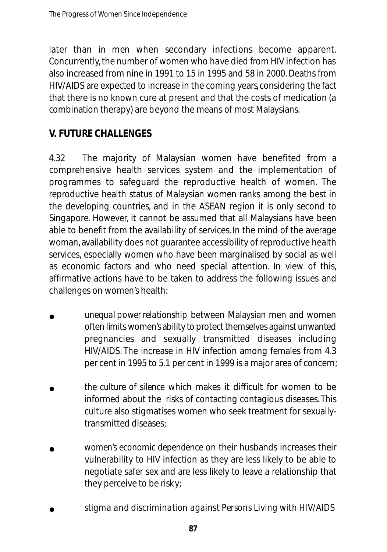later than in men when secondary infections become apparent. Concurrently, the number of women who have died from HIV infection has also increased from nine in 1991 to 15 in 1995 and 58 in 2000. Deaths from HIV/AIDS are expected to increase in the coming years, considering the fact that there is no known cure at present and that the costs of medication (a combination therapy) are beyond the means of most Malaysians.

## **V. FUTURE CHALLENGES**

4.32 The majority of Malaysian women have benefited from a comprehensive health services system and the implementation of programmes to safe guard the reproductive health of women. The reproductive health status of Malaysian women ranks among the best in the developing countries, and in the ASEAN region it is only second to Singapore. However, it cannot be assumed that all Malaysians have been able to benefit from the availability of services. In the mind of the average woman, availability does not guarantee accessibility of reproductive health services, especially women who have been marginalised by social as well as economic factors and who need special attention. In view of this, affirmative actions have to be taken to address the following issues and challenges on women's health:

- *unequal power relationship* between Malaysian men and women often limits women's ability to protect themselves against unwanted pregnancies and sexually transmitted diseases including HIV/AIDS. The increase in HIV infection among females from 4.3 per cent in 1995 to 5.1 per cent in 1999 is a major area of concern; •
- *the culture of silence* which makes it difficult for women to be informed about the risks of contacting contagious diseases. This culture also stigmatises women who seek treatment for sexuallytransmitted diseases; •
- *women's economic dependence* on their husbands increases their vulnerability to HIV infection as they are less likely to be able to negotiate safer sex and are less likely to leave a relationship that they perceive to be risky; •
- *stigma and discrimination against Persons Living with HIV/AIDS*  •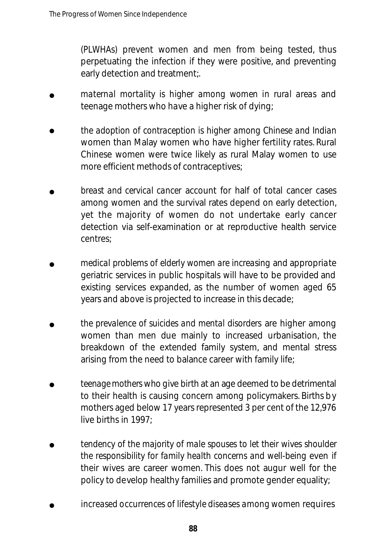*(PLWHAs)* prevent women and men from being tested, thus perpetuating the infection if they were positive, and preventing early detection and treatment;.

- *maternal mortality is higher among women in rural areas and* teenage mothers who have a higher risk of dying; •
- *the adoption of contraception is higher among Chinese and Indian* women than Malay women who have higher fertility rates. Rural Chinese women were twice likely as rural Malay women to use more efficient methods of contraceptives; •
- *breast and cervical cancer* account for half of total cancer cases among women and the survival rates depend on early detection, yet the majority of women do not undertake early cancer detection via self-examination or at reproductive health service centres; •
- *medical problems of elderly women are increasing* and appropriate geriatric services in public hospitals will have to be provided and existing services expanded, as the number of women aged 65 years and above is projected to increase in this decade; •
- *the prevalence of suicides and mental disorders* are higher among women than men due mainly to increased urbanisation, the breakdown of the extended family system, and mental stress arising from the need to balance career with family life; •
- *teenage mothers* who give birth at an age deemed to be detrimental to their health is causing concern among policymakers. Births by mothers aged below 17 years represented 3 per cent of the 12,976 live births in 1997; •
- *tendency of the majority of male spouses to let their wives shoulder the responsibility for family health concerns and well-being* even if their wives are career women. This does not augur well for the policy to develop healthy families and promote gender equality; •
- *increased occurrences of lifestyle diseases among women requires* •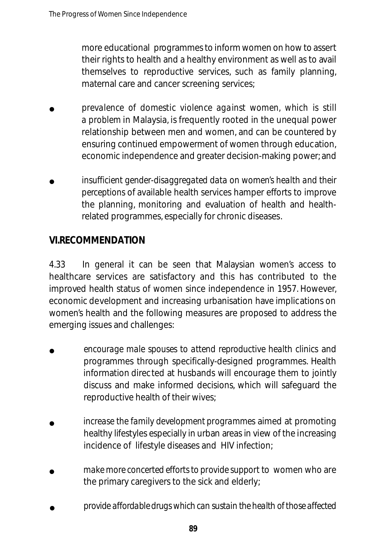more educational programmes to inform women on how to assert their rights to health and a healthy environment as well as to avail themselves to reproductive services, such as family planning, maternal care and cancer screening services;

- prevalence of domestic violence against women, which is still *a problem* in Malaysia, is frequently rooted in the unequal power relationship between men and women, and can be countered by ensuring continued empowerment of women through education, economic independence and greater decision-making power; and •
- *insufficient gender-disaggregated data on women's health and their perceptions* of available health services hamper efforts to improve the planning, monitoring and evaluation of health and healthrelated programmes, especially for chronic diseases. •

### **VI.RECOMMENDATION**

4.33 In general it can be seen that Malaysian women's access to he alth care services are satisfactory and this has contributed to the improved health status of women since independence in 1957. However, economic development and increasing urbanisation have implications on women's health and the following measures are proposed to address the emerging issues and challenges:

- *encourage male spouses to attend reproductive health clinics* and programmes through specifically-designed programmes. Health information directed at husbands will encourage them to jointly discuss and make informed decisions, which will safeguard the reproductive health of their wives; •
- *increase the family development programmes* aimed at promoting healthy lifestyles especially in urban areas in view of the increasing incidence of lifestyle diseases and HIV infection; •
- *make more concerted efforts to provide support* to women who are the primary caregivers to the sick and elderly; •
- *provide affordable drugs which can sustain the health of those affected* •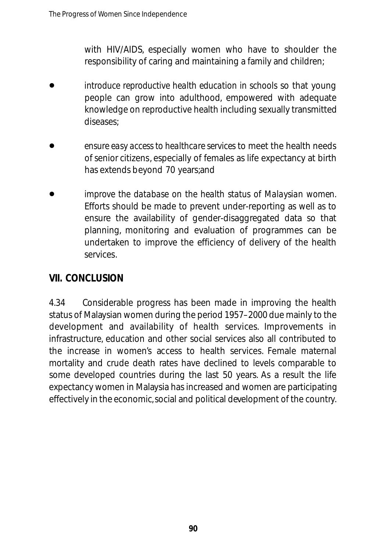with HIV/AIDS, especially women who have to shoulder the responsibility of caring and maintaining a family and children;

- *introduce reproductive health education in schools* so that young people can grow into adulthood, empowered with adequate knowledge on reproductive health including sexually transmitted diseases; •
- *ensure easy access to healthcare services* to meet the health needs of senior citizens, especially of females as life expectancy at birth has extends beyond 70 years;and •
- *improve the database on the health status of Malaysian women.* Efforts should be made to prevent under-reporting as well as to ensure the availability of gender-disaggregated data so that planning, monitoring and evaluation of programmes can be undertaken to improve the efficiency of delivery of the health services. •

### **VII. CONCLUSION**

4.34 Considerable progress has been made in improving the health status of Malaysian women during the period 1957–2000 due mainly to the development and availability of health services. Improvements in infrastructure, education and other social services also all contributed to the increase in women's access to health services. Female maternal mortality and crude death rates have declined to levels comparable to some developed countries during the last 50 years. As a result the life expectancy women in Malaysia has increased and women are participating effectively in the economic,social and political development of the country.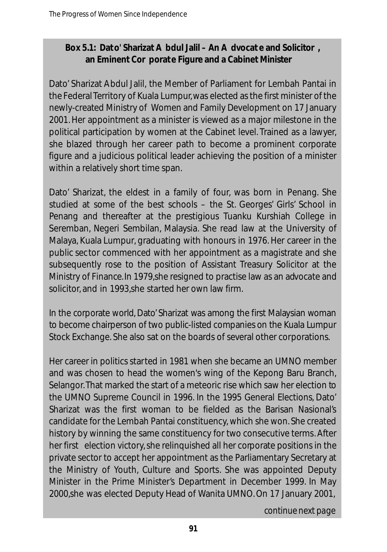### **Box 5.1: Dato' Sharizat A bdul Jalil – An A dvocat e and Solicitor , an Eminent Cor porate Figure and a Cabinet Minister**

Dato' Sharizat Abdul Jalil, the Member of Parliament for Lembah Pantai in the Federal Territory of Kuala Lumpur,was elected as the first minister of the newly-created Ministry of Women and Family Development on 17 January 2001. Her appointment as a minister is viewed as a major milestone in the political participation by women at the Cabinet level. Trained as a lawyer, she blazed through her career path to become a prominent corporate figure and a judicious political leader achieving the position of a minister within a relatively short time span.

Dato' Sharizat, the eldest in a family of four, was born in Penang. She studied at some of the best schools – the St. Georges' Girls' School in Penang and thereafter at the prestigious Tuanku Kurshiah College in Seremban, Negeri Sembilan, Malaysia. She read law at the University of Malaya, Kuala Lumpur, graduating with honours in 1976. Her career in the public sector commenced with her appointment as a magistrate and she subsequently rose to the position of Assistant Treasury Solicitor at the Ministry of Finance.In 1979,she resigned to practise law as an advocate and solicitor, and in 1993,she started her own law firm.

In the corporate world, Dato' Sharizat was among the first Malaysian woman to become chairperson of two public-listed companies on the Kuala Lumpur Stock Exchange. She also sat on the boards of several other corporations.

Her career in politics started in 1981 when she became an UMNO member and was chosen to head the women's wing of the Kepong Baru Branch, Selangor.That marked the start of a meteoric rise which saw her election to the UMNO Supreme Council in 1996. In the 1995 General Elections, Dato' Sharizat was the first woman to be fielded as the Barisan Nasional's candidate for the Lembah Pantai constituency, which she won. She created history by winning the same constituency for two consecutive terms. After her first election victory, she relinquished all her corporate positions in the private sector to accept her appointment as the Parliamentary Secretary at the Ministry of Youth, Culture and Sports. She was appointed Deputy Minister in the Prime Minister's Department in December 1999. In May 2000,she was elected Deputy Head of Wanita UMNO.On 17 January 2001,

*continue next page*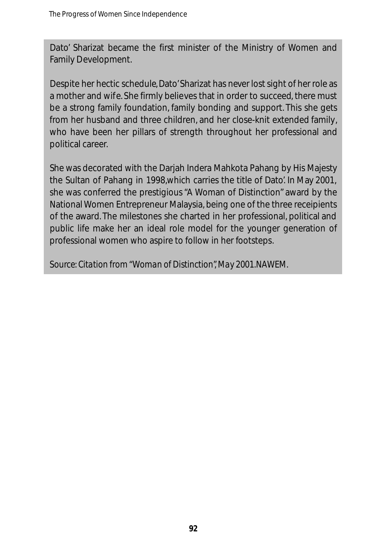Dato' Sharizat became the first minister of the Ministry of Women and Family Development.

Despite her hectic schedule, Dato'Sharizat has never lost sight of her role as a mother and wife. She firmly believes that in order to succeed, there must be a strong family foundation, family bonding and support. This she gets from her husband and three children, and her close-knit extended family, who have been her pillars of strength throughout her professional and political career.

She was decorated with the Darjah Indera Mahkota Pahang by His Majesty the Sultan of Pahang in 1998,which carries the title of Dato'. In May 2001, she was conferred the prestigious "A Woman of Distinction" award by the National Women Entrepreneur Malaysia, being one of the three receipients of the award. The milestones she charted in her professional, political and public life make her an ideal role model for the younger generation of professional women who aspire to follow in her footsteps.

*Source: Citation from "Woman of Distinction", May 2001.NAWEM.*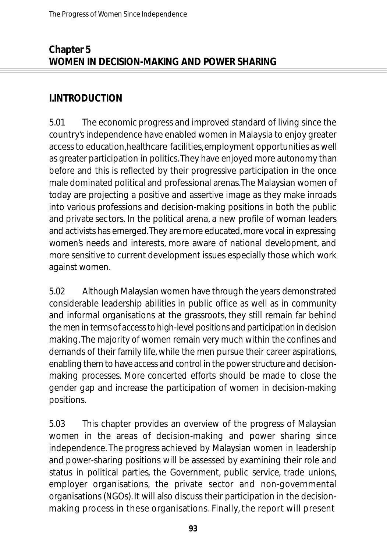### **Chapter 5 WOMEN IN DECISION-MAKING AND POWER SHARING**

### **I.INTRODUCTION**

5.01 The economic progress and improved standard of living since the country's independence have enabled women in Malaysia to enjoy greater access to education,healthcare facilities,employment opportunities as well as greater participation in politics.They have enjoyed more autonomy than before and this is reflected by their progressive participation in the once male dominated political and professional arenas.The Malaysian women of today are projecting a positive and assertive image as they make inroads into various professions and decision-making positions in both the public and private sectors. In the political arena, a new profile of woman leaders and activists has emerged. They are more educated, more vocal in expressing women's needs and interests, more aware of national development, and more sensitive to current development issues especially those which work against women.

5.02 Although Malaysian women have through the years demonstrated considerable leadership abilities in public office as well as in community and informal organisations at the grassroots, they still remain far behind the men in terms of access to high-level positions and participation in decision making.The majority of women remain very much within the confines and demands of their family life, while the men pursue their career aspirations, enabling them to have access and control in the power structure and decisionmaking processes. More concerted efforts should be made to close the gender gap and increase the participation of women in decision-making positions.

5.03 This chapter provides an overview of the progress of Malaysian women in the areas of decision-making and power sharing since independence. The progress achieved by Malaysian women in leadership and power-sharing positions will be assessed by examining their role and status in political parties, the Government, public service, trade unions, employer organisations, the private sector and non-governmental organisations (NGOs). It will also discuss their participation in the decisionmaking process in these organisations. Finally, the report will present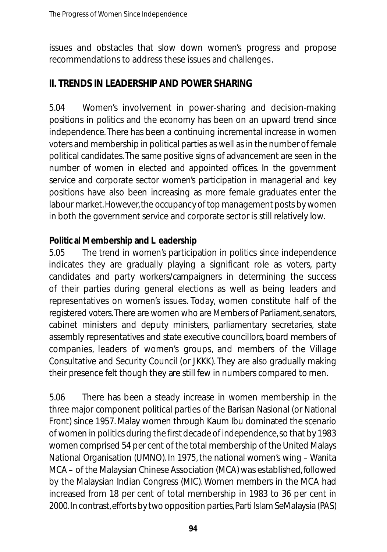issues and obstacles that slow down women's progress and propose recommendations to address these issues and challenges.

## **II TRENDS IN LEADERSHIP AND POWER SHARING**

5.04 Women's involvement in power-sharing and decision-making positions in politics and the economy has been on an upward trend since in de pendence. There has been a continuing incremental increase in women voters and membership in political parties as well as in the number of female political candidates. The same positive signs of advancement are seen in the number of women in elected and appointed offices. In the government service and corporate sector women's participation in managerial and key positions have also been increasing as more female graduates enter the labour market. However, the occupancy of top management posts by women in both the government service and corporate sector is still relatively low.

#### **Politic al Membership and L eadership**

5.05 The trend in women's participation in politics since independence indicates they are gradually playing a significant role as voters, party candidates and party workers/campaigners in determining the success of their parties during general elections as well as being leaders and representatives on women's issues. Today, women constitute half of the registered voters. There are women who are Members of Parliament, senators, cabinet ministers and deputy ministers, parliamentary secretaries, state assembly representatives and state executive councillors, board members of companies, leaders of women's groups, and members of the Village Consultative and Security Council (or JKKK). They are also gradually making their presence felt though they are still few in numbers compared to men.

5.06 There has been a steady increase in women membership in the three major component political parties of the Barisan Nasional (or National Front) since 1957. Malay women through Kaum Ibu dominated the scenario of women in politics during the first decade of independence, so that by 1983 women comprised 54 per cent of the total membership of the United Malays National Organisation (UMNO). In 1975, the national women's wing – Wanita MCA – of the Malaysian Chinese Association (MCA) was established, followed by the Malaysian Indian Congress (MIC). Women members in the MCA had increased from 18 per cent of total membership in 1983 to 36 per cent in 2000. In contrast, efforts by two opposition parties, Parti Islam SeMalaysia (PAS)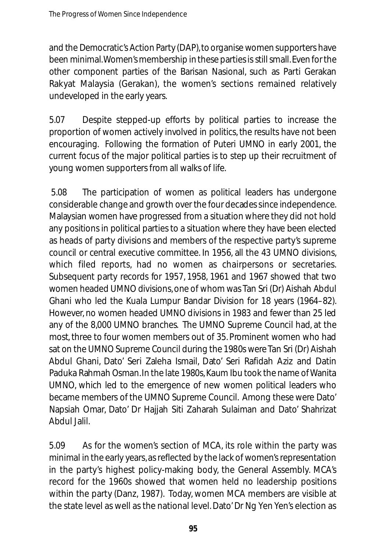and the Democratic's Action Party (DAP), to organise women supporters have been minimal. Women's membership in these parties is still small. Even for the other component parties of the Barisan Nasional, such as Parti Gerakan Rakyat Malaysia (Gerakan), the women's sections remained relatively und eveloped in the early years.

5.07 Despite stepped-up efforts by political parties to increase the proportion of women actively involved in politics, the results have not been en couraging. Following the formation of Puteri UMNO in early 2001, the current focus of the major political parties is to step up their recruitment of young women supporters from all walks of life.

5.08 The participation of women as political leaders has undergone considerable change and growth over the four decades since independence. Malaysian women have progressed from a situation where they did not hold any positions in political parties to a situation where they have been elected as heads of party divisions and members of the respective party's supreme council or central executive committee. In 1956, all the 43 UMNO divisions, which filed reports, had no women as chairpersons or secretaries. Subsequent party records for 1957, 1958, 1961 and 1967 showed that two women headed UMNO divisions, one of whom was Tan Sri (Dr) Aishah Abdul Ghani who led the Kuala Lumpur Bandar Division for 18 years (1964–82). However, no women headed UMNO divisions in 1983 and fewer than 25 led any of the 8,000 UMNO branches. The UMNO Supreme Council had, at the most three to four women members out of 35. Prominent women who had sat on the UMNO Supreme Council during the 1980s were Tan Sri (Dr) Aishah Abdul Ghani, Dato' Seri Zaleha Ismail, Dato' Seri Rafidah Aziz and Datin Paduka Rahmah Osman. In the late 1980s, Kaum Ibu took the name of Wanita UMNO, which led to the emergence of new women political leaders who became members of the UMNO Supreme Council. Among these were Dato' Napsiah Omar, Dato' Dr Hajjah Siti Zaharah Sulaiman and Dato' Shahrizat Abdul Jalil.

5.09 As for the women's section of MCA, its role within the party was minimal in the early years, as reflected by the lack of women's representation in the party's highest policy-making body, the General Assembly. MCA's record for the 1960s showed that women held no leadership positions within the party (Danz, 1987). Today, women MCA members are visible at the state level as well as the national level.Dato' Dr Ng Yen Yen's election as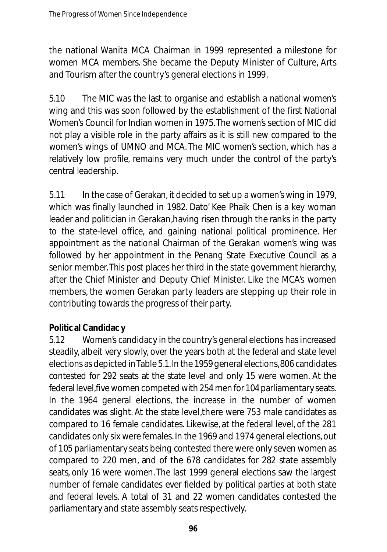the national Wanita MCA Chairman in 1999 represented a milestone for women MCA members. She became the Deputy Minister of Culture, Arts and Tourism after the country's general elections in 1999.

5.10 The MIC was the last to organise and establish a national women's wing and this was soon followed by the establishment of the first National Women's Council for Indian women in 1975. The women's section of MIC did not play a visible role in the party affairs as it is still new compared to the women's wings of UMNO and MCA. The MIC women's section, which has a relatively low profile, remains very much under the control of the party's central leadership.

5.11 In the case of Gerakan, it decided to set up a women's wing in 1979, which was finally launched in 1982. Dato' Kee Phaik Chen is a key woman leader and politician in Gerakan, having risen through the ranks in the party to the state-level office, and gaining national political prominence. Her appointment as the national Chairman of the Gerakan women's wing was followed by her appointment in the Penang State Executive Council as a senior member. This post places her third in the state government hierarchy, after the Chief Minister and Deputy Chief Minister. Like the MCA's women members, the women Gerakan party leaders are stepping up their role in contributing towards the progress of their party.

### **Politic al Candidac y**

5.12 Women's candidacy in the country's general elections has increased steadily, albeit very slowly, over the years both at the federal and state level elections as depicted in Table 5.1. In the 1959 general elections, 806 candidates contested for 292 seats at the state level and only 15 were women. At the federal level, five women competed with 254 men for 104 parliamentary seats. In the 1964 general elections, the increase in the number of women candidates was slight. At the state level, there were 753 male candidates as compared to 16 female candidates. Likewise, at the federal level, of the 281 candidates only six were females. In the 1969 and 1974 general elections, out of 105 parliamentary seats being contested there were only seven women as compared to 220 men, and of the 678 candidates for 282 state assembly seats, only 16 were women. The last 1999 general elections saw the largest number of female candidates ever fielded by political parties at both state and federal levels. A total of 31 and 22 women candidates contested the parliamentary and state assembly seats respectively.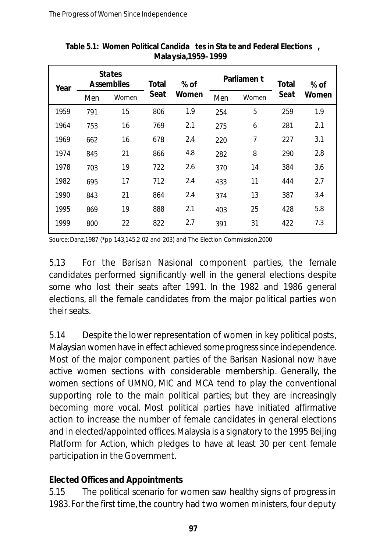| Year | <b>States</b><br><b>Assemblies</b> |       | Total | $%$ of | Parliamen t |       | Total | % of  |
|------|------------------------------------|-------|-------|--------|-------------|-------|-------|-------|
|      | Men                                | Women | Seat  | Women  | Men         | Women | Seat  | Women |
| 1959 | 791                                | 15    | 806   | 1.9    | 254         | 5     | 259   | 1.9   |
| 1964 | 753                                | 16    | 769   | 2.1    | 275         | 6     | 281   | 2.1   |
| 1969 | 662                                | 16    | 678   | 2.4    | 220         | 7     | 227   | 3.1   |
| 1974 | 845                                | 21    | 866   | 4.8    | 282         | 8     | 290   | 2.8   |
| 1978 | 703                                | 19    | 722   | 2.6    | 370         | 14    | 384   | 3.6   |
| 1982 | 695                                | 17    | 712   | 2.4    | 433         | 11    | 444   | 2.7   |
| 1990 | 843                                | 21    | 864   | 2.4    | 374         | 13    | 387   | 3.4   |
| 1995 | 869                                | 19    | 888   | 2.1    | 403         | 25    | 428   | 5.8   |
| 1999 | 800                                | 22    | 822   | 2.7    | 391         | 31    | 422   | 7.3   |

**Table 5.1: Women Political Candida tes in Sta te and Federal Elections , Malaysia,1959–1999**

Source:Danz,1987 (\*pp 143,145,2 02 and 203) and The Election Commission,2000

5.13 For the Barisan Nasional component parties, the female candidates performed significantly well in the general elections despite some who lost their seats after 1991. In the 1982 and 1986 general elections, all the female candidates from the major political parties won their seats.

5.14 Despite the lower representation of women in key political posts, Malaysian women have in effect achieved some progress since independence. Most of the major component parties of the Barisan Nasional now have active women sections with considerable membership. Generally, the women sections of UMNO, MIC and MCA tend to play the conventional supporting role to the main political parties; but they are increasingly becoming more vocal. Most political parties have initiated affirmative action to increase the number of female candidates in general elections and in elected/appointed offices. Malaysia is a signatory to the 1995 Beijing Platform for Action, which pledges to have at least 30 per cent female participation in the Government.

#### **Elected Offices and Appointments**

5.15 The political scenario for women saw healthy signs of progress in 1983. For the first time, the country had two women ministers, four deputy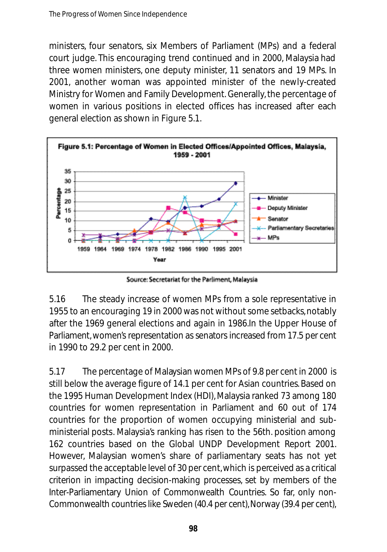ministers, four senators, six Members of Parliament (MPs) and a federal court judge. This encouraging trend continued and in 2000, Malaysia had three women ministers, one deputy minister, 11 senators and 19 MPs. In 2001, another woman was appointed minister of the newly-created Ministry for Women and Family Development. Generally, the percentage of women in various positions in elected offices has increased after each general election as shown in Figure 5.1.



Source: Secretariat for the Parliment, Malaysia

5.16 The steady increase of women MPs from a sole representative in 1955 to an encouraging 19 in 2000 was not without some setbacks,notably after the 1969 general elections and again in 1986.In the Upper House of Parliament, women's representation as senators increased from 17.5 per cent in 1990 to 29.2 per cent in 2000.

5.17 The percentage of Malaysian women MPs of 9.8 per cent in 2000 is still below the average figure of 14.1 per cent for Asian countries. Based on the 1995 Human Development Index (HDI), Malaysia ranked 73 among 180 countries for women representation in Parliament and 60 out of 174 countries for the proportion of women occupying ministerial and subministerial posts. Malaysia's ranking has risen to the 56th. position among 162 countries based on the Global UNDP Development Report 2001. However, Malaysian women's share of parliamentary seats has not yet surpassed the acceptable level of 30 per cent, which is perceived as a critical criterion in impacting decision-making processes, set by members of the Inter-Parliamentary Union of Commonwealth Countries. So far, only non-Commonwealth countries like Sweden (40.4 per cent), Norway (39.4 per cent),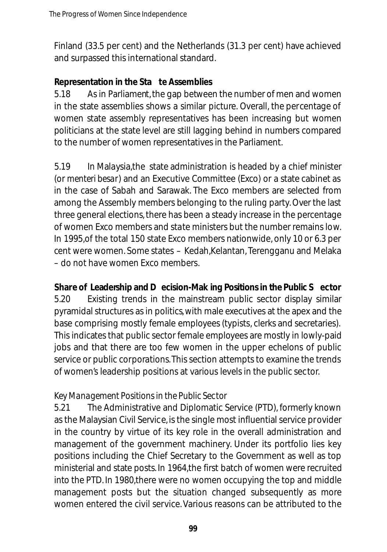Finland (33.5 per cent) and the Netherlands (31.3 per cent) have achieved and surpassed this international standard.

### **Representation in the Sta te Assemblies**

5.18 As in Parliament, the gap between the number of men and women in the state assemblies shows a similar picture. Overall, the percentage of women state assembly representatives has been increasing but women politicians at the state level are still lagging behind in numbers compared to the number of women representatives in the Parliament.

5.19 In Malaysia,the state administration is headed by a chief minister (or *menteri besar*) and an Executive Committee (Exco) or a state cabinet as in the case of Sabah and Sarawak. The Exco members are selected from among the Assembly members belonging to the ruling party. Over the last three general elections, there has been a steady increase in the percentage of women Exco members and state ministers but the number remains low. In 1995,of the total 150 state Exco members nationwide, only 10 or 6.3 per cent were women. Some states – Kedah,Kelantan, Terengganu and Melaka – do not have women Exco members.

**Share of Leadership and D** ecision-Mak ing Positions in the Public S ector 5.20 Existing trends in the mainstream public sector display similar pyramidal structures as in politics,with male executives at the apex and the base comprising mostly female employees (typists, clerks and secretaries). This indicates that public sector female employees are mostly in lowly-paid jobs and that there are too few women in the upper echelons of public service or public corporations.This section attempts to examine the trends of women's leadership positions at various levels in the public sector.

### *Key Management Positions in the Public Sector*

5.21 The Administrative and Diplomatic Service (PTD), formerly known as the Malaysian Civil Service, is the single most influential service provider in the country by virtue of its key role in the overall administration and management of the government machinery. Under its portfolio lies key positions including the Chief Secretary to the Government as well as top ministerial and state posts. In 1964,the first batch of women were recruited into the PTD. In 1980,there were no women occupying the top and middle management posts but the situation changed subsequently as more women entered the civil service. Various reasons can be attributed to the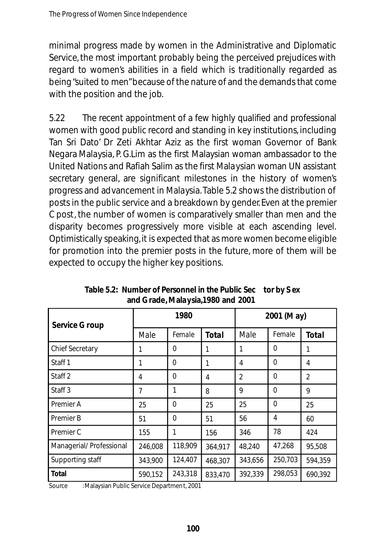minimal progress made by women in the Administrative and Diplomatic Service, the most important probably being the perceived prejudices with regard to women's abilities in a field which is traditionally regarded as being "suited to men"because of the nature of and the demands that come with the position and the job.

5.22 The recent appointment of a few highly qualified and professional women with good public record and standing in key institutions, including Tan Sri Dato' Dr Zeti Akhtar Aziz as the first woman Governor of Bank Negara Malaysia, P. G.Lim as the first Malaysian woman ambassador to the United Nations and Rafiah Salim as the first Malaysian woman UN assistant secretary general, are significant milestones in the history of women's progress and advancement in Malaysia.Table 5.2 shows the distribution of posts in the public service and a breakdown by gender. Even at the premier C post, the number of women is comparatively smaller than men and the disparity becomes progressively more visible at each ascending level. Optimistically speaking, it is expected that as more women become eligible for promotion into the premier posts in the future, more of them will be expected to occupy the higher key positions.

| Service G roup           | 1980    |          | 2001 (M ay)  |         |          |                |
|--------------------------|---------|----------|--------------|---------|----------|----------------|
|                          | Male    | Female   | <b>Total</b> | Male    | Female   | <b>Total</b>   |
| Chief Secretary          |         | 0        |              | 1       | 0        |                |
| Staff <sub>1</sub>       |         | $\Omega$ | 1            | 4       | $\Omega$ | 4              |
| Staff <sub>2</sub>       | 4       | 0        | 4            | 2       | $\Omega$ | $\overline{2}$ |
| Staff <sub>3</sub>       | 7       | 1        | 8            | 9       | $\Omega$ | 9              |
| Premier A                | 25      | $\Omega$ | 25           | 25      | $\Omega$ | 25             |
| Premier B                | 51      | $\Omega$ | 51           | 56      | 4        | 60             |
| Premier C                | 155     | 1        | 156          | 346     | 78       | 424            |
| Managerial/ Professional | 246,008 | 118.909  | 364,917      | 48,240  | 47,268   | 95,508         |
| Supporting staff         | 343,900 | 124,407  | 468,307      | 343,656 | 250,703  | 594.359        |
| Total                    | 590,152 | 243.318  | 833,470      | 392.339 | 298.053  | 690.392        |

**Table 5.2: Number of Personnel in the Public Sec tor by S ex and Grade, Malaysia,1980 and 2001**

Source : Malaysian Public Service Department, 2001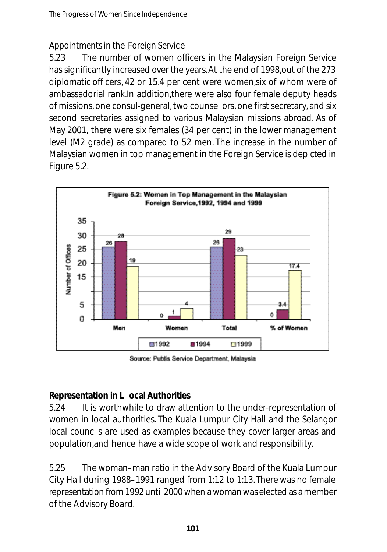### *Appointments in the Foreign Service*

5.23 The number of women officers in the Malaysian Foreign Service has significantly increased over the years.At the end of 1998,out of the 273 diplomatic officers, 42 or 15.4 per cent were women,six of whom were of ambassadorial rank.In addition,there were also four female deputy heads of missions, one consul-general, two counsellors, one first secretary, and six second secretaries assigned to various Malaysian missions abroad. As of May 2001, there were six females (34 per cent) in the lower management level (M2 grade) as compared to 52 men. The increase in the number of Malaysian women in top management in the Foreign Service is depicted in Figure 5.2.



Source: Publis Service Department, Malaysia

### **Representation in L ocal Authorities**

5.24 It is worthwhile to draw attention to the under-representation of women in local authorities. The Kuala Lumpur City Hall and the Selangor local councils are used as examples because they cover larger areas and population,and hence have a wide scope of work and responsibility.

5.25 The woman–man ratio in the Advisory Board of the Kuala Lumpur City Hall during 1988–1991 ranged from 1:12 to 1:13.There was no female representation from 1992 until 2000 when a woman was elected as a member of the Advisory Board.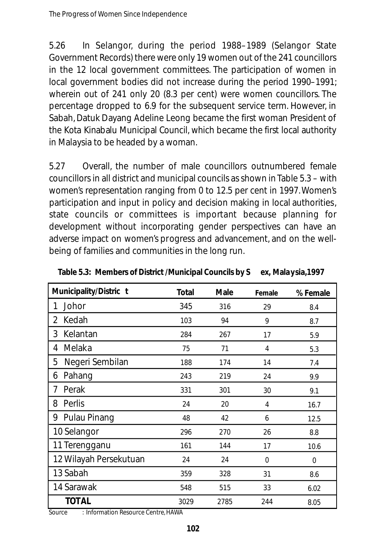5.26 In Selangor, during the period 1988–1989 (Selangor State Government Records) there were only 19 women out of the 241 councillors in the 12 local government committees. The participation of women in local government bodies did not increase during the period 1990–1991; wherein out of 241 only 20 (8.3 per cent) were women councillors. The percentage dropped to 6.9 for the subsequent service term. However, in Sabah, Datuk Dayang Adeline Leong became the first woman President of the Kota Kinabalu Municipal Council, which became the first local authority in Malaysia to be headed by a woman.

5.27 Overall, the number of male councillors outnumbered female councillors in all district and municipal councils as shown in Table 5.3 – with women's representation ranging from 0 to 12.5 per cent in 1997.Women's participation and input in policy and decision making in local authorities, state councils or committees is important because planning for development without incorporating gender perspectives can have an adverse impact on women's progress and advancement, and on the wellbeing of families and communities in the long run.

| Municipality/Distric t | Total | <b>Male</b> | Female | % Female |
|------------------------|-------|-------------|--------|----------|
| Johor<br>1             | 345   | 316         | 29     | 8.4      |
| Kedah<br>2             | 103   | 94          | 9      | 8.7      |
| 3<br>Kelantan          | 284   | 267         | 17     | 5.9      |
| Melaka<br>4            | 75    | 71          | 4      | 5.3      |
| Negeri Sembilan<br>5   | 188   | 174         | 14     | 7.4      |
| Pahang<br>6            | 243   | 219         | 24     | 9.9      |
| Perak<br>7             | 331   | 301         | 30     | 9.1      |
| Perlis<br>8            | 24    | 20          | 4      | 16.7     |
| 9 Pulau Pinang         | 48    | 42          | 6      | 12.5     |
| 10 Selangor            | 296   | 270         | 26     | 8.8      |
| 11 Terengganu          | 161   | 144         | 17     | 10.6     |
| 12 Wilayah Persekutuan | 24    | 24          | 0      | $\Omega$ |
| 13 Sabah               | 359   | 328         | 31     | 8.6      |
| 14 Sarawak             | 548   | 515         | 33     | 6.02     |
| <b>TOTAL</b>           | 3029  | 2785        | 244    | 8.05     |

**Table 5.3: Members of District /Municipal Councils by S ex, Malaysia,1997**

Source : Information Resource Centre, HAWA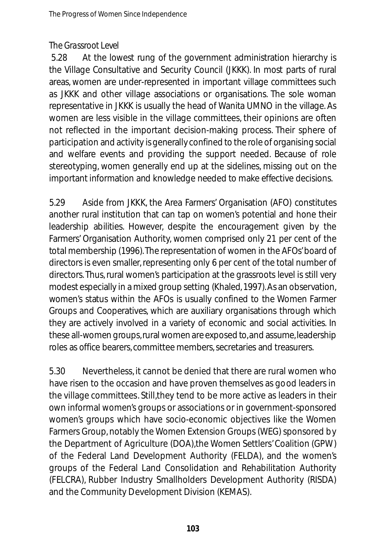#### *The Grassroot Level*

5.28 At the lowest rung of the government administration hierarchy is the Village Consultative and Security Council (JKKK). In most parts of rural areas, women are under-represented in important village committees such as JKKK and other village associations or organisations. The sole woman representative in JKKK is usually the head of Wanita UMNO in the village. As women are less visible in the village committees, their opinions are often not reflected in the important decision-making process. Their sphere of participation and activity is generally confined to the role of organising social and welfare events and providing the support needed. Because of role stereotyping, women generally end up at the sidelines, missing out on the important information and knowledge needed to make effective decisions.

5.29 Aside from JKKK, the Area Farmers' Organisation (AFO) constitutes another rural institution that can tap on women's potential and hone their leadership abilities. However, despite the encouragement given by the Farmers' Organisation Authority, women comprised only 21 per cent of the total membership (1996). The representation of women in the AFOs' board of directors is even smaller, representing only 6 per cent of the total number of directors. Thus, rural women's participation at the grassroots level is still very modest especially in a mixed group setting (Khaled, 1997). As an observation, women's status within the AFOs is usually confined to the Women Farmer Groups and Cooperatives, which are auxiliary organisations through which they are actively involved in a variety of economic and social activities. In these all-women groups, rural women are exposed to, and assume, leadership roles as office bearers, committee members, secretaries and treasurers.

5.30 Nevertheless, it cannot be denied that there are rural women who have risen to the occasion and have proven themselves as good leaders in the village committees. Still,they tend to be more active as leaders in their own informal women's groups or associations or in government-sponsored women's groups which have socio-economic objectives like the Women Farmers Group, notably the Women Extension Groups (WEG) sponsored by the Department of Agriculture (DOA),the Women Settlers' Coalition (GPW) of the Federal Land Development Authority (FELDA), and the women's groups of the Federal Land Consolidation and Rehabilitation Authority (FELCRA), Rubber Industry Smallholders Development Authority (RISDA) and the Community Development Division (KEMAS).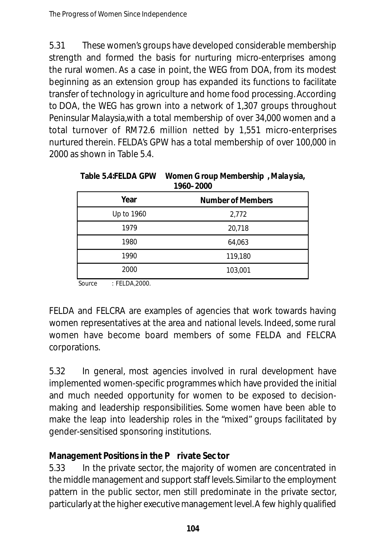5.31 These women's groups have developed considerable membership strength and formed the basis for nurturing micro-enterprises among the rural women. As a case in point, the WEG from DOA, from its modest beginning as an extension group has expanded its functions to facilitate transfer of technology in agriculture and home food processing. According to DOA, the WEG has grown into a network of 1,307 groups throughout Peninsular Malaysia,with a total membership of over 34,000 women and a total turnover of RM72.6 million netted by 1,551 micro-enterprises nurtured therein. FELDA's GPW has a total membership of over 100,000 in 2000 as shown in Table 5.4.

| <u>1960–2000</u>                 |         |  |  |  |  |
|----------------------------------|---------|--|--|--|--|
| Year<br><b>Number of Members</b> |         |  |  |  |  |
| Up to 1960                       | 2,772   |  |  |  |  |
| 1979                             | 20,718  |  |  |  |  |
| 1980                             | 64,063  |  |  |  |  |
| 1990                             | 119,180 |  |  |  |  |
| 2000                             | 103,001 |  |  |  |  |
|                                  |         |  |  |  |  |

| Table 5.4:FELDA GPW | Women Group Membership, Malaysia, |
|---------------------|-----------------------------------|
|                     | 1960–2000                         |

Source : FELDA,2000.

FELDA and FELCRA are examples of agencies that work towards having women representatives at the area and national levels. Indeed, some rural women have become board members of some FELDA and FELCRA corporations.

5.32 In general, most agencies involved in rural development have implemented women-specific programmes which have provided the initial and much needed opportunity for women to be exposed to decisionmaking and leadership responsibilities. Some women have been able to make the leap into leadership roles in the "mixed" groups facilitated by gender-sensitised sponsoring institutions.

### **Management Positions in the P rivate Sec tor**

5.33 In the private sector, the majority of women are concentrated in the middle management and support staff levels. Similar to the employment pattern in the public sector, men still predominate in the private sector, particularly at the higher executive management level. A few highly qualified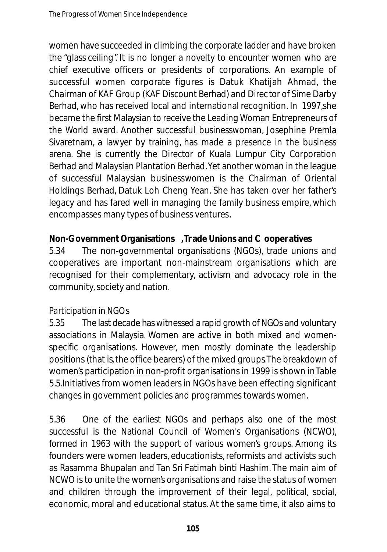women have succeeded in climbing the corporate ladder and have broken the "glass ceiling". It is no longer a novelty to encounter women who are chief executive officers or presidents of corporations. An example of successful women corporate figures is Datuk Khatijah Ahmad, the Chairman of KAF Group (KAF Discount Berhad) and Direc tor of Sime Darby Berhad, who has received local and international recognition. In 1997,she became the first Malaysian to receive the Leading Woman Entrepreneurs of the World award. Another successful businesswoman, Josephine Premla Sivaretnam, a lawyer by training, has made a presence in the business arena. She is currently the Director of Kuala Lumpur City Corporation Berhad and Malaysian Plantation Berhad.Yet another woman in the league of successful Malaysian businesswomen is the Chairman of Oriental Holdings Berhad, Datuk Loh Cheng Yean. She has taken over her father's legacy and has fared well in managing the family business empire, which encompasses many types of business ventures.

### **Non-Government Organisations ,Tr ade Unions and C ooper atives**

5.34 The non-governmental organisations (NGOs), trade unions and cooperatives are important non-mainstream organisations which are recognised for their complementary, activism and advocacy role in the community, society and nation.

### *Participation in NGOs*

5.35 The last decade has witnessed a rapid growth of NGOs and voluntary associations in Malaysia. Women are active in both mixed and womenspecific organisations. However, men mostly dominate the leadership positions (that is, the office bearers) of the mixed groups. The breakdown of women's participation in non-profit organisations in 1999 is shown in Table 5.5.Initiatives from women leaders in NGOs have been effecting significant changes in government policies and programmes towards women.

5.36 One of the earliest NGOs and perhaps also one of the most successful is the National Council of Women's Organisations (NCWO), formed in 1963 with the support of various women's groups. Among its founders were women leaders, educationists, reformists and activists such as Rasamma Bhupalan and Tan Sri Fatimah binti Hashim. The main aim of NCWO is to unite the women's organisations and raise the status of women and children through the improvement of their legal, political, social, economic, moral and educational status. At the same time, it also aims to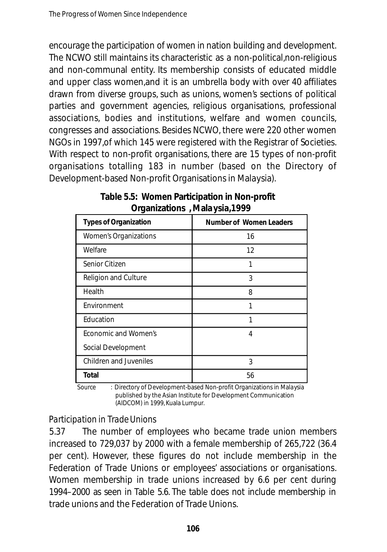en courage the participation of women in nation building and development. The NCWO still maintains its characteristic as a non-political,non-religious and non-communal entity. Its membership consists of educated middle and upper class women,and it is an umbrella body with over 40 affiliates drawn from diverse groups, such as unions, women's sections of political parties and government agencies, religious organisations, professional associations, bodies and institutions, welfare and women councils, congresses and associations. Besides NCWO, there were 220 other women NGOs in 1997,of which 145 were registered with the Registrar of Societies. With respect to non-profit organisations, there are 15 types of non-profit organisations totalling 183 in number (based on the Directory of Development-based Non-profit Organisations in Malaysia).

| <b>Types of Organization</b>  | <b>Number of Women Leaders</b> |  |  |
|-------------------------------|--------------------------------|--|--|
| Women's Organizations         | 16                             |  |  |
| Welfare                       | 12                             |  |  |
| Senior Citizen                | 1                              |  |  |
| <b>Religion and Culture</b>   | 3                              |  |  |
| Health                        | 8                              |  |  |
| Environment                   | 1                              |  |  |
| Education                     | 1                              |  |  |
| Economic and Women's          | 4                              |  |  |
| Social Development            |                                |  |  |
| <b>Children and Juveniles</b> | 3                              |  |  |
| Total                         | 56                             |  |  |

|  | Table 5.5: Women Participation in Non-profit |  |
|--|----------------------------------------------|--|
|  | Organizations, Malaysia, 1999                |  |

Source : Directory of Development-based Non-profit Organizations in Malaysia published by the Asian Institute for Development Communication (AIDCOM) in 1999, Kuala Lumpur.

### *Participation in Trade Unions*

5.37 The number of employees who became trade union members increased to 729,037 by 2000 with a female membership of 265,722 (36.4 per cent). However, these figures do not include membership in the Federation of Trade Unions or employees' associations or organisations. Women membership in trade unions increased by 6.6 per cent during 1994–2000 as seen in Table 5.6. The table does not include membership in trade unions and the Federation of Trade Unions.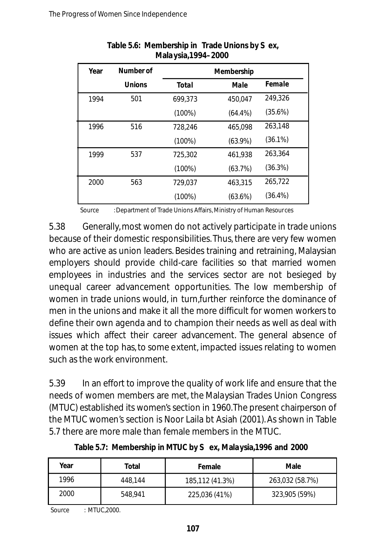| Year | Number of     | Membership   |            |            |
|------|---------------|--------------|------------|------------|
|      | <b>Unions</b> | <b>Total</b> | Male       | Female     |
| 1994 | 501           | 699.373      | 450.047    | 249.326    |
|      |               | $(100\%)$    | $(64.4\%)$ | (35.6%)    |
| 1996 | 516           | 728.246      | 465.098    | 263.148    |
|      |               | $(100\%)$    | $(63.9\%)$ | $(36.1\%)$ |
| 1999 | 537           | 725.302      | 461.938    | 263.364    |
|      |               | $(100\%)$    | (63.7%)    | (36.3%)    |
| 2000 | 563           | 729.037      | 463.315    | 265,722    |
|      |               | $(100\%)$    | (63.6%)    | $(36.4\%)$ |

#### **Table 5.6: Membership in Trade Unions by S ex, Mala ysia,1994–2000**

Source : Department of Trade Unions Affairs, Ministry of Human Resources

5.38 Generally,most women do not actively participate in trade unions because of their domestic responsibilities. Thus, there are very few women who are active as union leaders. Besides training and retraining, Malaysian employers should provide child-care facilities so that married women employees in industries and the services sector are not besieged by unequal career advancement opportunities. The low membership of women in trade unions would, in turn,further reinforce the dominance of men in the unions and make it all the more difficult for women workers to define their own agenda and to champion their needs as well as deal with issues which affect their career advancement. The general absence of women at the top has, to some extent, impacted issues relating to women such as the work environment.

5.39 In an effort to improve the quality of work life and ensure that the needs of women members are met, the Malaysian Trades Union Congress (MTUC) established its women's section in 1960.The present chairperson of the MTUC women's section is Noor Laila bt Asiah (2001). As shown in Table 5.7 there are more male than female members in the MTUC.

| Year | Total   | Female          | Male            |  |
|------|---------|-----------------|-----------------|--|
| 1996 | 448.144 | 185,112 (41.3%) | 263,032 (58.7%) |  |
| 2000 | 548.941 | 225,036 (41%)   | 323,905 (59%)   |  |

**Table 5.7: Membership in MTUC by S ex, Malaysia,1996 and 2000**

Source : MTUC.2000.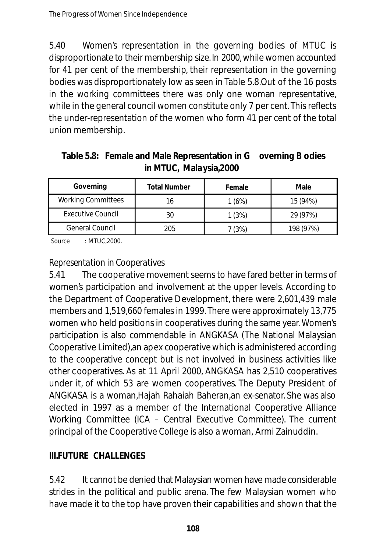5.40 Women's representation in the governing bodies of MTUC is disproportionate to their membership size. In 2000, while women accounted for 41 per cent of the membership, their representation in the governing bodies was disproportionately low as seen in Table 5.8.Out of the 16 posts in the working committees there was only one woman representative, while in the general council women constitute only 7 per cent. This reflects the under-representation of the women who form 41 per cent of the total union membership.

| Table 5.8: Female and Male Representation in G overning B odies |  |
|-----------------------------------------------------------------|--|
| in MTUC, Malaysia, 2000                                         |  |

| Governing                 | <b>Total Number</b> | Female | Male      |
|---------------------------|---------------------|--------|-----------|
| <b>Working Committees</b> | 16                  | 1(6%)  | 15 (94%)  |
| <b>Executive Council</b>  | 30                  | 1(3%)  | 29 (97%)  |
| <b>General Council</b>    | 205                 | 7 (3%) | 198 (97%) |

Source : MTUC,2000.

### *Representation in Cooperatives*

5.41 The cooperative movement seems to have fared better in terms of women's participation and involvement at the upper levels. According to the Department of Cooperative Development, there were 2,601,439 male members and 1,519,660 females in 1999. There were approximately 13,775 women who held positions in cooperatives during the same year. Women's participation is also commendable in ANGKASA (The National Malaysian Cooperative Limited),an apex cooperative which is administered according to the cooperative concept but is not involved in business activities like other cooperatives. As at 11 April 2000, ANGKASA has 2,510 cooperatives under it, of which 53 are women cooperatives. The Deputy President of ANGKASA is a woman,Hajah Rahaiah Baheran,an ex-senator. She was also elected in 1997 as a member of the International Cooperative Alliance Working Committee (ICA – Central Executive Committee). The current principal of the Cooperative College is also a woman, Armi Zainuddin.

### **III.FUTURE CHALLENGES**

5.42 It cannot be denied that Malaysian women have made considerable strides in the political and public arena. The few Malaysian women who have made it to the top have proven their capabilities and shown that the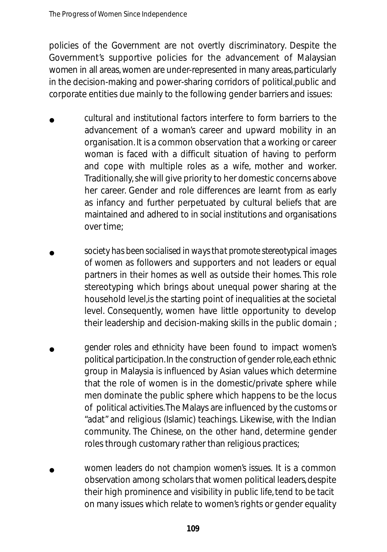policies of the Government are not overtly discriminatory. Despite the Government's supportive policies for the advancement of Malaysian women in all areas, women are under-represented in many areas, particularly in the decision-making and power-sharing corridors of political,public and corporate entities due mainly to the following gender barriers and issues:

- *cultural and institutional factors* interfere to form barriers to the advancement of a woman's career and upward mobility in an organisation. It is a common observation that a working or career woman is faced with a difficult situation of having to perform and cope with multiple roles as a wife, mother and worker. Traditionally, she will give priority to her domestic concerns above her career. Gender and role differences are learnt from as early as infancy and further perpetuated by cultural beliefs that are maintained and adhered to in social institutions and organisations over time; •
- society has been socialised in ways that promote stereotypical images *of women* as followers and supporters and not leaders or equal partners in their homes as well as outside their homes. This role stereotyping which brings about unequal power sharing at the household level,is the starting point of inequalities at the societal level. Consequently, women have little opportunity to develop their leadership and decision-making skills in the public domain ; •
- *gender roles and ethnicity* have been found to impact women's political participation. In the construction of gender role, each ethnic group in Malaysia is influenced by Asian values which determine that the role of women is in the domestic/private sphere while men dominate the public sphere which happens to be the locus of political activities.The Malays are influenced by the customs or "adat" and religious (Islamic) teachings. Likewise, with the Indian community. The Chinese, on the other hand, determine gender roles through customary rather than religious practices; •
- *women leaders do not champion women's issues.* It is a common observation among scholars that women political leaders, despite their high prominence and visibility in public life, tend to be tacit on many issues which relate to women's rights or gender equality •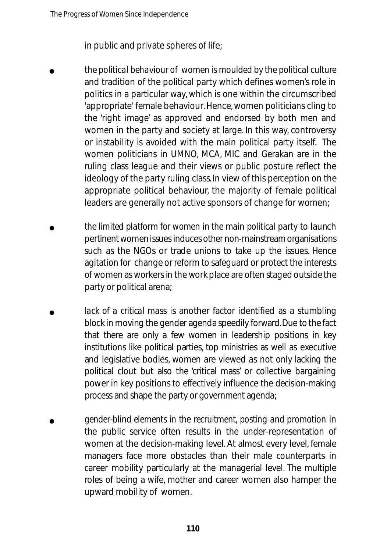in public and private spheres of life;

- *the political behaviour of women is moulded by the political culture* and tradition of the political party which defines women's role in politics in a particular way, which is one within the circumscribed 'appropriate' female behaviour. Hence, women politicians cling to the 'right image' as approved and endorsed by both men and women in the party and society at large. In this way, controversy or instability is avoided with the main political party itself. The women politicians in UMNO, MCA, MIC and Gerakan are in the ruling class league and their views or public posture reflect the ideology of the party ruling class. In view of this perception on the appropriate political behaviour, the majority of female political leaders are generally not active sponsors of change for women; •
- *the limited platform for women in the main political party* to launch pertinent women issues induces other non-mainstream organisations such as the NGOs or trade unions to take up the issues. Hence agitation for change or reform to safe guard or protect the interests of women as workers in the work place are often staged outside the party or political arena; •
- *lack of a critical mass* is another factor identified as a stumbling block in moving the gender agenda speedily forward. Due to the fact that there are only a few women in leadership positions in key institutions like political parties, top ministries as well as executive and legislative bodies, women are viewed as not only lacking the political clout but also the 'critical mass' or collective bargaining power in key positions to effectively influence the decision-making process and shape the party or government agenda; •
- *gender-blind elements in the recruitment, posting and promotion in* the public service often results in the under-representation of women at the decision-making level. At almost every level, female managers face more obstacles than their male counterparts in career mobility particularly at the managerial level. The multiple roles of being a wife, mother and career women also hamper the upward mobility of women. •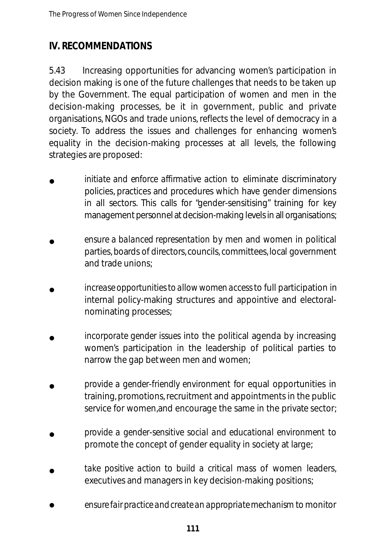# **IV. RECOMMENDATIONS**

5.43 Increasing opportunities for advancing women's participation in decision making is one of the future challenges that needs to be taken up by the Government. The equal participation of women and men in the decision-making processes, be it in government, public and private organisations, NGOs and trade unions, reflects the level of democracy in a society. To address the issues and challenges for enhancing women's equality in the decision-making processes at all levels, the following strategies are proposed:

- *initiate and enforce affirmative action to eliminate discriminatory* policies, practices and procedures which have gender dimensions in all sectors. This calls for "gender-sensitising" training for key management personnel at decision-making levels in all organisations; •
- *ensure a balanced representation* by men and women in political parties, boards of directors, councils, committees, local government and trade unions; •
- *increase opportunities to allow women access*to full participation in internal policy-making structures and appointive and electoralnominating processes; •
- *incorporate gender issues* into the political agenda by increasing women's participation in the leadership of political parties to narrow the gap between men and women; •
- *provide a gender-friendly environment* for equal opportunities in training, promotions, recruitment and appointments in the public service for women,and encourage the same in the private sector; •
- *provide a gender-sensitive social and educational environment* to promote the concept of gender equality in society at large; •
- *take positive action to build a critical mass* of women leaders, executives and managers in key decision-making positions; •
- ensure fair practice and create an appropriate mechanism to monitor •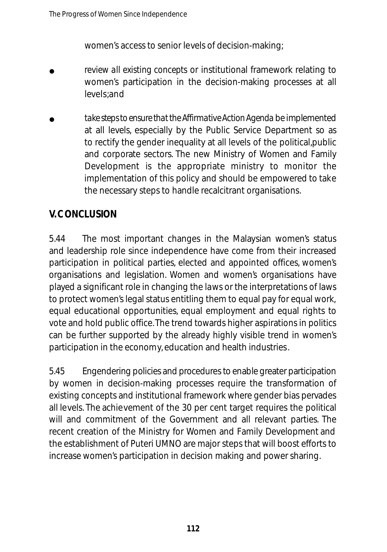women's access to senior levels of decision-making;

- *review all existing concepts* or institutional framework relating to women's participation in the decision-making processes at all levels;and •
- take steps to ensure that the Affirmative Action Agenda be implemented at all levels, especially by the Public Service Department so as to rectify the gender inequality at all levels of the political,public and corporate sectors. The new Ministry of Women and Family Development is the appropriate ministry to monitor the implementation of this policy and should be empowered to take the necessary steps to handle recalcitrant organisations. •

# **V. CONCLUSION**

5.44 The most important changes in the Malaysian women's status and leadership role since independence have come from their increased participation in political parties, elected and appointed offices, women's organisations and legislation. Women and women's organisations have played a significant role in changing the laws or the interpretations of laws to protect women's legal status entitling them to equal pay for equal work, equal educational opportunities, equal employment and equal rights to vote and hold public office.The trend towards higher aspirations in politics can be further supported by the already highly visible trend in women's participation in the economy, education and health industries.

5.45 Engendering policies and procedures to enable greater participation by women in decision-making processes require the transformation of existing concepts and institutional framework where gender bias pervades all levels. The achievement of the 30 per cent target requires the political will and commitment of the Government and all relevant parties. The recent creation of the Ministry for Women and Family Development and the establishment of Puteri UMNO are major steps that will boost efforts to increase women's participation in decision making and power sharing.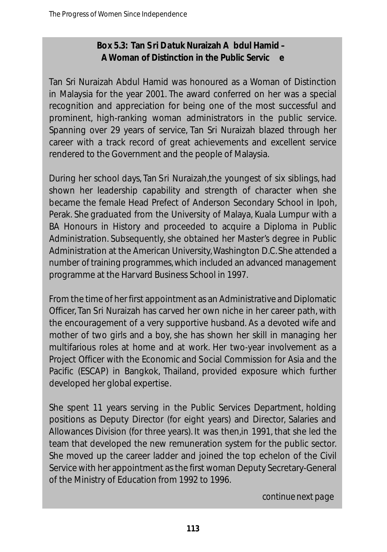## **Box 5.3: Tan S ri Datuk Nuraizah A bdul Hamid – A Woman of Distinction in the Public Servic e**

Tan Sri Nuraizah Abdul Hamid was honoured as a Woman of Distinction in Malaysia for the year 2001. The award conferred on her was a special recognition and appreciation for being one of the most successful and prominent, high-ranking woman administrators in the public service. Spanning over 29 years of service, Tan Sri Nuraizah blazed through her career with a track record of great achievements and excellent service rendered to the Government and the people of Malaysia.

During her school days, Tan Sri Nuraizah,the youngest of six siblings, had shown her leadership capability and strength of character when she became the female Head Prefect of Anderson Secondary School in Ipoh, Perak. She graduated from the University of Malaya, Kuala Lumpur with a BA Honours in History and proceeded to acquire a Diploma in Public Administration. Subsequently, she obtained her Master's degree in Public Administration at the American University, Washington D.C. She attended a number of training programmes, which included an advanced management programme at the Harvard Business School in 1997.

From the time of her first appointment as an Administrative and Diplomatic Officer, Tan Sri Nuraizah has carved her own niche in her career path, with the encouragement of a very supportive husband. As a devoted wife and mother of two girls and a boy, she has shown her skill in managing her multifarious roles at home and at work. Her two-year involvement as a Project Officer with the Economic and Social Commission for Asia and the Pacific (ESCAP) in Bangkok, Thailand, provided exposure which further developed her global expertise.

She spent 11 years serving in the Public Services Department, holding positions as Deputy Director (for eight years) and Director, Salaries and Allowances Division (for three years). It was then,in 1991, that she led the team that developed the new remuneration system for the public sector. She moved up the career ladder and joined the top echelon of the Civil Service with her appointment as the first woman Deputy Secretary-General of the Ministry of Education from 1992 to 1996.

*continue next page*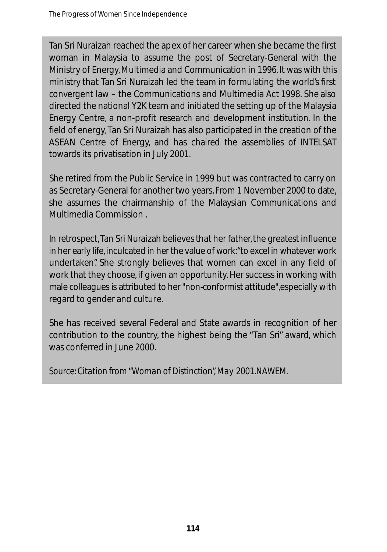Tan Sri Nuraizah reached the apex of her career when she became the first woman in Malaysia to assume the post of Secretary-General with the Ministry of Energy, Multimedia and Communication in 1996.It was with this ministry that Tan Sri Nuraizah led the team in formulating the world's first convergent law – the Communications and Multimedia Act 1998. She also directed the national Y2K team and initiated the setting up of the Malaysia Energy Centre, a non-profit research and development institution. In the field of energy, Tan Sri Nuraizah has also participated in the creation of the ASEAN Centre of Energy, and has chaired the assemblies of INTELSAT towards its privatisation in July 2001.

She retired from the Public Service in 1999 but was contracted to carry on as Secretary-General for another two years. From 1 November 2000 to date, she assumes the chairmanship of the Malaysian Communications and Multimedia Commission .

In retrospect, Tan Sri Nuraizah believes that her father, the greatest influence in her early life, inculcated in her the value of work: "to excel in whatever work undertaken". She strongly believes that women can excel in any field of work that they choose, if given an opportunity. Her success in working with male colleagues is attributed to her "non-conformist attitude", especially with regard to gender and culture.

She has received several Federal and State awards in recognition of her contribution to the country, the highest being the "Tan Sri" award, which was conferred in June 2000.

*Source: Citation from "Woman of Distinction",May 2001.NAWEM.*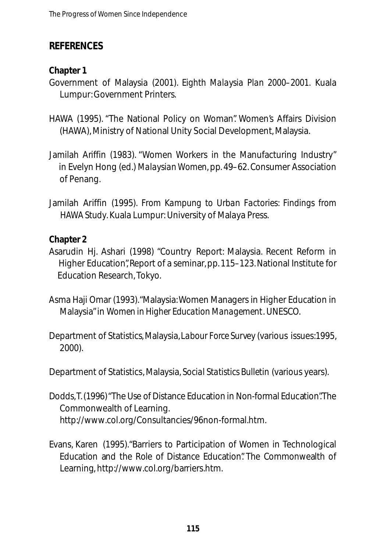## **REFERENCES**

## **Chapter 1**

Government of Malaysia (2001). *Eighth Malaysia Plan 2000–2001.* Kuala Lumpur: Government Printers.

- HAWA (1995). "The National Policy on Woman". Women's Affairs Division (HAWA), Ministry of National Unity Social Development, Malaysia.
- Jamilah Ariffin (1983). "Women Workers in the Manufacturing Industry" in Evelyn Hong (ed.) *Malaysian Women*, pp. 49–62. Consumer Association of Penang.
- Jamilah Ariffin (1995). *From Kampung to Urban Factories: Findings from HAWA Study*. Kuala Lumpur: University of Malaya Press.

## **Chapter 2**

- Asarudin Hj. Ashari (1998) "Country Report: Malaysia. Recent Reform in Higher Education", Report of a seminar, pp. 115–123. National Institute for Education Research, Tokyo.
- Asma Haji Omar (1993)."Malaysia:Women Managers in Higher Education in Malaysia"in *Women in Higher Education Management*. UNESCO.
- Department of Statistics, Malaysia,*Labour Force Survey* (various issues:1995, 2000).

Department of Statistics, Malaysia, *Social Statistics Bulletin* (various years).

- Dodds, T. (1996) "The Use of Distance Education in Non-formal Education". The Commonwealth of Learning. http://www.col.org/Consultancies/96non-formal.htm.
- Evans, Karen (1995)."Barriers to Participation of Women in Technological Education and the Role of Distance Education" The Commonwealth of Learning, http://www.col.org/barriers.htm.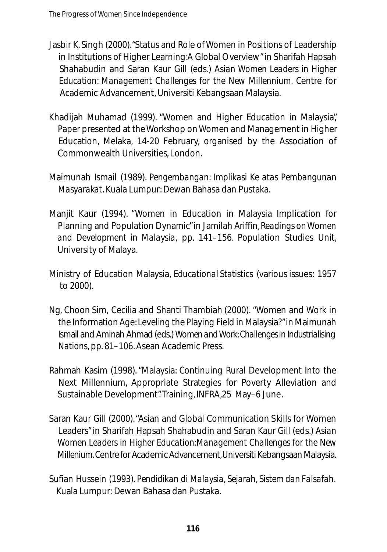- Jasbir K. Singh (2000)."Status and Role of Women in Positions of Leadership in Institutions of Higher Learning:A Global Overview"in Sharifah Hapsah Shahabudin and Saran Kaur Gill (eds.) *Asian Women Leaders in Higher Education: Management Challenges for the New Millennium*. Centre for Academic Advancement, Universiti Kebangsaan Malaysia.
- Khadijah Muhamad (1999). "Women and Higher Education in Malaysia", Paper presented at the Workshop on Women and Management in Higher Education, Melaka, 14-20 February, organised by the Association of Commonwealth Universities, London.
- Maimunah Ismail (1989). *Pengembangan: Implikasi Ke atas Pembangunan Masyaraka*t. Kuala Lumpur: Dewan Bahasa dan Pustaka.
- Manjit Kaur (1994). "Women in Education in Malaysia Implication for Planning and Population Dynamic"in Jamilah Ariffin,*Readings on Women and Development in Malaysia,* pp. 141–156. Population Studies Unit, University of Malaya.
- Ministry of Education Malaysia, *Educational Statistics* (various issues: 1957 to 2000).
- Ng, Choon Sim, Cecilia and Shanti Thambiah (2000). "Women and Work in the Information Age: Leveling the Playing Field in Malaysia?" in Maimunah Ismail and Aminah Ahmad (eds.) *Women and Work: Challenges in Industrialising Nations*, pp. 81–106.Asean Academic Press.
- Rahmah Kasim (1998)."Malaysia: Continuing Rural Development Into the Next Millennium, Appropriate Strategies for Poverty Alleviation and Sustainable Development". Training, INFRA,25 May–6 June.
- Saran Kaur Gill (2000)."Asian and Global Communication Skills for Women Leaders"in Sharifah Hapsah Shahabudin and Saran Kaur Gill (eds.) *Asian Women Leaders in Higher Education:Management Challenges for the New Millenium.* Centre for Academic Advancement, Universiti Kebangsaan Malaysia.
- Sufian Hussein (1993). *Pendidikan di Malaysia, Sejarah, Sistem dan Falsafah.* Kuala Lumpur: Dewan Bahasa dan Pustaka.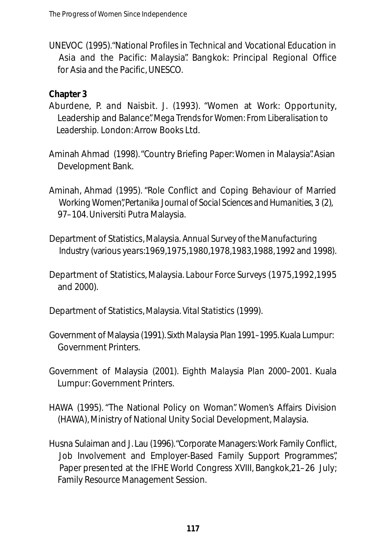UNEVOC (1995)."National Profiles in Technical and Vocational Education in Asia and the Pacific: Malaysia". Bangkok: Principal Regional Office for Asia and the Pacific, UNESCO.

### **Chapter 3**

- Aburdene, P. and Naisbit. J. (1993). "Women at Work: Opportunity, Leadership and Balance". *Mega Trends for Women: From Liberalisation to Leadership.* London:Arrow Books Ltd.
- Aminah Ahmad (1998)."Country Briefing Paper: Women in Malaysia". Asian Development Bank.
- Aminah, Ahmad (1995). "Role Conflict and Coping Behaviour of Married Working Women", Pertanika Journal of Social Sciences and Humanities, 3 (2), 97–104.Universiti Putra Malaysia.
- Department of Statistics, Malaysia. *Annual Survey of the Manufacturing Industry* (various years: 1969, 1975, 1980, 1978, 1983, 1988, 1992 and 1998).
- Department of Statistics, Malaysia. *Labour Force Surveys* (1975, 1992, 1995 and 2000).
- Department of Statistics, Malaysia. *Vital Statistics* (1999).
- Government of Malaysia (1991). *Sixth Malaysia Plan 1991–1995*. Kuala Lumpur: Government Printers.
- Government of Malaysia (2001). *Eighth Malaysia Plan 2000–2001*. Kuala Lumpur: Government Printers.
- HAWA (1995). "The National Policy on Woman". Women's Affairs Division (HAWA), Ministry of National Unity Social Development, Malaysia.
- Husna Sulaiman and J. Lau (1996). "Corporate Managers: Work Family Conflict, Job Involvement and Employer-Based Family Support Programmes", Paper presented at the IFHE World Congress XVIII, Bangkok, 21–26 July; Family Resource Management Session.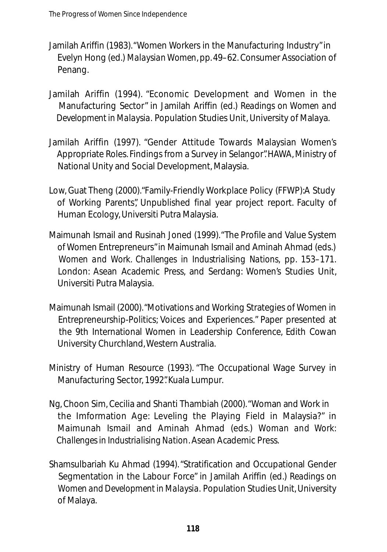- Jamilah Ariffin (1983)."Women Workers in the Manufacturing Industry"in Evelyn Hong (ed.) *Malaysian Women*, pp.49–62. Consumer Association of Penang.
- Jamilah Ariffin (1994). "Economic Development and Women in the Manufacturing Sector" in Jamilah Ariffin (ed.) *Readings on Women and Development in Malaysia.* Population Studies Unit, University of Malaya.
- Jamilah Ariffin (1997). "Gender Attitude Towards Malaysian Women's Appropriate Roles. Findings from a Survey in Selangor".HAWA, Ministry of National Unity and Social Development, Malaysia.
- Low, Guat Theng (2000)."Family-Friendly Workplace Policy (FFWP):A Study of Working Parents", Unpublished final year project report. Faculty of Human Ecology, Universiti Putra Malaysia.
- Maimunah Ismail and Rusinah Joned (1999)."The Profile and Value System of Women Entrepreneurs"in Maimunah Ismail and Aminah Ahmad (eds.) *Women and Work. Challenges in Industrialising Nations, pp. 153-171.* London: Asean Academic Press, and Serdang: Women's Studies Unit, Universiti Putra Malaysia.
- Maimunah Ismail (2000)."Motivations and Working Strategies of Women in Entrepreneurship-Politics; Voices and Experiences." Paper presented at the 9th International Women in Leadership Conference, Edith Cowan University Churchland, Western Australia.
- Ministry of Human Resource (1993). "The Occupational Wage Survey in Manufacturing Sector, 1992". Kuala Lumpur.
- Ng, Choon Sim, Cecilia and Shanti Thambiah (2000)."Woman and Work in the Imformation Age: Leveling the Playing Field in Malaysia?" in Maimunah Ismail and Aminah Ahmad (eds.) *Woman and Work: Challenges in Industrialising Nation*. Asean Academic Press.
- Shamsulbariah Ku Ahmad (1994)."Stratification and Occupational Gender Segmentation in the Labour Force" in Jamilah Ariffin (ed.) *Readings on Women and Development in Malaysia.* Population Studies Unit, University of Malaya.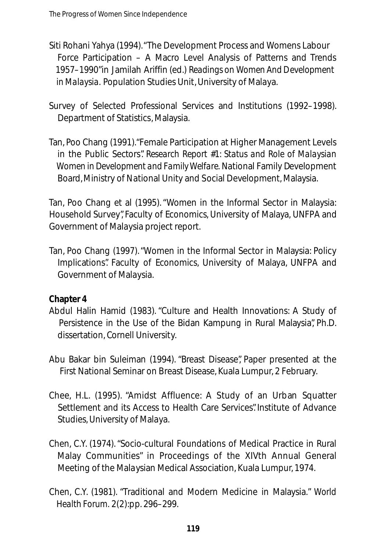- Siti Rohani Yahya (1994)."The Development Process and Womens Labour Force Participation – A Macro Level Analysis of Patterns and Trends 1957–1990"in Jamilah Ariffin (ed.) *Readings on Women And Development in Malaysia.* Population Studies Unit, University of Malaya.
- Survey of Selected Professional Services and Institutions (1992–1998). Department of Statistics, Malaysia.
- Tan, Poo Chang (1991)."Female Participation at Higher Management Levels in the Public Sectors". *Research Report #1: Status and Role of Malaysian Women in Development and Family Welfare.* National Family Development Board, Ministry of National Unity and Social Development, Malaysia.

Tan, Poo Chang et al (1995)."Women in the Informal Sector in Malaysia: Household Survey", Faculty of Economics, University of Malaya, UNFPA and Government of Malaysia project report.

Tan, Poo Chang (1997)."Women in the Informal Sector in Malaysia: Policy Implications". Faculty of Economics, University of Malaya, UNFPA and Government of Malaysia.

### **Chapter 4**

- Abdul Halin Hamid (1983). "Culture and Health Innovations: A Study of Persistence in the Use of the Bidan Kampung in Rural Malaysia", Ph.D. dissertation, Cornell University.
- Abu Bakar bin Suleiman (1994). "Breast Disease", Paper presented at the First National Seminar on Breast Disease, Kuala Lumpur, 2 February.
- Chee, H.L. (1995). "Amidst Affluence: A Study of an Urban Squatter Settlement and its Access to Health Care Services". Institute of Advance Studies, University of Malaya.
- Chen, C.Y. (1974)."Socio-cultural Foundations of Medical Practice in Rural Malay Communities" in Proceedings of the XIVth Annual General Meeting of the Malaysian Medical Association, Kuala Lumpur, 1974.
- Chen, C.Y. (1981). "Traditional and Modern Medicine in Malaysia." *World Health Forum.* 2(2):pp. 296–299.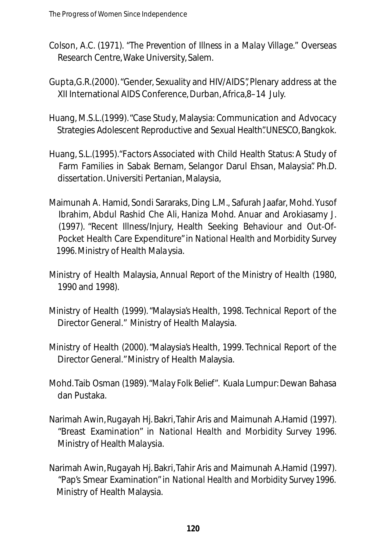- Colson, A.C. (1971). *"The Prevention of Illness in a Malay Village."* Overseas Research Centre, Wake University, Salem.
- Gupta,G.R.(2000)."Gender, Sexuality and HIV/AIDS", Plenary address at the XII International AIDS Conference, Durban,Africa,8–14 July.
- Huang, M.S.L.(1999)."Case Study, Malaysia: Communication and Advocacy Strategies Adolescent Reproductive and Sexual Health" UNESCO, Bangkok.
- Huang, S.L.(1995)."Factors Associated with Child Health Status: A Study of Farm Families in Sabak Bernam, Selangor Darul Ehsan, Malaysia". Ph.D. dissertation. Universiti Pertanian, Malaysia,
- Maimunah A. Hamid, Sondi Sararaks, Ding L.M., Safurah Jaafar, Mohd. Yusof Ibrahim, Abdul Rashid Che Ali, Haniza Mohd. Anuar and Arokiasamy J. (1997). "Recent Illness/Injury, Health Seeking Behaviour and Out-Of-Pocket Health Care Expenditure"in *National Health and Morbidity Survey 1996.*Ministry of Health Malaysia.
- Ministry of Health Malaysia, *Annual Report of the Ministry of Health* (1980, 1990 and 1998).
- Ministry of Health (1999)."Malaysia's Health, 1998. Technical Report of the Director General." Ministry of Health Malaysia.
- Ministry of Health (2000)."Malaysia's Health, 1999. Technical Report of the Director General." Ministry of Health Malaysia.
- Mohd.Taib Osman (1989).*"Malay Folk Belief"*. Kuala Lumpur: Dewan Bahasa dan Pustaka.
- Narimah Awin,Rugayah Hj. Bakri,Tahir Aris and Maimunah A.Hamid (1997). "Breast Examination" in *National Health and Morbidity Survey 1996*. Ministry of Health Malaysia.
- Narimah Awin,Rugayah Hj. Bakri,Tahir Aris and Maimunah A.Hamid (1997). "Pap's Smear Examination"in *National Health and Morbidity Survey 1996.* Ministry of Health Malaysia.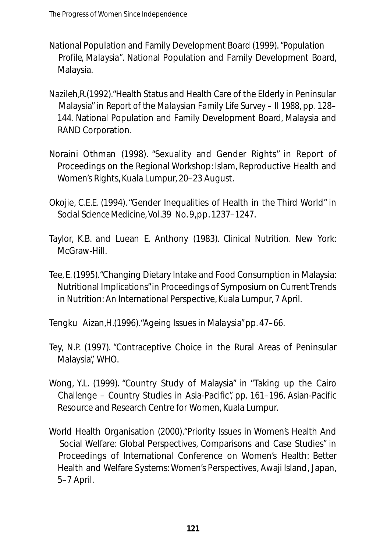- National Population and Family Development Board (1999). *"Population Profile, Malaysia"*. National Population and Family Development Board, Malaysia.
- Nazileh,R.(1992)."Health Status and Health Care of the Elderly in Peninsular Malaysia"in *Report of the Malaysian Family Life Survey – II 1988*, pp. 128– 144. National Population and Family Development Board, Malaysia and RAND Corporation.
- Noraini Othman (1998). "Sexuality and Gender Rights" in Report of Proceedings on the Regional Workshop: Islam, Reproductive Health and Women's Rights, Kuala Lumpur, 20–23 August.
- Okojie, C.E.E. (1994)."Gender Inequalities of Health in the Third World" in *Social Science Medicine*, Vol.39 No. 9,pp. 1237–1247.
- Taylor, K.B. and Luean E. Anthony (1983). *Clinical Nutrition*. New York: McGraw-Hill
- Tee, E. (1995)."Changing Dietary Intake and Food Consumption in Malaysia: Nutritional Implications"in Proceedings of Symposium on Current Trends in Nutrition: An International Perspective, Kuala Lumpur, 7 April.

Tengku Aizan,H.(1996)."Ageing Issues in Malaysia"pp. 47–66.

- Tey, N.P. (1997). "Contraceptive Choice in the Rural Areas of Peninsular Malaysia", WHO.
- Wong, Y.L. (1999). "Country Study of Malaysia" in "Taking up the Cairo Challenge – Country Studies in Asia-Pacific", pp. 161–196. Asian-Pacific Resource and Research Centre for Women, Kuala Lumpur.
- World Health Organisation (2000)."Priority Issues in Women's Health And Social Welfare: Global Perspectives, Comparisons and Case Studies" in Proceedings of International Conference on Women's Health: Better Health and Welfare Systems: Women's Perspectives, Awaji Island, Japan, 5–7 April.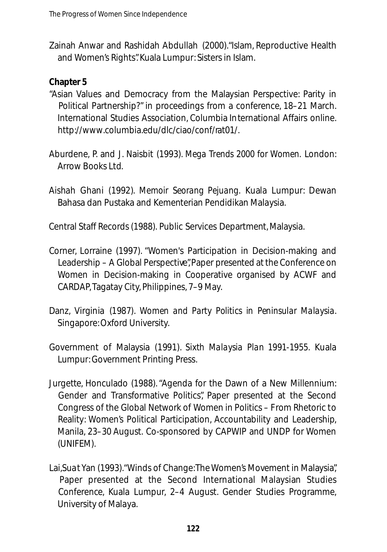Zainah Anwar and Rashidah Abdullah (2000)."Islam, Reproductive Health and Women's Rights". Kuala Lumpur: Sisters in Islam.

### **Chapter 5**

- "Asian Values and Democracy from the Malaysian Perspective: Parity in Political Partnership?" in proceedings from a conference, 18–21 March. International Studies Association, Columbia International Affairs online. http://www.columbia.edu/dlc/ciao/conf/rat01/.
- Aburdene, P. and J. Naisbit (1993). *Mega Trends 2000 for Women.* London: Arrow Books Ltd.
- Aishah Ghani (1992). Memoir Seorang Pejuang. Kuala Lumpur: Dewan Bahasa dan Pustaka and Kementerian Pendidikan Malaysia.

Central Staff Records (1988). Public Services Department, Malaysia.

- Corner, Lorraine (1997). "Women's Participation in Decision-making and Leadership – A Global Perspective", Paper presented at the Conference on Women in Decision-making in Cooperative organised by ACWF and CARDAP, Tagatay City, Philippines, 7–9 May.
- Danz, Virginia (1987). *Women and Party Politics in Peninsular Malaysia.* Singapore:Oxford University.
- Government of Malaysia (1991). *Sixth Malaysia Plan 1991-1955*. Kuala Lumpur: Government Printing Press.
- Jurgette, Honculado (1988)."Agenda for the Dawn of a New Millennium: Gender and Transformative Politics", Paper presented at the Second Congress of the Global Network of Women in Politics – From Rhetoric to Reality: Women's Political Participation, Accountability and Leadership, Manila, 23–30 August. Co-sponsored by CAPWIP and UNDP for Women (UNIFEM).
- Lai,Suat Yan (1993)."Winds of Change:The Women's Movement in Malaysia", Paper presented at the Second International Malaysian Studies Conference, Kuala Lumpur, 2–4 August. Gender Studies Programme, University of Malaya.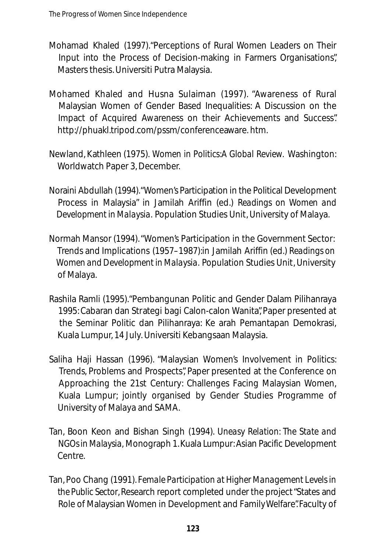- Mohamad Khaled (1997)."Perceptions of Rural Women Leaders on Their Input into the Process of Decision-making in Farmers Organisations", Masters thesis. Universiti Putra Malaysia.
- Mohamed Khaled and Husna Sulaiman (1997). "Awareness of Rural Malaysian Women of Gender Based Inequalities: A Discussion on the Impact of Acquired Awareness on their Achievements and Success". http://phuakl.tripod.com/pssm/conferenceaware. htm.
- Newland, Kathleen (1975). *Women in Politics:A Global Review.* Washington: Worldwatch Paper 3, December.
- Noraini Abdullah (1994). "Women's Participation in the Political Development Process in Malaysia" in Jamilah Ariffin (ed.) *Readings on Women and Development in Malaysia.* Population Studies Unit, University of Malaya.
- Normah Mansor (1994)."Women's Participation in the Government Sector: Trends and Implications (1957–1987):in Jamilah Ariffin (ed.) *Readings on Women and Development in Malaysia.* Population Studies Unit, University of Malaya.
- Rashila Ramli (1995)."Pembangunan Politic and Gender Dalam Pilihanraya 1995: Cabaran dan Strategi bagi Calon-calon Wanita", Paper presented at the Seminar Politic dan Pilihanraya: Ke arah Pemantapan Demokrasi, Kuala Lumpur, 14 July. Universiti Kebangsaan Malaysia.
- Saliha Haji Hassan (1996). "Malaysian Women's Involvement in Politics: Trends, Problems and Prospects", Paper presented at the Conference on Approaching the 21st Century: Challenges Facing Malaysian Women, Kuala Lumpur; jointly organised by Gender Studies Programme of University of Malaya and SAMA.
- Tan, Boon Keon and Bishan Singh (1994). *Uneasy Relation: The State and NGOs in Malaysia, Monograph 1.Kuala Lumpur: Asian Pacific Development* Centre.
- Tan, Poo Chang (1991). *Female Participation at Higher Management Levels in the Public Sector*, Research report completed under the project "States and Role of Malaysian Women in Development and Family Welfare". Faculty of